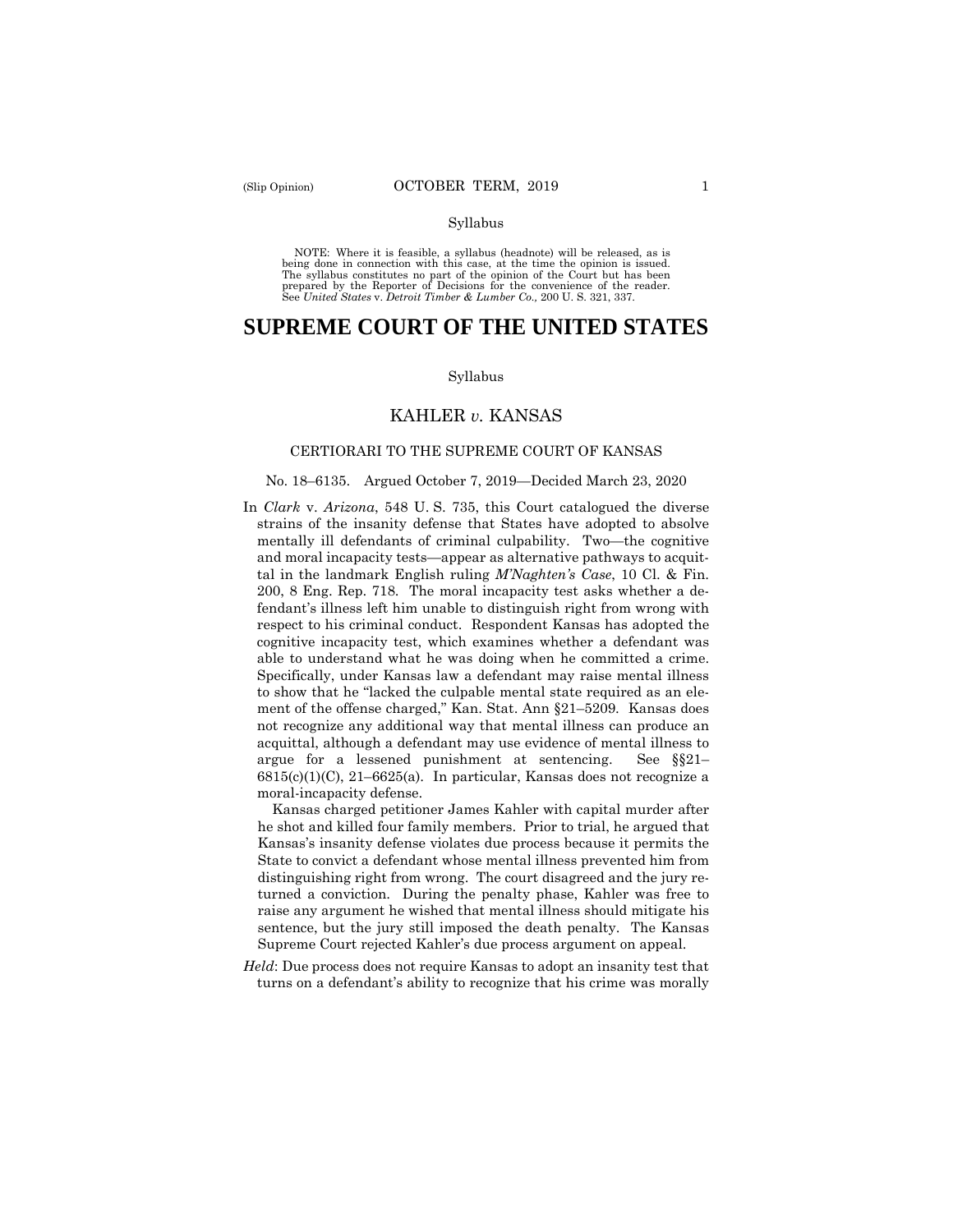#### Syllabus

 NOTE: Where it is feasible, a syllabus (headnote) will be released, as is being done in connection with this case, at the time the opinion is issued. The syllabus constitutes no part of the opinion of the Court but has been<br>prepared by the Reporter of Decisions for the convenience of the reader.<br>See United States v. Detroit Timber & Lumber Co., 200 U.S. 321, 337.

# **SUPREME COURT OF THE UNITED STATES**

#### Syllabus

# KAHLER *v.* KANSAS

# CERTIORARI TO THE SUPREME COURT OF KANSAS

### No. 18–6135. Argued October 7, 2019—Decided March 23, 2020

 able to understand what he was doing when he committed a crime. In *Clark* v. *Arizona*, 548 U. S. 735, this Court catalogued the diverse strains of the insanity defense that States have adopted to absolve mentally ill defendants of criminal culpability. Two—the cognitive and moral incapacity tests—appear as alternative pathways to acquittal in the landmark English ruling *M'Naghten's Case*, 10 Cl. & Fin. 200, 8 Eng. Rep. 718. The moral incapacity test asks whether a defendant's illness left him unable to distinguish right from wrong with respect to his criminal conduct. Respondent Kansas has adopted the cognitive incapacity test, which examines whether a defendant was Specifically, under Kansas law a defendant may raise mental illness to show that he "lacked the culpable mental state required as an element of the offense charged," Kan. Stat. Ann §21–5209. Kansas does not recognize any additional way that mental illness can produce an acquittal, although a defendant may use evidence of mental illness to argue for a lessened punishment at sentencing. See §§21–  $6815(c)(1)(C)$ ,  $21-6625(a)$ . In particular, Kansas does not recognize a moral-incapacity defense.

Kansas charged petitioner James Kahler with capital murder after he shot and killed four family members. Prior to trial, he argued that Kansas's insanity defense violates due process because it permits the State to convict a defendant whose mental illness prevented him from distinguishing right from wrong. The court disagreed and the jury returned a conviction. During the penalty phase, Kahler was free to raise any argument he wished that mental illness should mitigate his sentence, but the jury still imposed the death penalty. The Kansas Supreme Court rejected Kahler's due process argument on appeal.

*Held*: Due process does not require Kansas to adopt an insanity test that turns on a defendant's ability to recognize that his crime was morally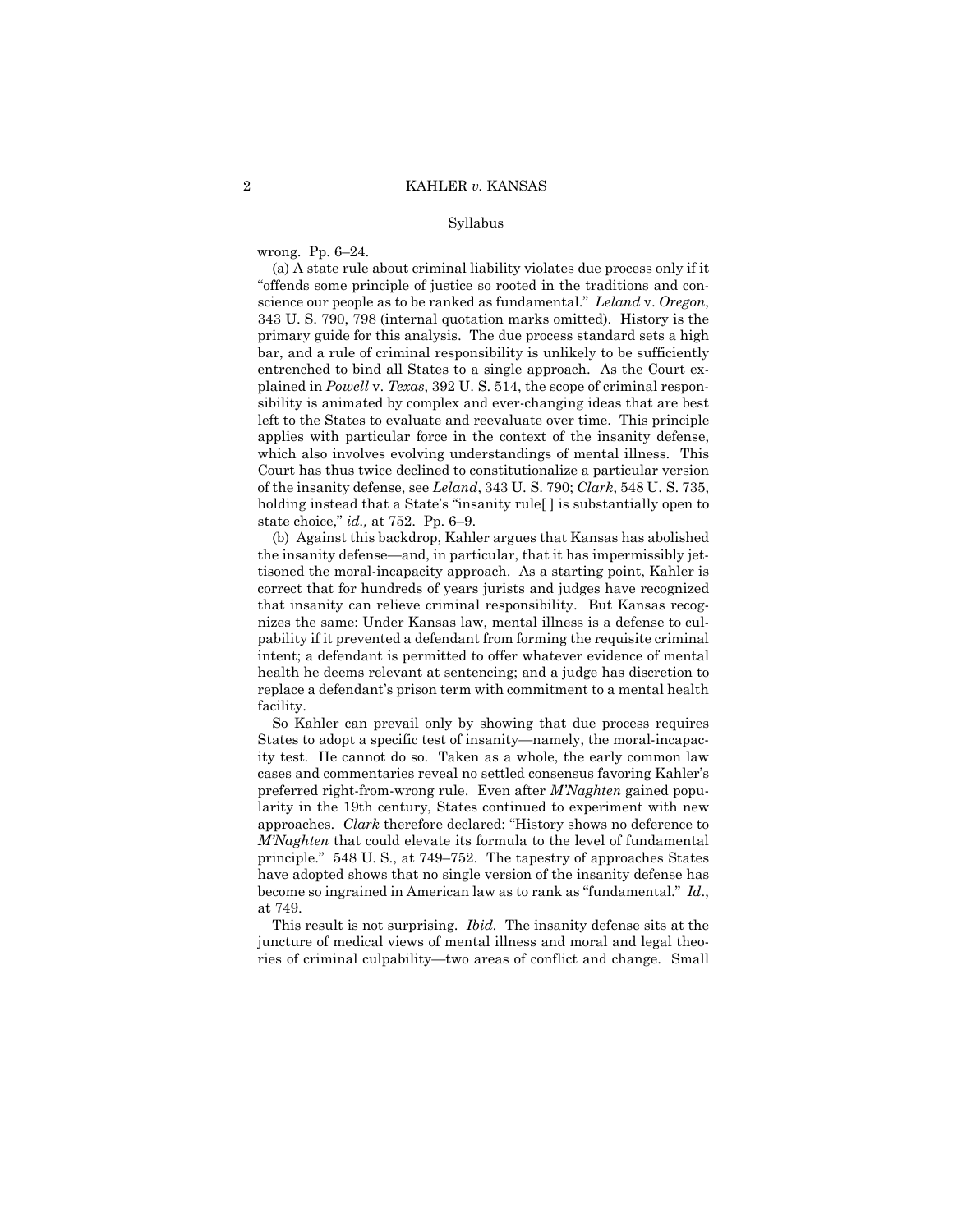#### Syllabus

wrong. Pp. 6–24.

(a) A state rule about criminal liability violates due process only if it "offends some principle of justice so rooted in the traditions and conscience our people as to be ranked as fundamental." *Leland* v. *Oregon*, 343 U. S. 790, 798 (internal quotation marks omitted). History is the primary guide for this analysis. The due process standard sets a high bar, and a rule of criminal responsibility is unlikely to be sufficiently entrenched to bind all States to a single approach. As the Court explained in *Powell* v. *Texas*, 392 U. S. 514, the scope of criminal responsibility is animated by complex and ever-changing ideas that are best left to the States to evaluate and reevaluate over time. This principle applies with particular force in the context of the insanity defense, which also involves evolving understandings of mental illness. This Court has thus twice declined to constitutionalize a particular version of the insanity defense, see *Leland*, 343 U. S. 790; *Clark*, 548 U. S. 735, holding instead that a State's "insanity rule | | is substantially open to state choice," *id.,* at 752. Pp. 6–9.

(b) Against this backdrop, Kahler argues that Kansas has abolished the insanity defense—and, in particular, that it has impermissibly jettisoned the moral-incapacity approach. As a starting point, Kahler is correct that for hundreds of years jurists and judges have recognized that insanity can relieve criminal responsibility. But Kansas recognizes the same: Under Kansas law, mental illness is a defense to culpability if it prevented a defendant from forming the requisite criminal intent; a defendant is permitted to offer whatever evidence of mental health he deems relevant at sentencing; and a judge has discretion to replace a defendant's prison term with commitment to a mental health facility.

 cases and commentaries reveal no settled consensus favoring Kahler's approaches. *Clark* therefore declared: "History shows no deference to So Kahler can prevail only by showing that due process requires States to adopt a specific test of insanity—namely, the moral-incapacity test. He cannot do so. Taken as a whole, the early common law preferred right-from-wrong rule. Even after *M'Naghten* gained popularity in the 19th century, States continued to experiment with new *M'Naghten* that could elevate its formula to the level of fundamental principle." 548 U. S., at 749–752. The tapestry of approaches States have adopted shows that no single version of the insanity defense has become so ingrained in American law as to rank as "fundamental." *Id*., at 749.

This result is not surprising. *Ibid.* The insanity defense sits at the juncture of medical views of mental illness and moral and legal theories of criminal culpability—two areas of conflict and change. Small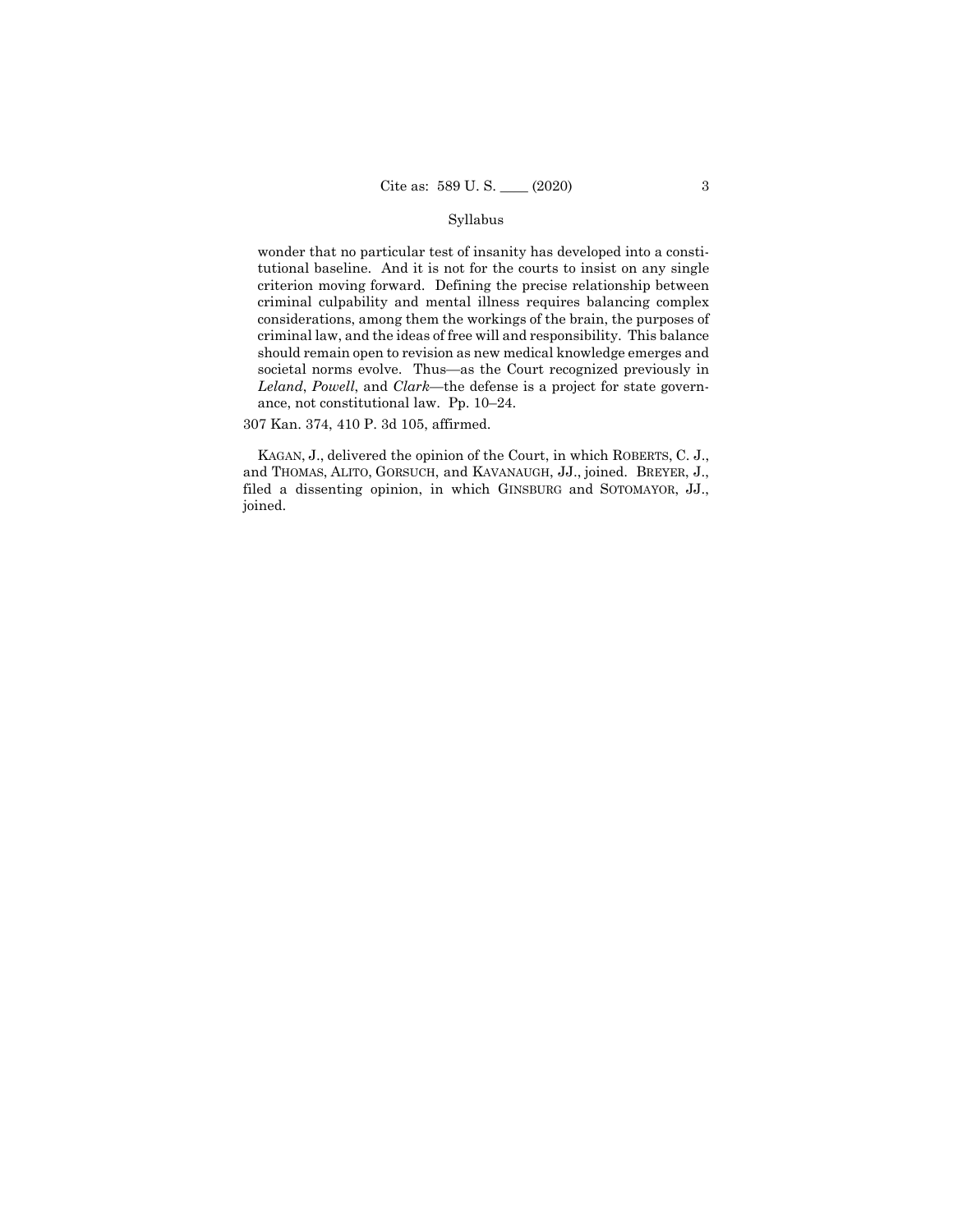### Syllabus

wonder that no particular test of insanity has developed into a constitutional baseline. And it is not for the courts to insist on any single criterion moving forward. Defining the precise relationship between criminal culpability and mental illness requires balancing complex considerations, among them the workings of the brain, the purposes of criminal law, and the ideas of free will and responsibility. This balance should remain open to revision as new medical knowledge emerges and societal norms evolve. Thus—as the Court recognized previously in *Leland*, *Powell*, and *Clark*—the defense is a project for state governance, not constitutional law. Pp. 10–24.

307 Kan. 374, 410 P. 3d 105, affirmed.

 KAGAN, J., delivered the opinion of the Court, in which ROBERTS, C. J., and THOMAS, ALITO, GORSUCH, and KAVANAUGH, JJ., joined. BREYER, J., filed a dissenting opinion, in which GINSBURG and SOTOMAYOR, JJ., joined.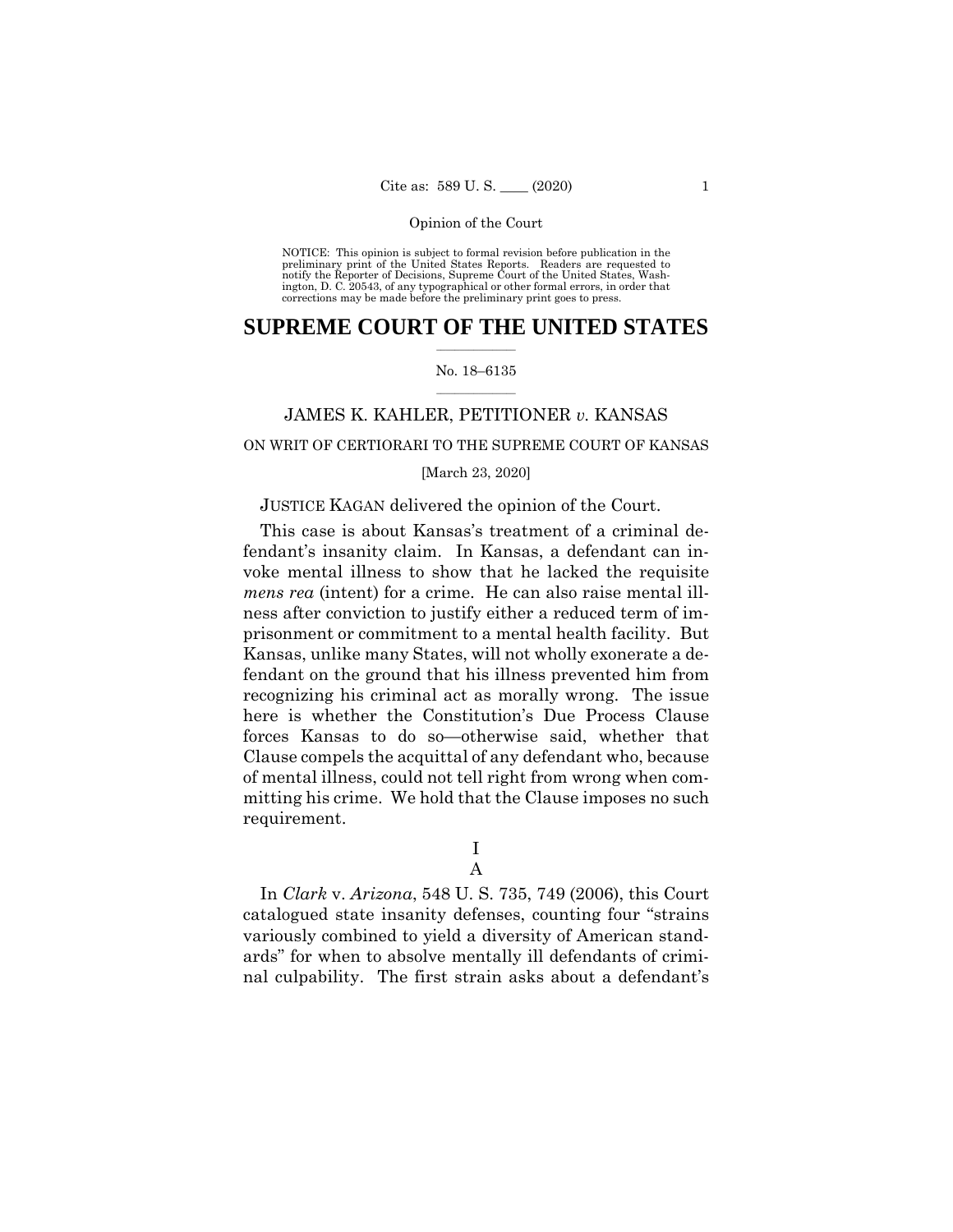NOTICE: This opinion is subject to formal revision before publication in the preliminary print of the United States Reports. Readers are requested to notify the Reporter of Decisions, Supreme Court of the United States, Wash-ington, D. C. 20543, of any typographical or other formal errors, in order that corrections may be made before the preliminary print goes to press.

# $\frac{1}{2}$  ,  $\frac{1}{2}$  ,  $\frac{1}{2}$  ,  $\frac{1}{2}$  ,  $\frac{1}{2}$  ,  $\frac{1}{2}$  ,  $\frac{1}{2}$ **SUPREME COURT OF THE UNITED STATES**

# $\frac{1}{2}$  ,  $\frac{1}{2}$  ,  $\frac{1}{2}$  ,  $\frac{1}{2}$  ,  $\frac{1}{2}$  ,  $\frac{1}{2}$ No. 18–6135

# JAMES K. KAHLER, PETITIONER *v.* KANSAS

# ON WRIT OF CERTIORARI TO THE SUPREME COURT OF KANSAS

# [March 23, 2020]

# JUSTICE KAGAN delivered the opinion of the Court.

This case is about Kansas's treatment of a criminal defendant's insanity claim. In Kansas, a defendant can invoke mental illness to show that he lacked the requisite *mens rea* (intent) for a crime. He can also raise mental illness after conviction to justify either a reduced term of imprisonment or commitment to a mental health facility. But Kansas, unlike many States, will not wholly exonerate a defendant on the ground that his illness prevented him from recognizing his criminal act as morally wrong. The issue here is whether the Constitution's Due Process Clause forces Kansas to do so—otherwise said, whether that Clause compels the acquittal of any defendant who, because of mental illness, could not tell right from wrong when committing his crime. We hold that the Clause imposes no such requirement.

# I

A

In *Clark* v. *Arizona*, 548 U. S. 735, 749 (2006), this Court catalogued state insanity defenses, counting four "strains variously combined to yield a diversity of American standards" for when to absolve mentally ill defendants of criminal culpability. The first strain asks about a defendant's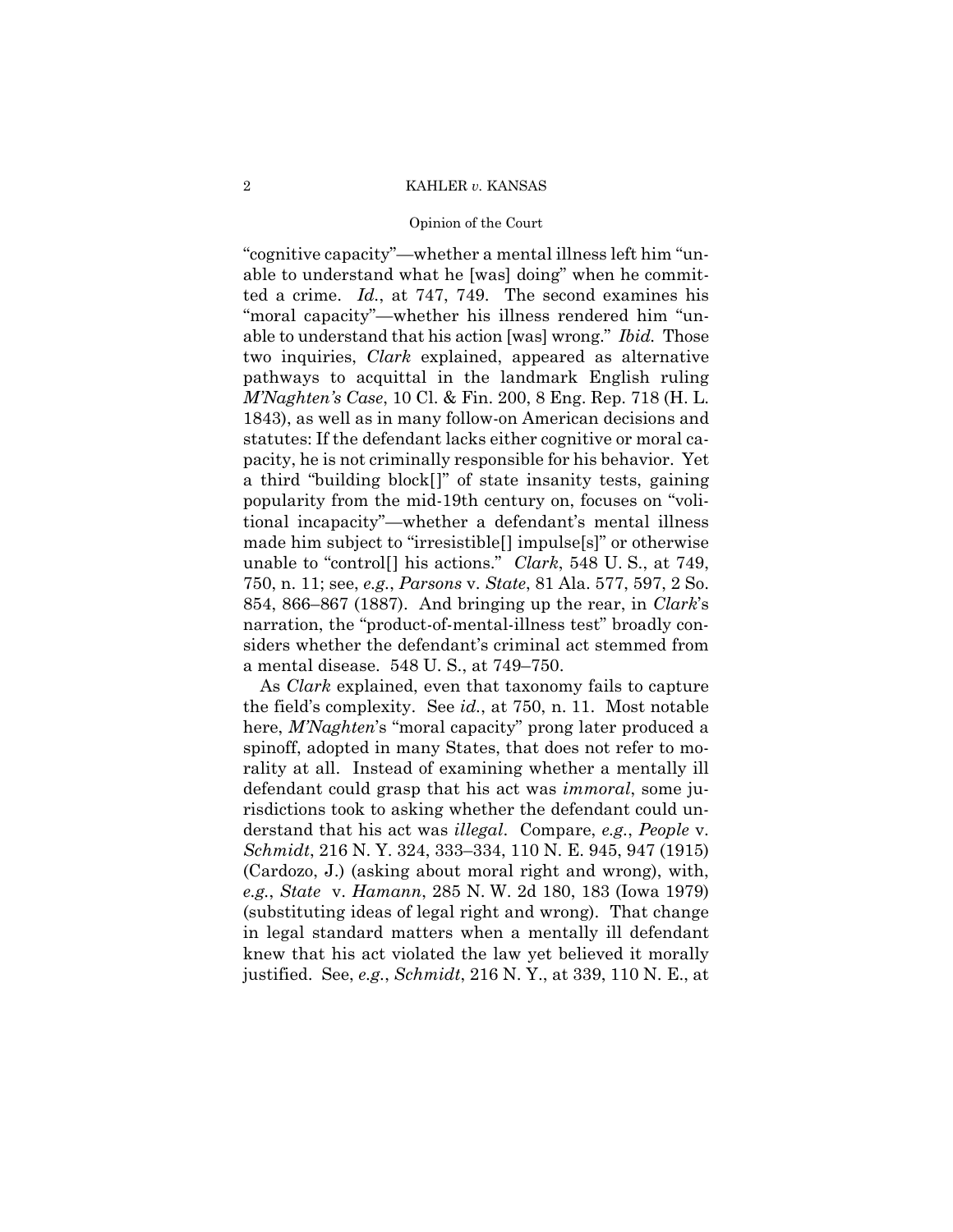# Opinion of the Court

 able to understand that his action [was] wrong." *Ibid.* Those "cognitive capacity"—whether a mental illness left him "unable to understand what he [was] doing" when he committed a crime. *Id.*, at 747, 749. The second examines his "moral capacity"—whether his illness rendered him "untwo inquiries, *Clark* explained, appeared as alternative pathways to acquittal in the landmark English ruling *M'Naghten's Case*, 10 Cl. & Fin. 200, 8 Eng. Rep. 718 (H. L. 1843), as well as in many follow-on American decisions and statutes: If the defendant lacks either cognitive or moral capacity, he is not criminally responsible for his behavior. Yet a third "building block[]" of state insanity tests, gaining popularity from the mid-19th century on, focuses on "volitional incapacity"—whether a defendant's mental illness made him subject to "irresistible[] impulse[s]" or otherwise unable to "control[] his actions." *Clark*, 548 U. S., at 749, 750, n. 11; see, *e.g.*, *Parsons* v. *State*, 81 Ala. 577, 597, 2 So. 854, 866–867 (1887). And bringing up the rear, in *Clark*'s narration, the "product-of-mental-illness test" broadly considers whether the defendant's criminal act stemmed from a mental disease. 548 U. S., at 749–750.

As *Clark* explained, even that taxonomy fails to capture the field's complexity. See *id.*, at 750, n. 11. Most notable here, *M'Naghten*'s "moral capacity" prong later produced a spinoff, adopted in many States, that does not refer to morality at all. Instead of examining whether a mentally ill defendant could grasp that his act was *immoral*, some jurisdictions took to asking whether the defendant could understand that his act was *illegal*. Compare, *e.g.*, *People* v. *Schmidt*, 216 N. Y. 324, 333–334, 110 N. E. 945, 947 (1915) (Cardozo, J.) (asking about moral right and wrong), with, *e.g.*, *State* v. *Hamann*, 285 N. W. 2d 180, 183 (Iowa 1979) (substituting ideas of legal right and wrong). That change in legal standard matters when a mentally ill defendant knew that his act violated the law yet believed it morally justified. See, *e.g.*, *Schmidt*, 216 N. Y., at 339, 110 N. E., at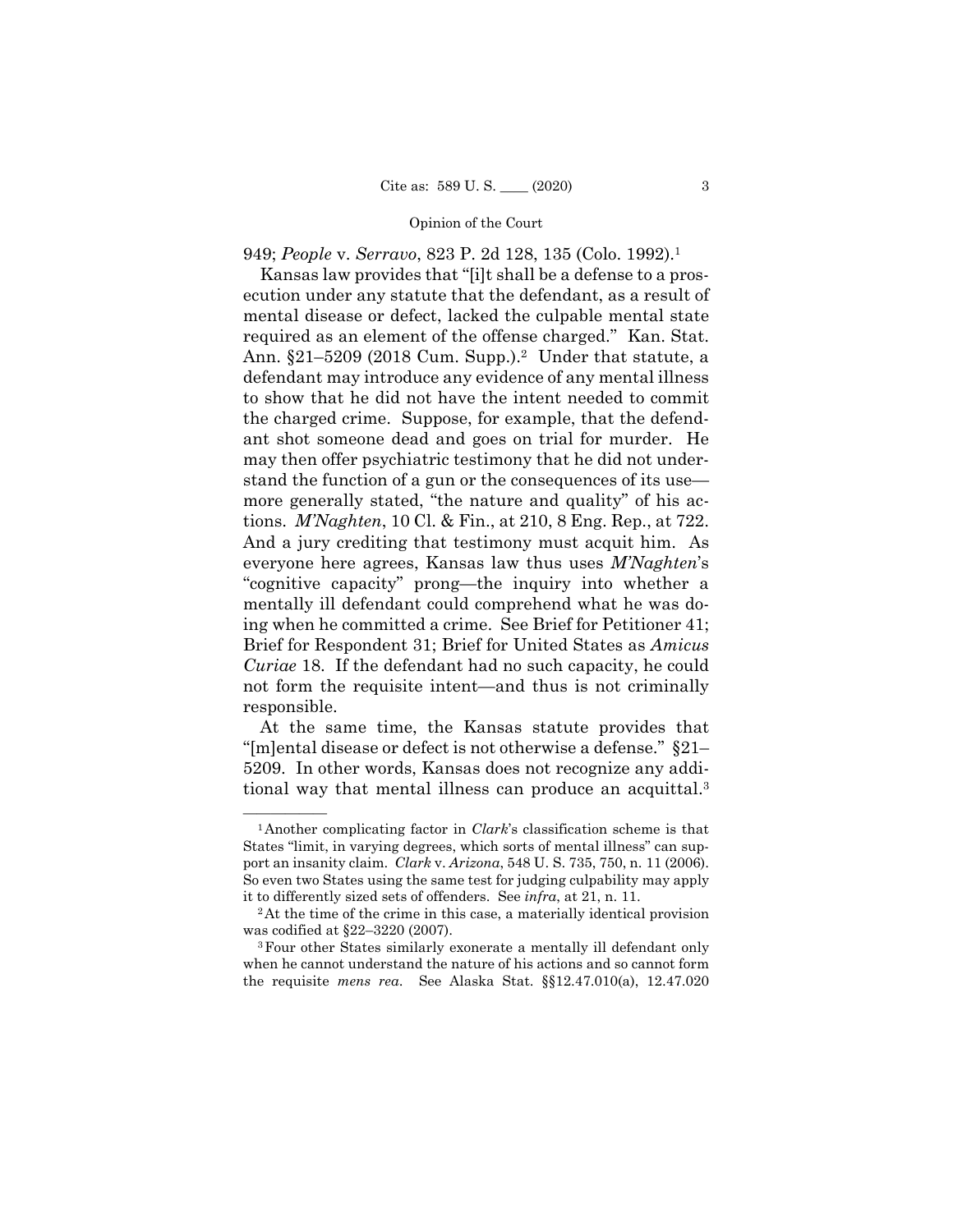949; *People* v. *Serravo*, 823 P. 2d 128, 135 (Colo. 1992).1

 responsible. Kansas law provides that "[i]t shall be a defense to a prosecution under any statute that the defendant, as a result of mental disease or defect, lacked the culpable mental state required as an element of the offense charged." Kan. Stat. Ann. §21–5209 (2018 Cum. Supp.).2 Under that statute, a defendant may introduce any evidence of any mental illness to show that he did not have the intent needed to commit the charged crime. Suppose, for example, that the defendant shot someone dead and goes on trial for murder. He may then offer psychiatric testimony that he did not understand the function of a gun or the consequences of its use more generally stated, "the nature and quality" of his actions. *M'Naghten*, 10 Cl. & Fin., at 210, 8 Eng. Rep., at 722. And a jury crediting that testimony must acquit him. As everyone here agrees, Kansas law thus uses *M'Naghten*'s "cognitive capacity" prong—the inquiry into whether a mentally ill defendant could comprehend what he was doing when he committed a crime. See Brief for Petitioner 41; Brief for Respondent 31; Brief for United States as *Amicus Curiae* 18. If the defendant had no such capacity, he could not form the requisite intent—and thus is not criminally

 tional way that mental illness can produce an acquittal.3 At the same time, the Kansas statute provides that "[m]ental disease or defect is not otherwise a defense." §21– 5209. In other words, Kansas does not recognize any addi-

 port an insanity claim. *Clark* v. *Arizona*, 548 U. S. 735, 750, n. 11 (2006).  $\frac{1}{2}$ Another complicating factor in *Clark*'s classification scheme is that States "limit, in varying degrees, which sorts of mental illness" can sup-So even two States using the same test for judging culpability may apply it to differently sized sets of offenders. See *infra*, at 21, n. 11.<br><sup>2</sup>At the time of the crime in this case, a materially identical provision

was codified at §22–3220 (2007).<br><sup>3</sup>Four other States similarly exonerate a mentally ill defendant only

when he cannot understand the nature of his actions and so cannot form the requisite *mens rea*. See Alaska Stat. §§12.47.010(a), 12.47.020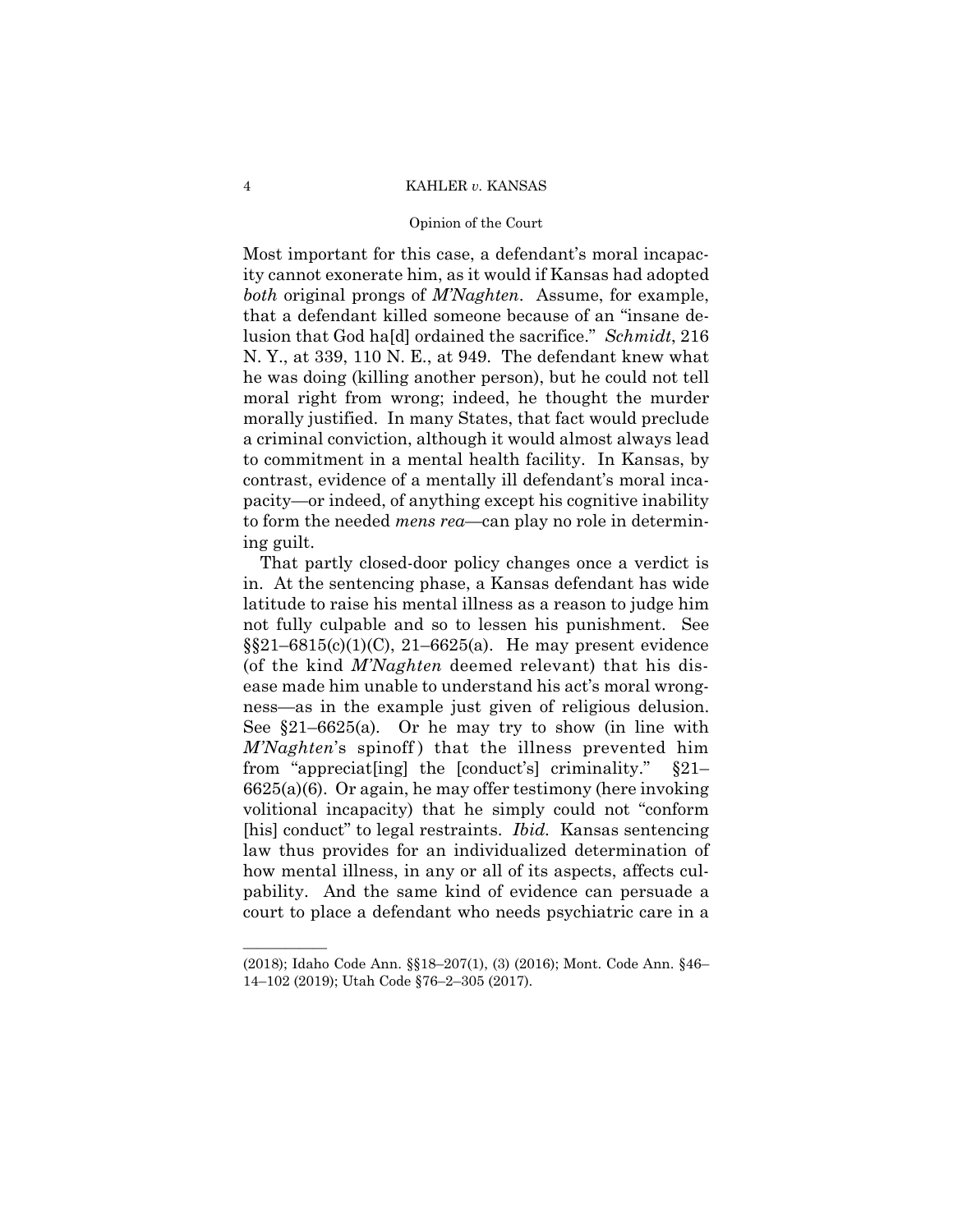# Opinion of the Court

Most important for this case, a defendant's moral incapacity cannot exonerate him, as it would if Kansas had adopted *both* original prongs of *M'Naghten*. Assume, for example, that a defendant killed someone because of an "insane delusion that God ha[d] ordained the sacrifice." *Schmidt*, 216 N. Y., at 339, 110 N. E., at 949. The defendant knew what he was doing (killing another person), but he could not tell moral right from wrong; indeed, he thought the murder morally justified. In many States, that fact would preclude a criminal conviction, although it would almost always lead to commitment in a mental health facility. In Kansas, by contrast, evidence of a mentally ill defendant's moral incapacity—or indeed, of anything except his cognitive inability to form the needed *mens rea*—can play no role in determining guilt.

That partly closed-door policy changes once a verdict is in. At the sentencing phase, a Kansas defendant has wide latitude to raise his mental illness as a reason to judge him not fully culpable and so to lessen his punishment. See  $\S21-6815(c)(1)(C), 21-6625(a)$ . He may present evidence (of the kind *M'Naghten* deemed relevant) that his disease made him unable to understand his act's moral wrongness—as in the example just given of religious delusion. See §21–6625(a)*.* Or he may try to show (in line with *M'Naghten's* spinoff) that the illness prevented him from "appreciat[ing] the [conduct's] criminality." §21– 6625(a)(6). Or again, he may offer testimony (here invoking volitional incapacity) that he simply could not "conform [his] conduct" to legal restraints. *Ibid.* Kansas sentencing law thus provides for an individualized determination of how mental illness, in any or all of its aspects, affects culpability. And the same kind of evidence can persuade a court to place a defendant who needs psychiatric care in a

——————

<sup>(2018);</sup> Idaho Code Ann. §§18–207(1), (3) (2016); Mont. Code Ann. §46– 14–102 (2019); Utah Code §76–2–305 (2017).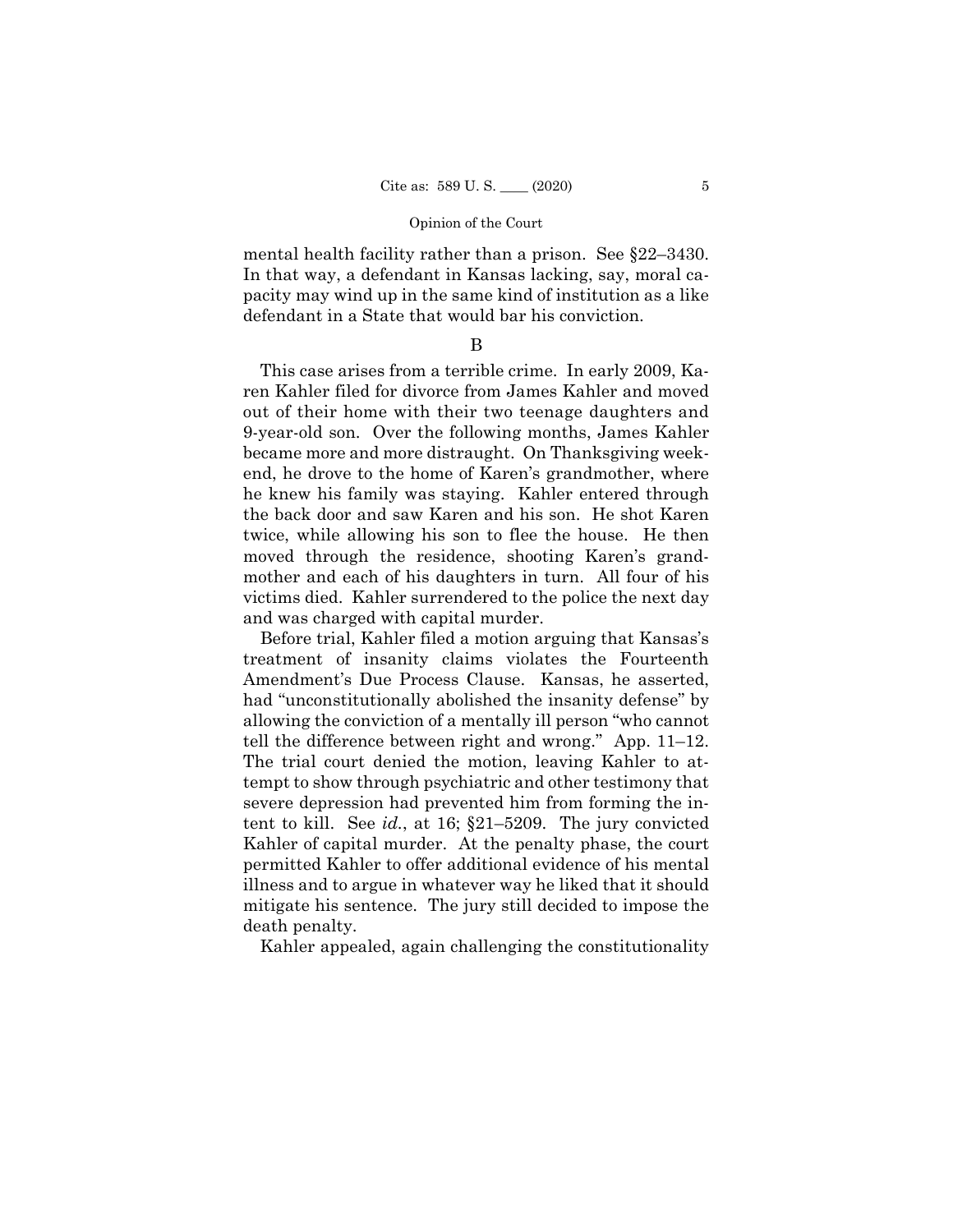mental health facility rather than a prison. See §22–3430. In that way, a defendant in Kansas lacking, say, moral capacity may wind up in the same kind of institution as a like defendant in a State that would bar his conviction.

# B

 became more and more distraught. On Thanksgiving week-This case arises from a terrible crime. In early 2009, Karen Kahler filed for divorce from James Kahler and moved out of their home with their two teenage daughters and 9-year-old son. Over the following months, James Kahler end, he drove to the home of Karen's grandmother, where he knew his family was staying. Kahler entered through the back door and saw Karen and his son. He shot Karen twice, while allowing his son to flee the house. He then moved through the residence, shooting Karen's grandmother and each of his daughters in turn. All four of his victims died. Kahler surrendered to the police the next day and was charged with capital murder.

Before trial, Kahler filed a motion arguing that Kansas's treatment of insanity claims violates the Fourteenth Amendment's Due Process Clause. Kansas, he asserted, had "unconstitutionally abolished the insanity defense" by allowing the conviction of a mentally ill person "who cannot tell the difference between right and wrong." App. 11–12. The trial court denied the motion, leaving Kahler to attempt to show through psychiatric and other testimony that severe depression had prevented him from forming the intent to kill. See *id.*, at 16; §21–5209. The jury convicted Kahler of capital murder. At the penalty phase, the court permitted Kahler to offer additional evidence of his mental illness and to argue in whatever way he liked that it should mitigate his sentence. The jury still decided to impose the death penalty.

Kahler appealed, again challenging the constitutionality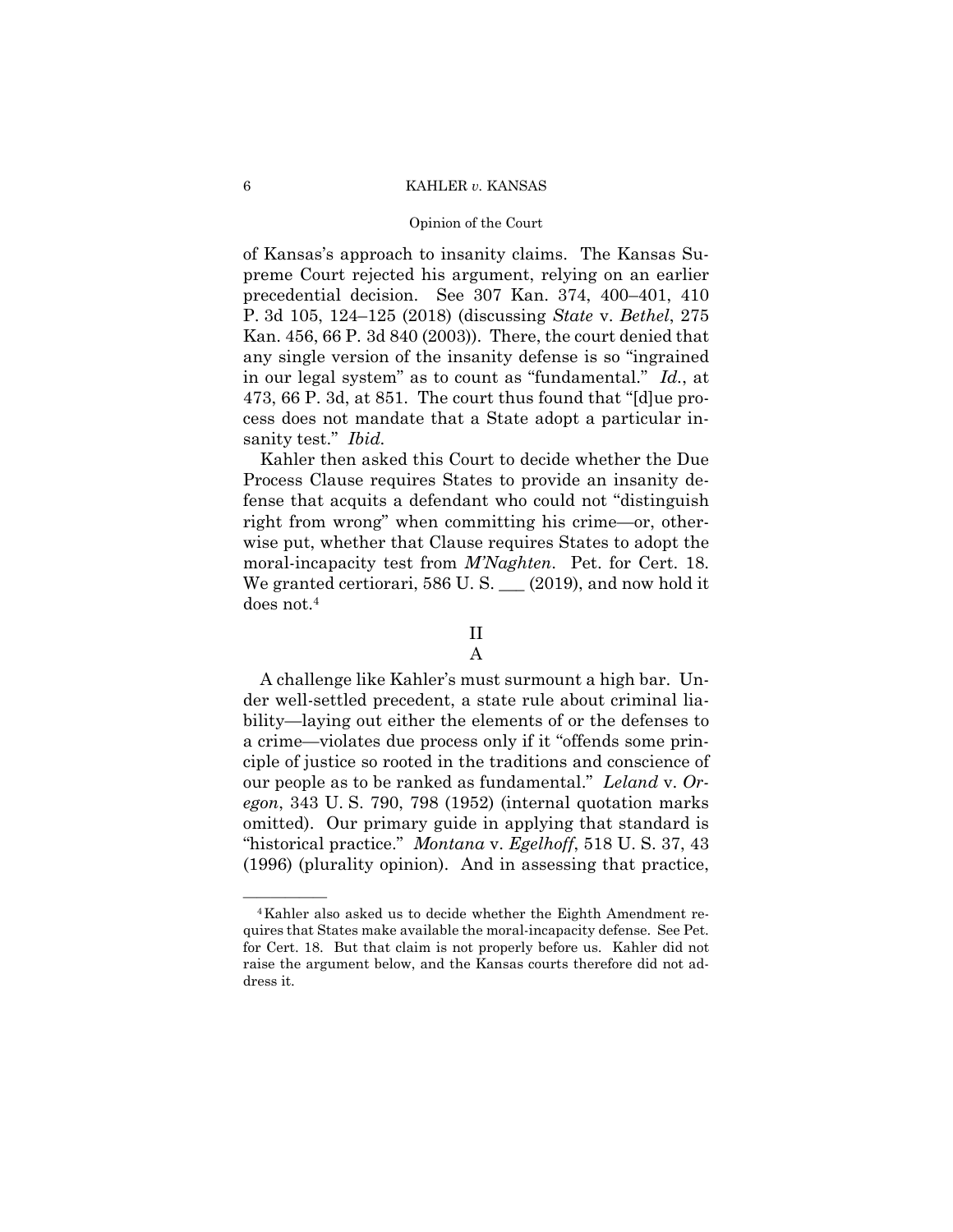# Opinion of the Court

 sanity test." *Ibid.*  of Kansas's approach to insanity claims. The Kansas Supreme Court rejected his argument, relying on an earlier precedential decision. See 307 Kan. 374, 400–401, 410 P. 3d 105, 124–125 (2018) (discussing *State* v. *Bethel*, 275 Kan. 456, 66 P. 3d 840 (2003)). There, the court denied that any single version of the insanity defense is so "ingrained in our legal system" as to count as "fundamental." *Id.*, at 473, 66 P. 3d, at 851. The court thus found that "[d]ue process does not mandate that a State adopt a particular in-

Kahler then asked this Court to decide whether the Due Process Clause requires States to provide an insanity defense that acquits a defendant who could not "distinguish right from wrong" when committing his crime—or, otherwise put, whether that Clause requires States to adopt the moral-incapacity test from *M'Naghten*. Pet. for Cert. 18. We granted certiorari, 586 U.S.  $\qquad$  (2019), and now hold it does not.<sup>4</sup>

# II

# A

A challenge like Kahler's must surmount a high bar. Under well-settled precedent, a state rule about criminal liability—laying out either the elements of or the defenses to a crime—violates due process only if it "offends some principle of justice so rooted in the traditions and conscience of our people as to be ranked as fundamental." *Leland* v. *Oregon*, 343 U. S. 790, 798 (1952) (internal quotation marks omitted). Our primary guide in applying that standard is "historical practice." *Montana* v. *Egelhoff*, 518 U. S. 37, 43 (1996) (plurality opinion). And in assessing that practice,

<sup>&</sup>lt;sup>4</sup>Kahler also asked us to decide whether the Eighth Amendment requires that States make available the moral-incapacity defense. See Pet. for Cert. 18. But that claim is not properly before us. Kahler did not raise the argument below, and the Kansas courts therefore did not address it.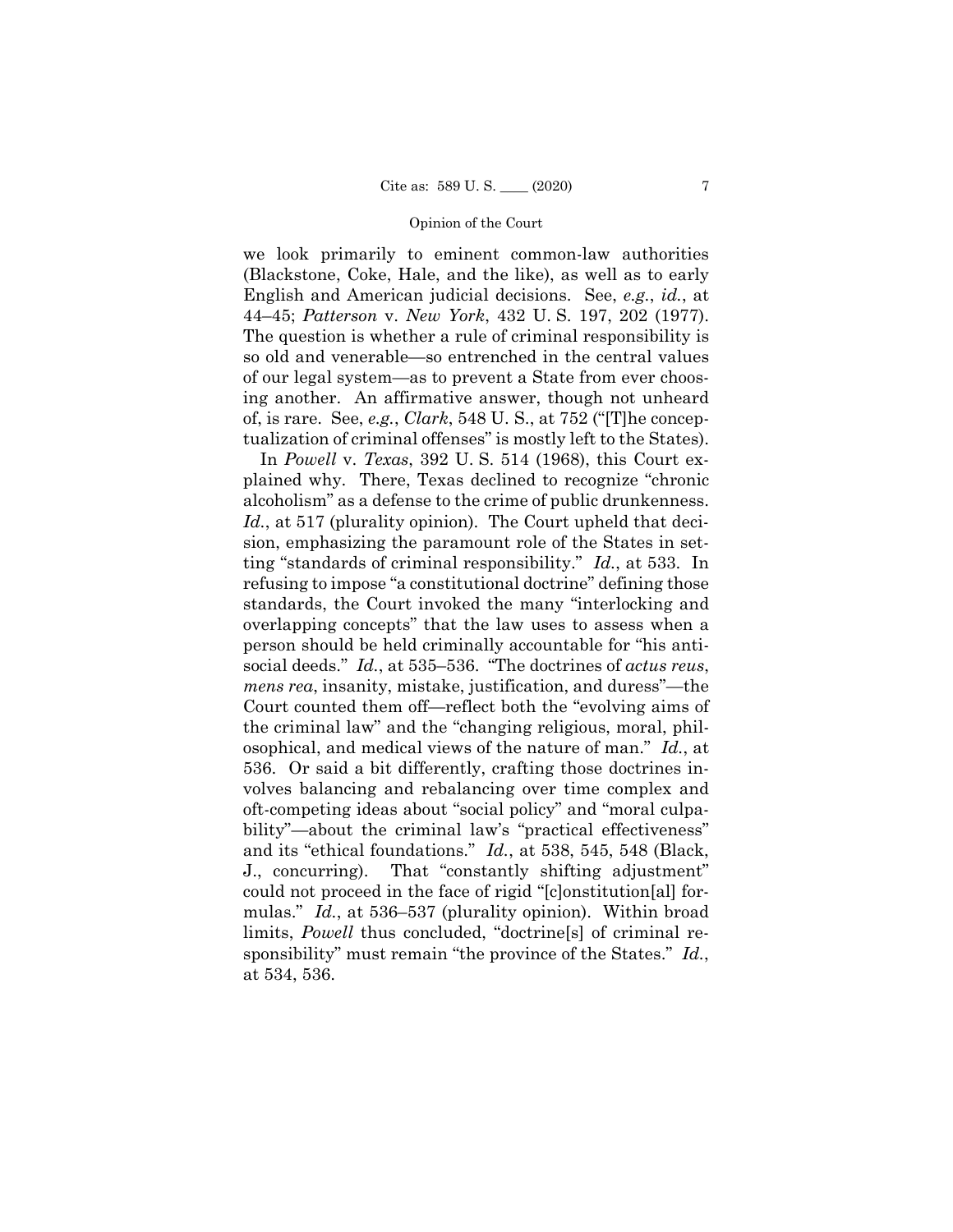we look primarily to eminent common-law authorities (Blackstone, Coke, Hale, and the like), as well as to early English and American judicial decisions. See, *e.g.*, *id.*, at 44–45; *Patterson* v. *New York*, 432 U. S. 197, 202 (1977). The question is whether a rule of criminal responsibility is so old and venerable—so entrenched in the central values of our legal system—as to prevent a State from ever choosing another. An affirmative answer, though not unheard of, is rare. See, *e.g.*, *Clark*, 548 U. S., at 752 ("[T]he conceptualization of criminal offenses" is mostly left to the States).

In *Powell* v. *Texas*, 392 U. S. 514 (1968), this Court explained why. There, Texas declined to recognize "chronic alcoholism" as a defense to the crime of public drunkenness. *Id.*, at 517 (plurality opinion). The Court upheld that decision, emphasizing the paramount role of the States in setting "standards of criminal responsibility." *Id.*, at 533. In refusing to impose "a constitutional doctrine" defining those standards, the Court invoked the many "interlocking and overlapping concepts" that the law uses to assess when a person should be held criminally accountable for "his antisocial deeds." *Id.*, at 535–536. "The doctrines of *actus reus*, *mens rea*, insanity, mistake, justification, and duress"—the Court counted them off—reflect both the "evolving aims of the criminal law" and the "changing religious, moral, philosophical, and medical views of the nature of man." *Id.*, at 536. Or said a bit differently, crafting those doctrines involves balancing and rebalancing over time complex and oft-competing ideas about "social policy" and "moral culpability"—about the criminal law's "practical effectiveness" and its "ethical foundations." *Id.*, at 538, 545, 548 (Black, J., concurring). That "constantly shifting adjustment" could not proceed in the face of rigid "[c]onstitution[al] formulas." *Id.*, at 536–537 (plurality opinion). Within broad limits, *Powell* thus concluded, "doctrine[s] of criminal responsibility" must remain "the province of the States." *Id.*, at 534, 536.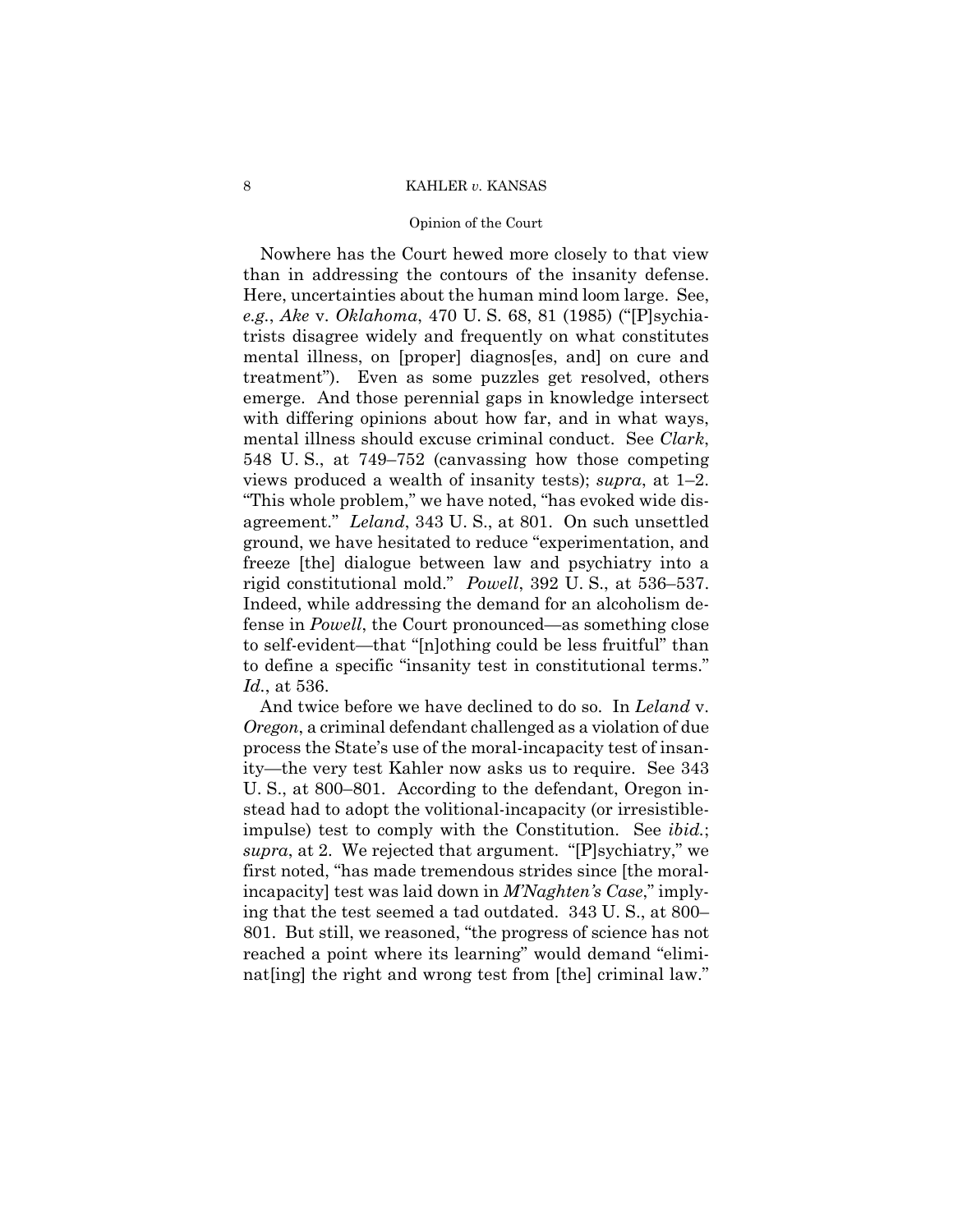# Opinion of the Court

 rigid constitutional mold." *Powell*, 392 U. S., at 536–537. Indeed, while addressing the demand for an alcoholism de-Nowhere has the Court hewed more closely to that view than in addressing the contours of the insanity defense. Here, uncertainties about the human mind loom large. See, *e.g.*, *Ake* v. *Oklahoma*, 470 U. S. 68, 81 (1985) ("[P]sychiatrists disagree widely and frequently on what constitutes mental illness, on [proper] diagnos[es, and] on cure and treatment"). Even as some puzzles get resolved, others emerge. And those perennial gaps in knowledge intersect with differing opinions about how far, and in what ways, mental illness should excuse criminal conduct. See *Clark*, 548 U. S., at 749–752 (canvassing how those competing views produced a wealth of insanity tests); *supra*, at 1–2. "This whole problem," we have noted, "has evoked wide disagreement." *Leland*, 343 U. S., at 801. On such unsettled ground, we have hesitated to reduce "experimentation, and freeze [the] dialogue between law and psychiatry into a fense in *Powell*, the Court pronounced—as something close to self-evident—that "[n]othing could be less fruitful" than to define a specific "insanity test in constitutional terms." *Id.*, at 536.

And twice before we have declined to do so. In *Leland* v. *Oregon*, a criminal defendant challenged as a violation of due process the State's use of the moral-incapacity test of insanity—the very test Kahler now asks us to require. See 343 U. S., at 800–801. According to the defendant, Oregon instead had to adopt the volitional-incapacity (or irresistibleimpulse) test to comply with the Constitution. See *ibid.*; *supra*, at 2. We rejected that argument. "[P]sychiatry," we first noted, "has made tremendous strides since [the moralincapacity] test was laid down in *M'Naghten's Case*," implying that the test seemed a tad outdated. 343 U. S., at 800– 801. But still, we reasoned, "the progress of science has not reached a point where its learning" would demand "eliminat [ing] the right and wrong test from [the] criminal law."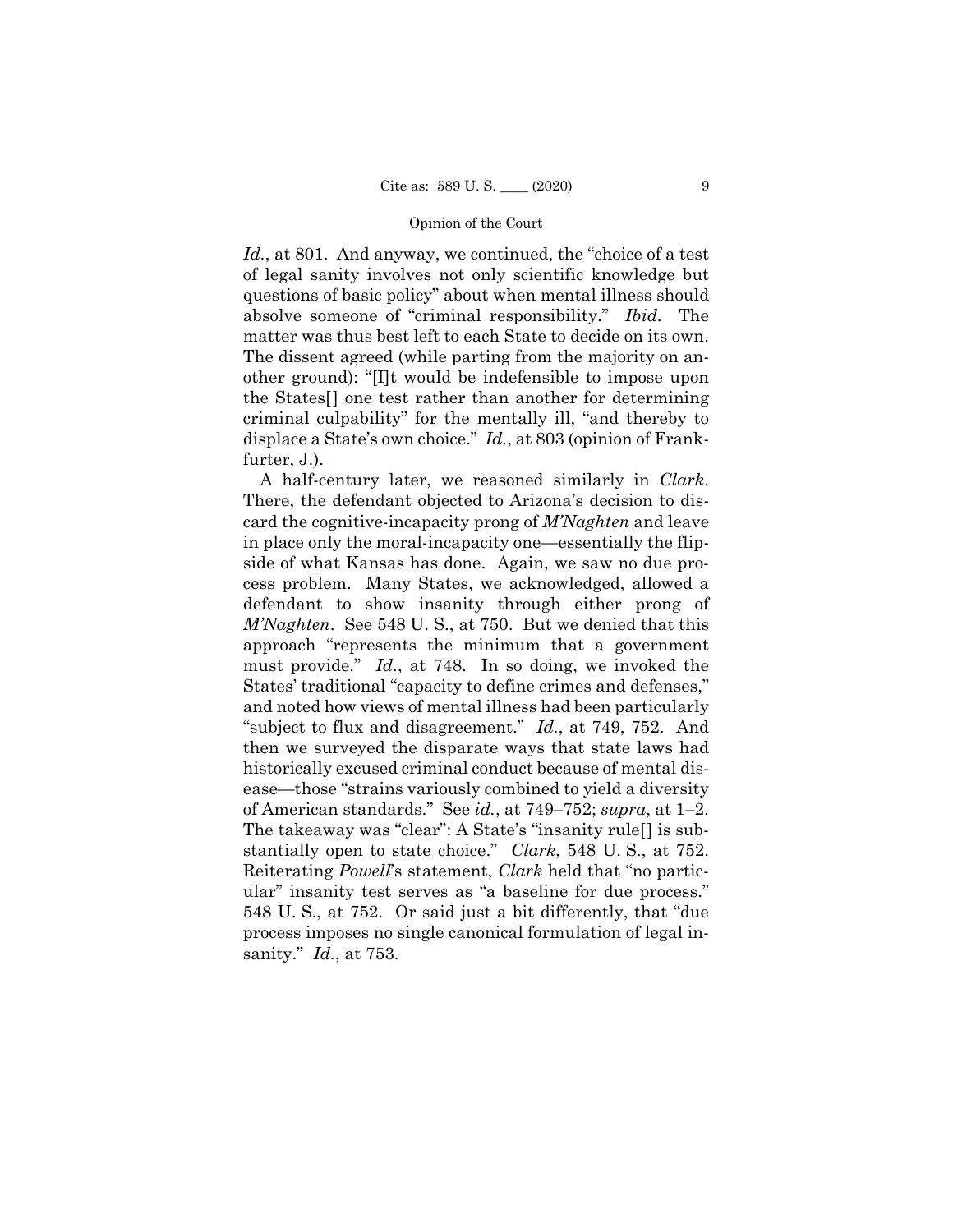matter was thus best left to each State to decide on its own. Id., at 801. And anyway, we continued, the "choice of a test" of legal sanity involves not only scientific knowledge but questions of basic policy" about when mental illness should absolve someone of "criminal responsibility." *Ibid.* The The dissent agreed (while parting from the majority on another ground): "[I]t would be indefensible to impose upon the States[] one test rather than another for determining criminal culpability" for the mentally ill, "and thereby to displace a State's own choice." *Id.*, at 803 (opinion of Frankfurter, J.).

A half-century later, we reasoned similarly in *Clark*. There, the defendant objected to Arizona's decision to discard the cognitive-incapacity prong of *M'Naghten* and leave in place only the moral-incapacity one—essentially the flipside of what Kansas has done. Again, we saw no due process problem. Many States, we acknowledged, allowed a defendant to show insanity through either prong of *M'Naghten*. See 548 U. S., at 750. But we denied that this approach "represents the minimum that a government must provide." *Id.*, at 748. In so doing, we invoked the States' traditional "capacity to define crimes and defenses," and noted how views of mental illness had been particularly "subject to flux and disagreement." *Id.*, at 749, 752. And then we surveyed the disparate ways that state laws had historically excused criminal conduct because of mental disease—those "strains variously combined to yield a diversity of American standards." See *id.*, at 749–752; *supra*, at 1–2. The takeaway was "clear": A State's "insanity rule[] is substantially open to state choice." *Clark*, 548 U. S., at 752. Reiterating *Powell*'s statement, *Clark* held that "no particular" insanity test serves as "a baseline for due process." 548 U. S., at 752. Or said just a bit differently, that "due process imposes no single canonical formulation of legal insanity." *Id.*, at 753.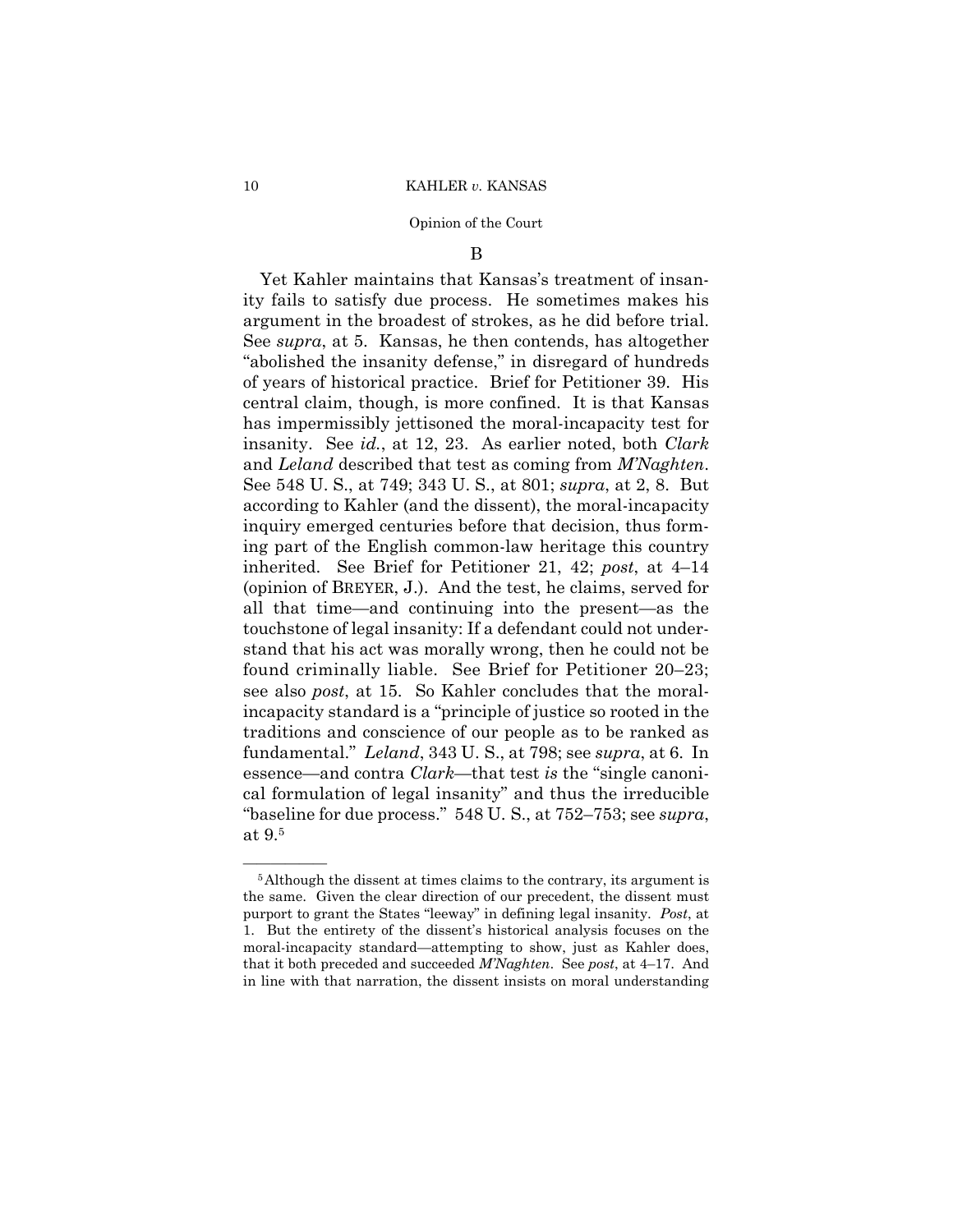# B

Yet Kahler maintains that Kansas's treatment of insanity fails to satisfy due process. He sometimes makes his argument in the broadest of strokes, as he did before trial. See *supra*, at 5. Kansas, he then contends, has altogether "abolished the insanity defense," in disregard of hundreds of years of historical practice. Brief for Petitioner 39. His central claim, though, is more confined. It is that Kansas has impermissibly jettisoned the moral-incapacity test for insanity. See *id.*, at 12, 23. As earlier noted, both *Clark*  and *Leland* described that test as coming from *M'Naghten*. See 548 U. S., at 749; 343 U. S., at 801; *supra*, at 2, 8. But according to Kahler (and the dissent), the moral-incapacity inquiry emerged centuries before that decision, thus forming part of the English common-law heritage this country inherited. See Brief for Petitioner 21, 42; *post*, at 4–14 (opinion of BREYER, J.). And the test, he claims, served for all that time—and continuing into the present—as the touchstone of legal insanity: If a defendant could not understand that his act was morally wrong, then he could not be found criminally liable. See Brief for Petitioner 20–23; see also *post*, at 15. So Kahler concludes that the moralincapacity standard is a "principle of justice so rooted in the traditions and conscience of our people as to be ranked as fundamental." *Leland*, 343 U. S., at 798; see *supra*, at 6. In essence—and contra *Clark*—that test *is* the "single canonical formulation of legal insanity" and thus the irreducible "baseline for due process." 548 U. S., at 752–753; see *supra*, at 9.5

<sup>&</sup>lt;sup>5</sup>Although the dissent at times claims to the contrary, its argument is the same. Given the clear direction of our precedent, the dissent must purport to grant the States "leeway" in defining legal insanity. *Post*, at 1. But the entirety of the dissent's historical analysis focuses on the moral-incapacity standard—attempting to show, just as Kahler does, that it both preceded and succeeded *M'Naghten*. See *post*, at 4–17. And in line with that narration, the dissent insists on moral understanding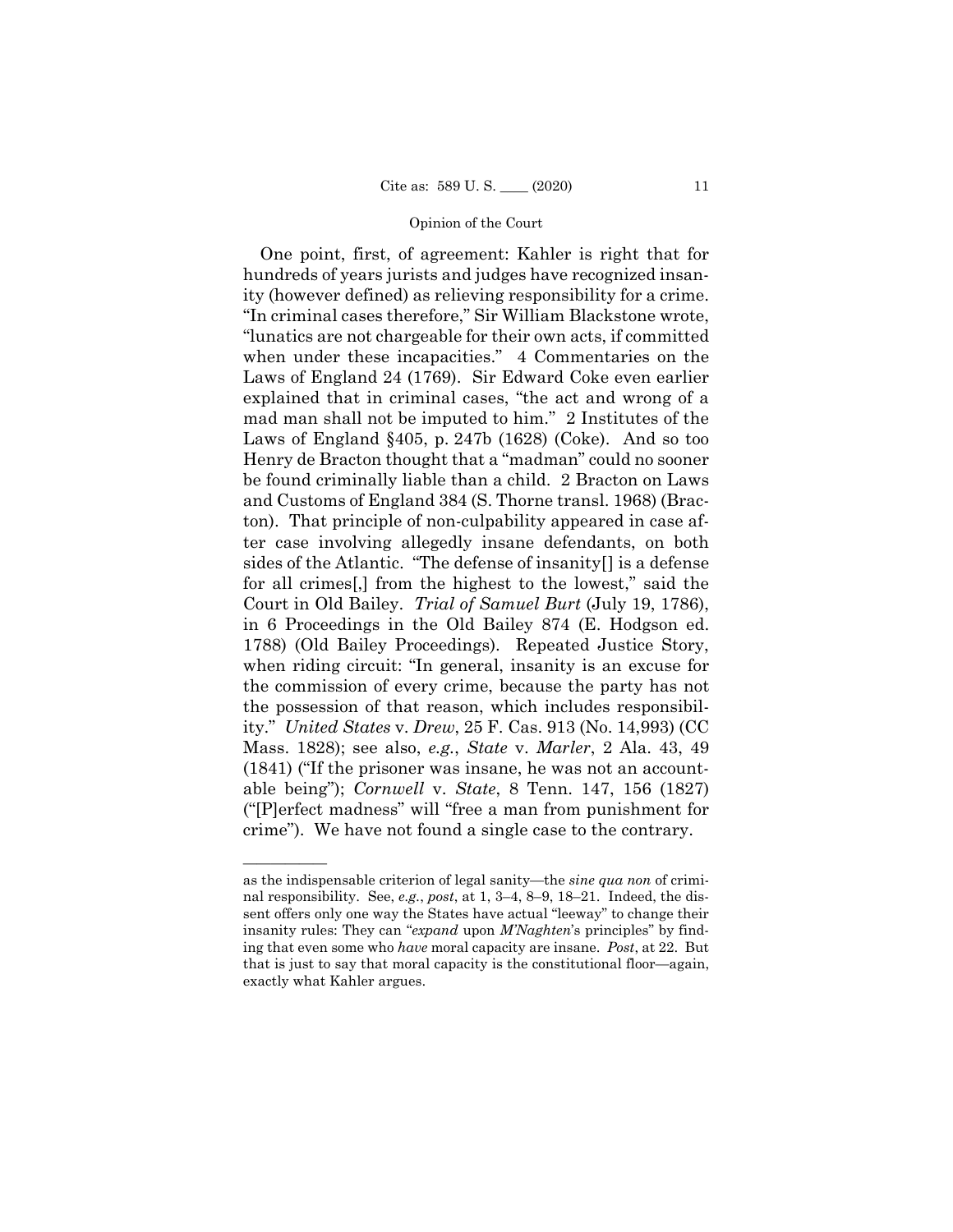One point, first, of agreement: Kahler is right that for hundreds of years jurists and judges have recognized insanity (however defined) as relieving responsibility for a crime. "In criminal cases therefore," Sir William Blackstone wrote, "lunatics are not chargeable for their own acts, if committed when under these incapacities." 4 Commentaries on the Laws of England 24 (1769). Sir Edward Coke even earlier explained that in criminal cases, "the act and wrong of a mad man shall not be imputed to him." 2 Institutes of the Laws of England §405, p. 247b (1628) (Coke). And so too Henry de Bracton thought that a "madman" could no sooner be found criminally liable than a child. 2 Bracton on Laws and Customs of England 384 (S. Thorne transl. 1968) (Bracton). That principle of non-culpability appeared in case after case involving allegedly insane defendants, on both sides of the Atlantic. "The defense of insanity[] is a defense for all crimes[,] from the highest to the lowest," said the Court in Old Bailey. *Trial of Samuel Burt* (July 19, 1786), in 6 Proceedings in the Old Bailey 874 (E. Hodgson ed. 1788) (Old Bailey Proceedings). Repeated Justice Story, when riding circuit: "In general, insanity is an excuse for the commission of every crime, because the party has not the possession of that reason, which includes responsibility." *United States* v. *Drew*, 25 F. Cas. 913 (No. 14,993) (CC Mass. 1828); see also, *e.g.*, *State* v. *Marler*, 2 Ala. 43, 49 (1841) ("If the prisoner was insane, he was not an accountable being"); *Cornwell* v. *State*, 8 Tenn. 147, 156 (1827) ("[P]erfect madness" will "free a man from punishment for crime"). We have not found a single case to the contrary.

——————

as the indispensable criterion of legal sanity—the *sine qua non* of criminal responsibility. See, *e.g.*, *post*, at 1, 3–4, 8–9, 18–21. Indeed, the dissent offers only one way the States have actual "leeway" to change their insanity rules: They can "*expand* upon *M'Naghten*'s principles" by finding that even some who *have* moral capacity are insane. *Post*, at 22. But that is just to say that moral capacity is the constitutional floor—again, exactly what Kahler argues.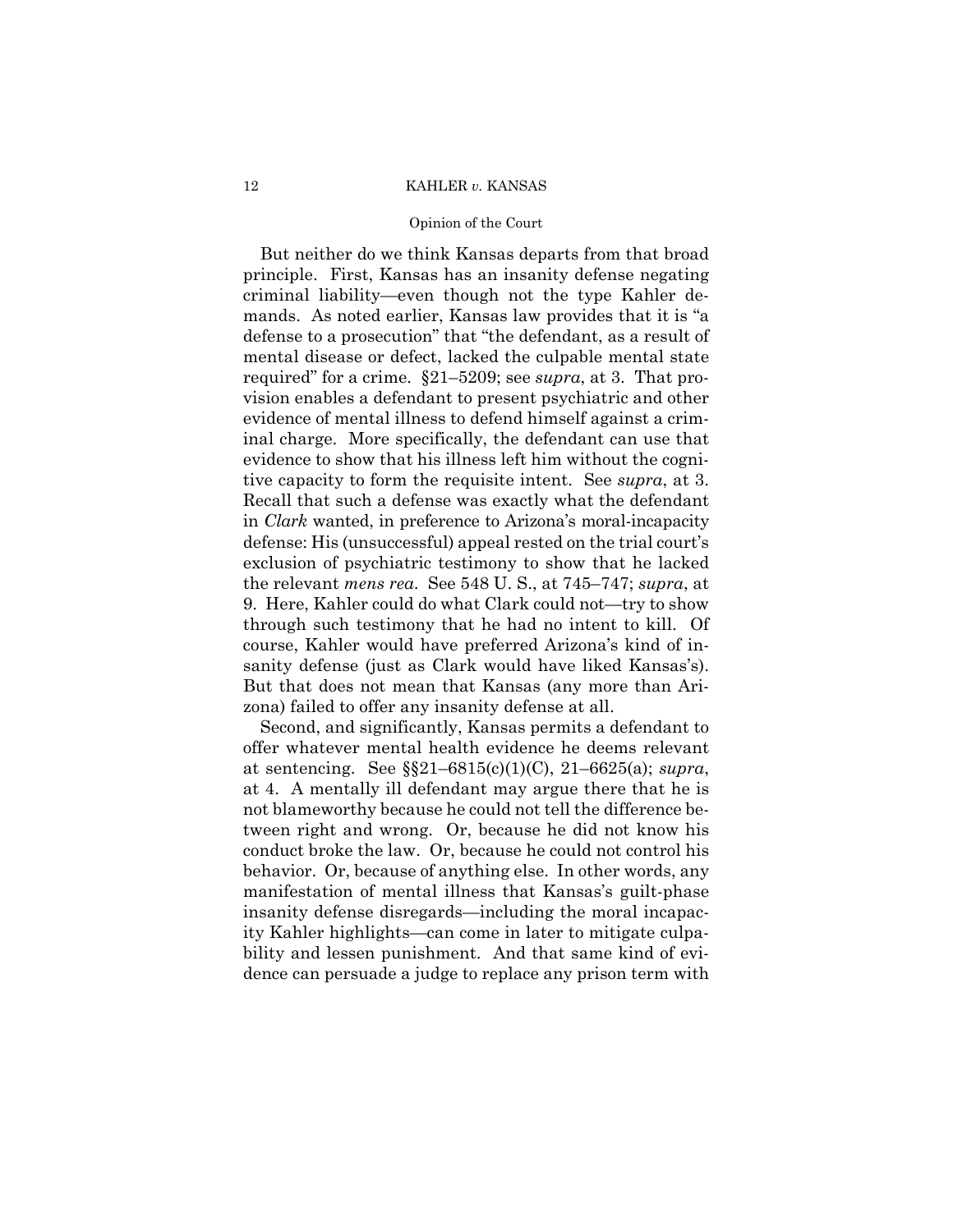# Opinion of the Court

But neither do we think Kansas departs from that broad principle. First, Kansas has an insanity defense negating criminal liability—even though not the type Kahler demands. As noted earlier, Kansas law provides that it is "a defense to a prosecution" that "the defendant, as a result of mental disease or defect, lacked the culpable mental state required" for a crime. §21–5209; see *supra*, at 3. That provision enables a defendant to present psychiatric and other evidence of mental illness to defend himself against a criminal charge. More specifically, the defendant can use that evidence to show that his illness left him without the cognitive capacity to form the requisite intent. See *supra*, at 3. Recall that such a defense was exactly what the defendant in *Clark* wanted, in preference to Arizona's moral-incapacity defense: His (unsuccessful) appeal rested on the trial court's exclusion of psychiatric testimony to show that he lacked the relevant *mens rea*. See 548 U. S., at 745–747; *supra*, at 9. Here, Kahler could do what Clark could not—try to show through such testimony that he had no intent to kill. Of course, Kahler would have preferred Arizona's kind of insanity defense (just as Clark would have liked Kansas's). But that does not mean that Kansas (any more than Arizona) failed to offer any insanity defense at all.

Second, and significantly, Kansas permits a defendant to offer whatever mental health evidence he deems relevant at sentencing. See §§21–6815(c)(1)(C), 21–6625(a); *supra*, at 4. A mentally ill defendant may argue there that he is not blameworthy because he could not tell the difference between right and wrong. Or, because he did not know his conduct broke the law. Or, because he could not control his behavior. Or, because of anything else. In other words, any manifestation of mental illness that Kansas's guilt-phase insanity defense disregards—including the moral incapacity Kahler highlights—can come in later to mitigate culpability and lessen punishment. And that same kind of evidence can persuade a judge to replace any prison term with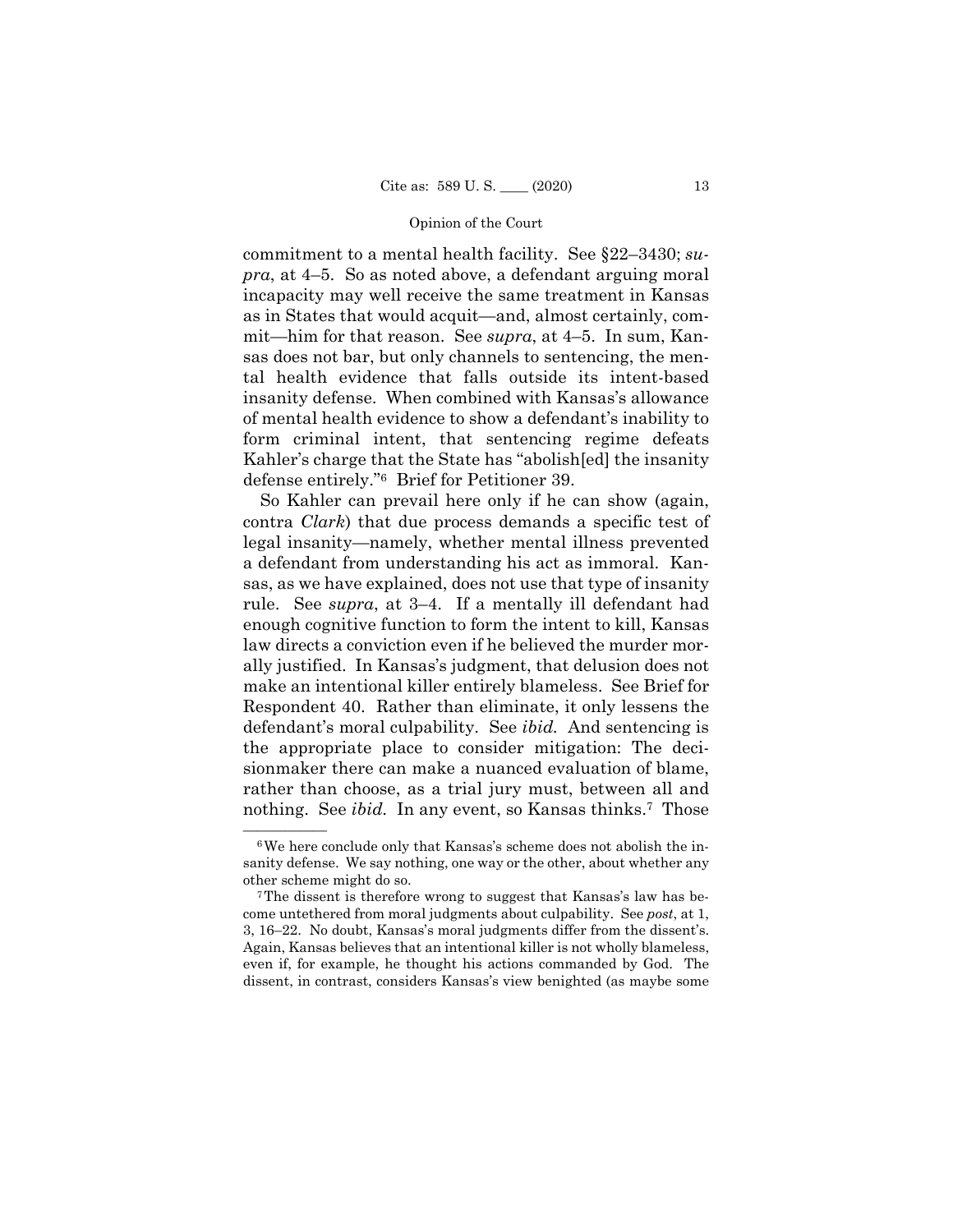commitment to a mental health facility. See §22–3430; *supra*, at 4–5. So as noted above, a defendant arguing moral incapacity may well receive the same treatment in Kansas as in States that would acquit—and, almost certainly, commit—him for that reason. See *supra*, at 4–5. In sum, Kansas does not bar, but only channels to sentencing, the mental health evidence that falls outside its intent-based insanity defense. When combined with Kansas's allowance of mental health evidence to show a defendant's inability to form criminal intent, that sentencing regime defeats Kahler's charge that the State has "abolish[ed] the insanity defense entirely."6 Brief for Petitioner 39.

So Kahler can prevail here only if he can show (again, contra *Clark*) that due process demands a specific test of legal insanity—namely, whether mental illness prevented a defendant from understanding his act as immoral. Kansas, as we have explained, does not use that type of insanity rule. See *supra*, at 3–4. If a mentally ill defendant had enough cognitive function to form the intent to kill, Kansas law directs a conviction even if he believed the murder morally justified. In Kansas's judgment, that delusion does not make an intentional killer entirely blameless. See Brief for Respondent 40. Rather than eliminate, it only lessens the defendant's moral culpability. See *ibid.* And sentencing is the appropriate place to consider mitigation: The decisionmaker there can make a nuanced evaluation of blame, rather than choose, as a trial jury must, between all and nothing. See *ibid*. In any event, so Kansas thinks.<sup>7</sup> Those

 $6$ We here conclude only that Kansas's scheme does not abolish the insanity defense. We say nothing, one way or the other, about whether any other scheme might do so. 7The dissent is therefore wrong to suggest that Kansas's law has be-

 even if, for example, he thought his actions commanded by God. The come untethered from moral judgments about culpability. See *post*, at 1, 3, 16–22. No doubt, Kansas's moral judgments differ from the dissent's. Again, Kansas believes that an intentional killer is not wholly blameless, dissent, in contrast, considers Kansas's view benighted (as maybe some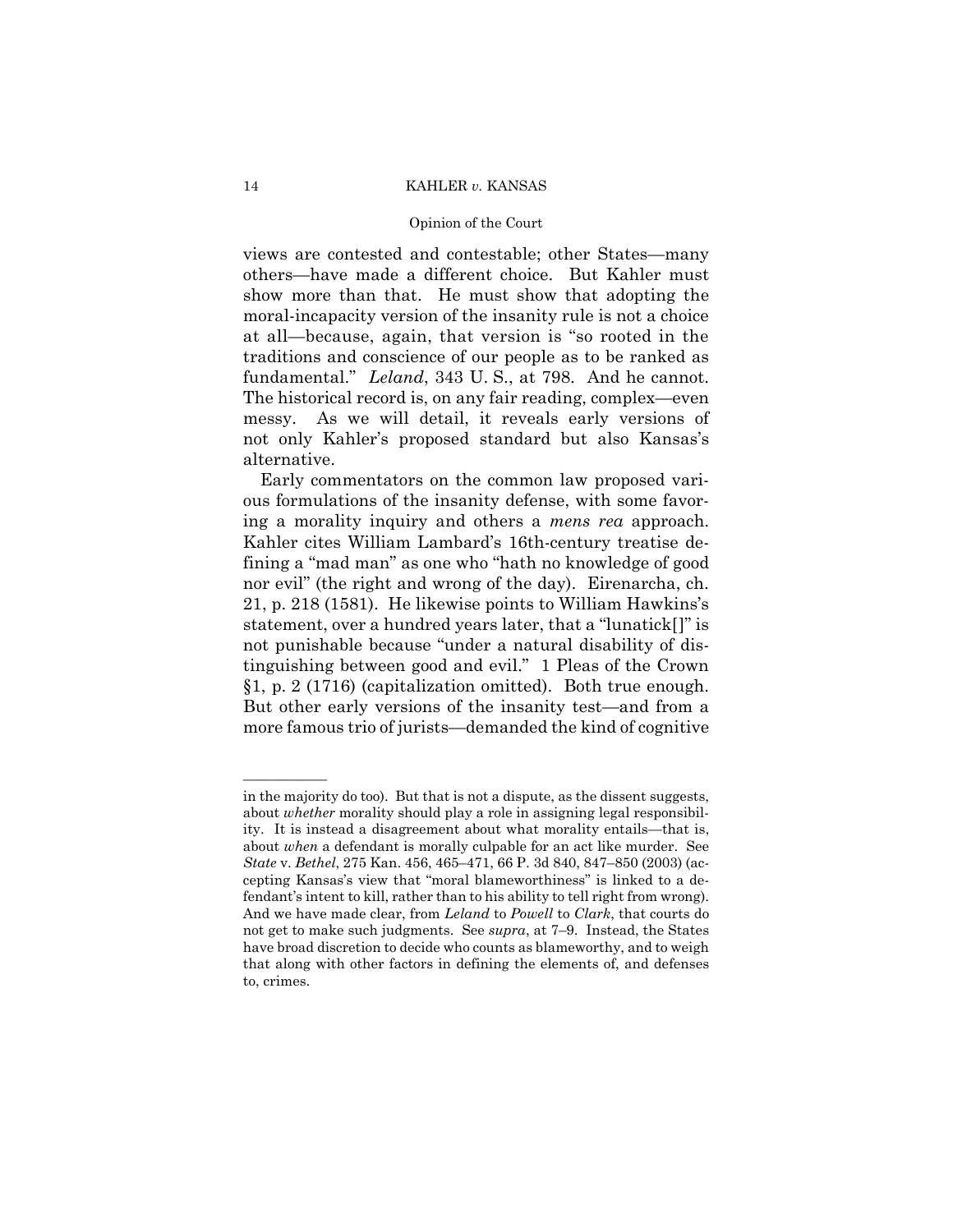# Opinion of the Court

views are contested and contestable; other States—many others—have made a different choice. But Kahler must show more than that. He must show that adopting the moral-incapacity version of the insanity rule is not a choice at all—because, again, that version is "so rooted in the traditions and conscience of our people as to be ranked as fundamental." *Leland*, 343 U. S., at 798. And he cannot. The historical record is, on any fair reading, complex—even messy. As we will detail, it reveals early versions of not only Kahler's proposed standard but also Kansas's alternative.

 ing a morality inquiry and others a *mens rea* approach. Early commentators on the common law proposed various formulations of the insanity defense, with some favor-Kahler cites William Lambard's 16th-century treatise defining a "mad man" as one who "hath no knowledge of good nor evil" (the right and wrong of the day). Eirenarcha, ch. 21, p. 218 (1581). He likewise points to William Hawkins's statement, over a hundred years later, that a "lunatick[]" is not punishable because "under a natural disability of distinguishing between good and evil." 1 Pleas of the Crown §1, p. 2 (1716) (capitalization omitted). Both true enough. But other early versions of the insanity test—and from a more famous trio of jurists—demanded the kind of cognitive

——————

in the majority do too). But that is not a dispute, as the dissent suggests, about *whether* morality should play a role in assigning legal responsibility. It is instead a disagreement about what morality entails—that is, about *when* a defendant is morally culpable for an act like murder. See *State* v. *Bethel*, 275 Kan. 456, 465–471, 66 P. 3d 840, 847–850 (2003) (accepting Kansas's view that "moral blameworthiness" is linked to a defendant's intent to kill, rather than to his ability to tell right from wrong). And we have made clear, from *Leland* to *Powell* to *Clark*, that courts do not get to make such judgments. See *supra*, at 7–9. Instead, the States have broad discretion to decide who counts as blameworthy, and to weigh that along with other factors in defining the elements of, and defenses to, crimes.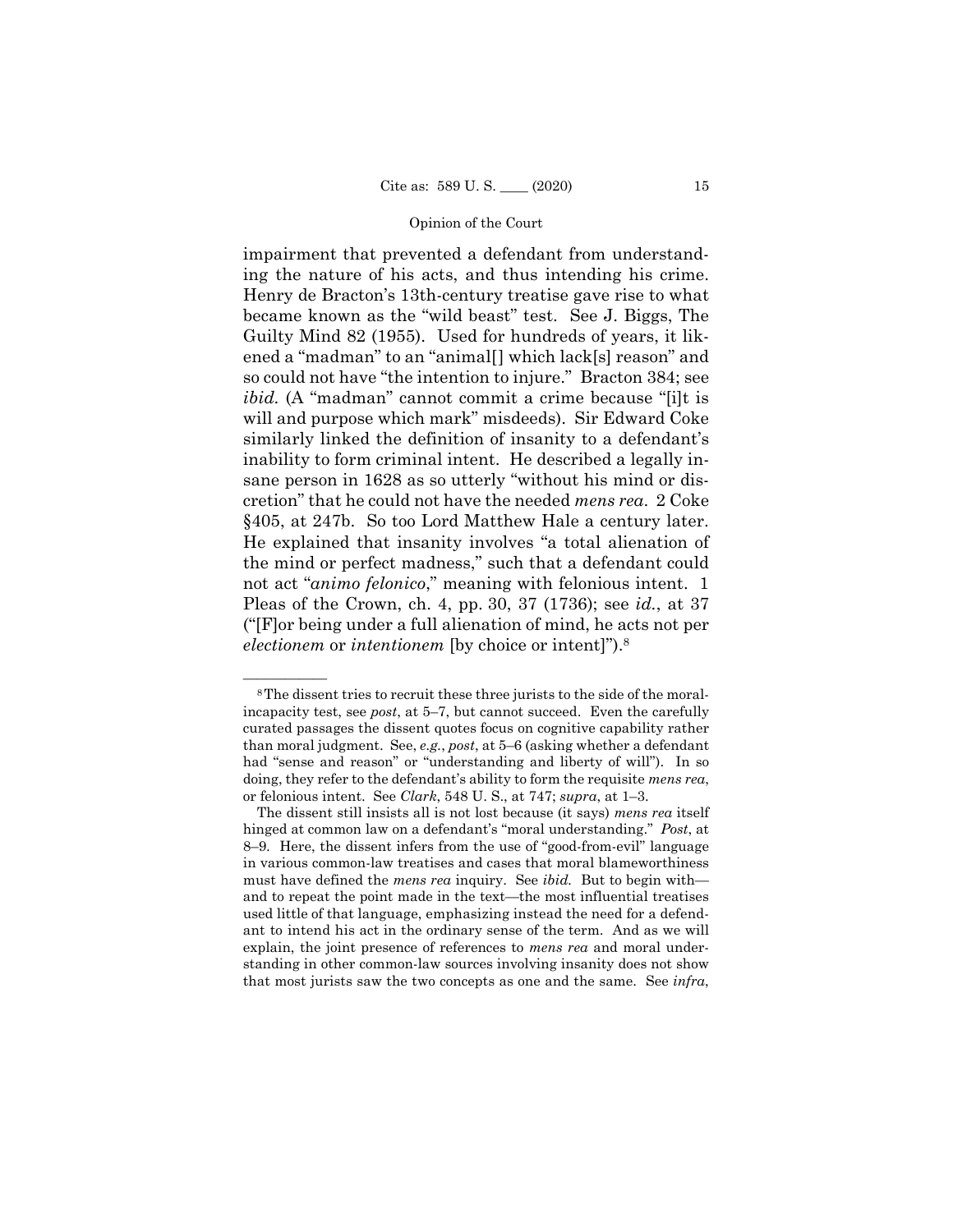not act "*animo felonico*," meaning with felonious intent. 1 impairment that prevented a defendant from understanding the nature of his acts, and thus intending his crime. Henry de Bracton's 13th-century treatise gave rise to what became known as the "wild beast" test. See J. Biggs, The Guilty Mind 82 (1955). Used for hundreds of years, it likened a "madman" to an "animal[] which lack[s] reason" and so could not have "the intention to injure." Bracton 384; see *ibid.* (A "madman" cannot commit a crime because "[i]t is will and purpose which mark" misdeeds). Sir Edward Coke similarly linked the definition of insanity to a defendant's inability to form criminal intent. He described a legally insane person in 1628 as so utterly "without his mind or discretion" that he could not have the needed *mens rea*. 2 Coke §405, at 247b. So too Lord Matthew Hale a century later. He explained that insanity involves "a total alienation of the mind or perfect madness," such that a defendant could Pleas of the Crown, ch. 4, pp. 30, 37 (1736); see *id.*, at 37 ("[F]or being under a full alienation of mind, he acts not per *electionem* or *intentionem* [by choice or intent]").8

<sup>&</sup>lt;sup>8</sup>The dissent tries to recruit these three jurists to the side of the moralincapacity test, see *post*, at 5–7, but cannot succeed. Even the carefully curated passages the dissent quotes focus on cognitive capability rather than moral judgment. See, *e.g.*, *post*, at 5–6 (asking whether a defendant had "sense and reason" or "understanding and liberty of will"). In so doing, they refer to the defendant's ability to form the requisite *mens rea*, or felonious intent. See *Clark*, 548 U. S., at 747; *supra*, at 1–3.

 ant to intend his act in the ordinary sense of the term. And as we will The dissent still insists all is not lost because (it says) *mens rea* itself hinged at common law on a defendant's "moral understanding." *Post*, at 8–9. Here, the dissent infers from the use of "good-from-evil" language in various common-law treatises and cases that moral blameworthiness must have defined the *mens rea* inquiry. See *ibid.* But to begin with and to repeat the point made in the text—the most influential treatises used little of that language, emphasizing instead the need for a defendexplain, the joint presence of references to *mens rea* and moral understanding in other common-law sources involving insanity does not show that most jurists saw the two concepts as one and the same. See *infra*,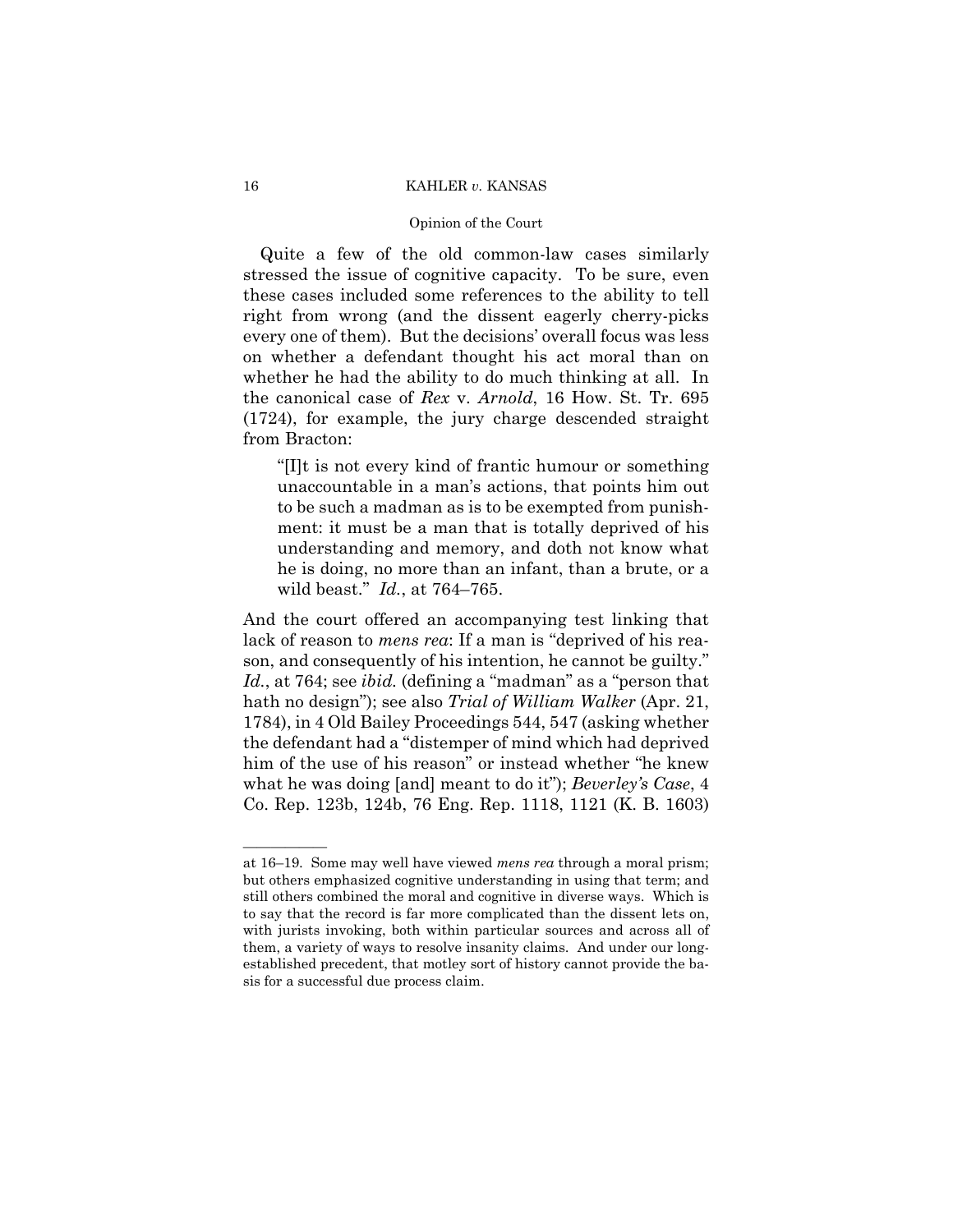# Opinion of the Court

Quite a few of the old common-law cases similarly stressed the issue of cognitive capacity. To be sure, even these cases included some references to the ability to tell right from wrong (and the dissent eagerly cherry-picks every one of them). But the decisions' overall focus was less on whether a defendant thought his act moral than on whether he had the ability to do much thinking at all. In the canonical case of *Rex* v. *Arnold*, 16 How. St. Tr. 695 (1724), for example, the jury charge descended straight from Bracton:

"[I]t is not every kind of frantic humour or something unaccountable in a man's actions, that points him out to be such a madman as is to be exempted from punishment: it must be a man that is totally deprived of his understanding and memory, and doth not know what he is doing, no more than an infant, than a brute, or a wild beast." *Id.*, at 764–765.

And the court offered an accompanying test linking that lack of reason to *mens rea*: If a man is "deprived of his reason, and consequently of his intention, he cannot be guilty." *Id.*, at 764; see *ibid.* (defining a "madman" as a "person that hath no design"); see also *Trial of William Walker* (Apr. 21, 1784), in 4 Old Bailey Proceedings 544, 547 (asking whether the defendant had a "distemper of mind which had deprived him of the use of his reason" or instead whether "he knew what he was doing [and] meant to do it"); *Beverley's Case*, 4 Co. Rep. 123b, 124b, 76 Eng. Rep. 1118, 1121 (K. B. 1603)

——————

at 16–19. Some may well have viewed *mens rea* through a moral prism; but others emphasized cognitive understanding in using that term; and still others combined the moral and cognitive in diverse ways. Which is to say that the record is far more complicated than the dissent lets on, with jurists invoking, both within particular sources and across all of them, a variety of ways to resolve insanity claims. And under our longestablished precedent, that motley sort of history cannot provide the basis for a successful due process claim.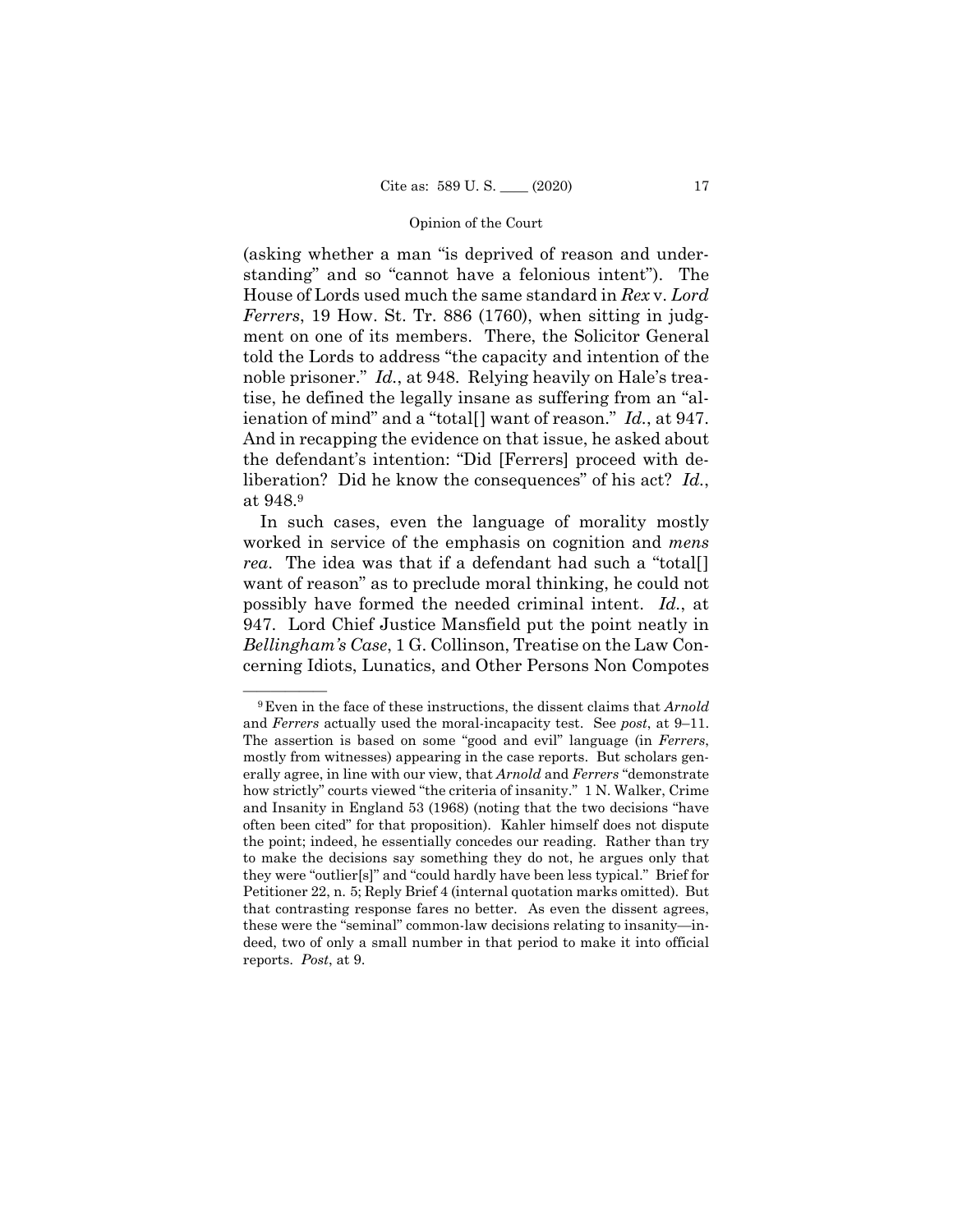(asking whether a man "is deprived of reason and understanding" and so "cannot have a felonious intent"). The House of Lords used much the same standard in *Rex* v. *Lord Ferrers*, 19 How. St. Tr. 886 (1760), when sitting in judgment on one of its members. There, the Solicitor General told the Lords to address "the capacity and intention of the noble prisoner." *Id.*, at 948. Relying heavily on Hale's treatise, he defined the legally insane as suffering from an "alienation of mind" and a "total[] want of reason." *Id.*, at 947. And in recapping the evidence on that issue, he asked about the defendant's intention: "Did [Ferrers] proceed with deliberation? Did he know the consequences" of his act? *Id.*, at 948.9

In such cases, even the language of morality mostly worked in service of the emphasis on cognition and *mens rea*. The idea was that if a defendant had such a "total[] want of reason" as to preclude moral thinking, he could not possibly have formed the needed criminal intent. *Id.*, at 947. Lord Chief Justice Mansfield put the point neatly in *Bellingham's Case*, 1 G. Collinson, Treatise on the Law Concerning Idiots, Lunatics, and Other Persons Non Compotes

 reports. *Post*, at 9. <sup>9</sup>Even in the face of these instructions, the dissent claims that *Arnold* and *Ferrers* actually used the moral-incapacity test. See *post*, at 9–11. The assertion is based on some "good and evil" language (in *Ferrers*, mostly from witnesses) appearing in the case reports. But scholars generally agree, in line with our view, that *Arnold* and *Ferrers* "demonstrate how strictly" courts viewed "the criteria of insanity." 1 N. Walker, Crime and Insanity in England 53 (1968) (noting that the two decisions "have often been cited" for that proposition). Kahler himself does not dispute the point; indeed, he essentially concedes our reading. Rather than try to make the decisions say something they do not, he argues only that they were "outlier[s]" and "could hardly have been less typical." Brief for Petitioner 22, n. 5; Reply Brief 4 (internal quotation marks omitted). But that contrasting response fares no better. As even the dissent agrees, these were the "seminal" common-law decisions relating to insanity—indeed, two of only a small number in that period to make it into official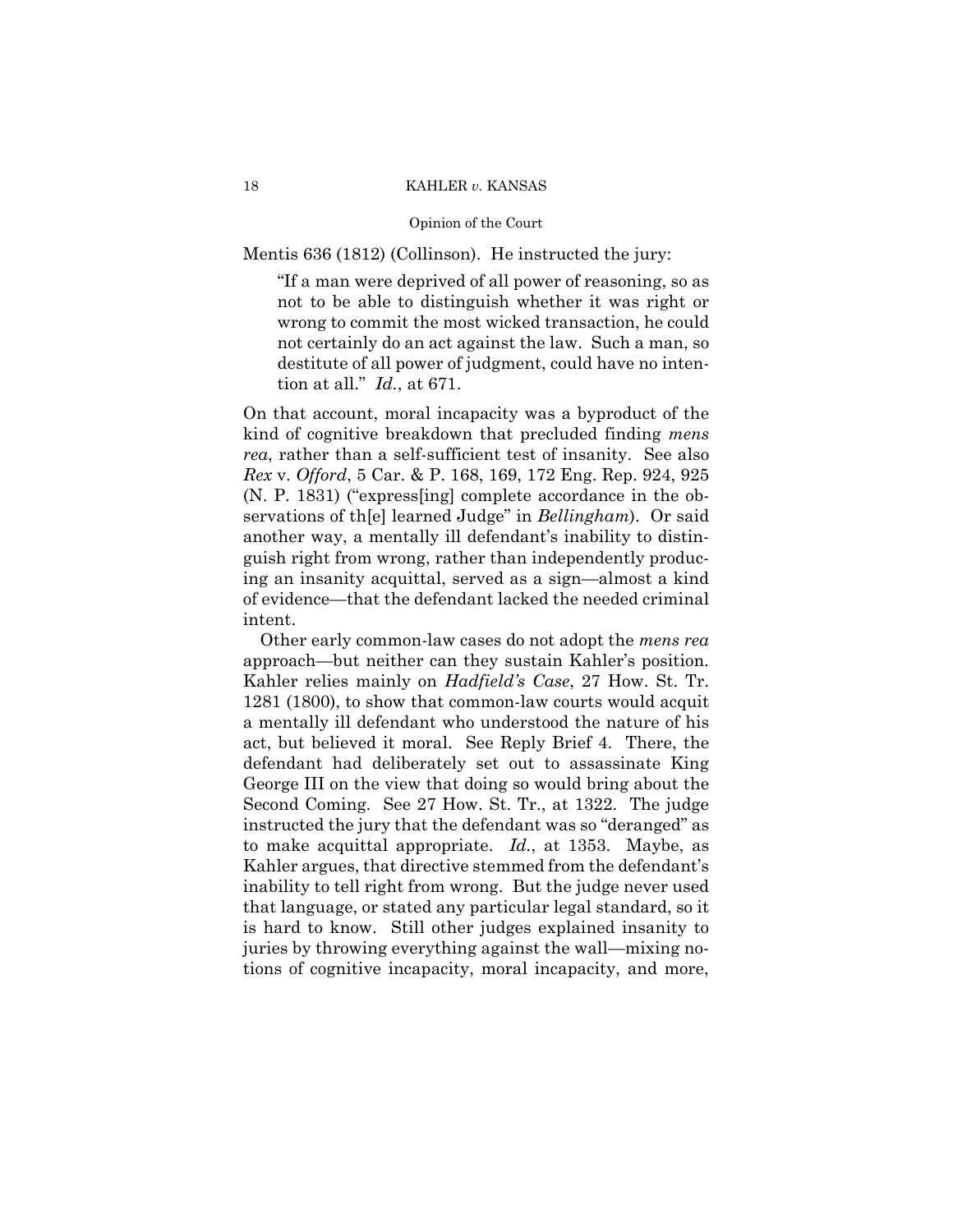# Opinion of the Court

Mentis 636 (1812) (Collinson). He instructed the jury:

"If a man were deprived of all power of reasoning, so as not to be able to distinguish whether it was right or wrong to commit the most wicked transaction, he could not certainly do an act against the law. Such a man, so destitute of all power of judgment, could have no intention at all." *Id.*, at 671.

On that account, moral incapacity was a byproduct of the kind of cognitive breakdown that precluded finding *mens rea*, rather than a self-sufficient test of insanity. See also *Rex* v. *Offord*, 5 Car. & P. 168, 169, 172 Eng. Rep. 924, 925 (N. P. 1831) ("express[ing] complete accordance in the observations of th[e] learned Judge" in *Bellingham*). Or said another way, a mentally ill defendant's inability to distinguish right from wrong, rather than independently producing an insanity acquittal, served as a sign—almost a kind of evidence—that the defendant lacked the needed criminal intent.

 approach—but neither can they sustain Kahler's position. Other early common-law cases do not adopt the *mens rea*  Kahler relies mainly on *Hadfield's Case*, 27 How. St. Tr. 1281 (1800), to show that common-law courts would acquit a mentally ill defendant who understood the nature of his act, but believed it moral. See Reply Brief 4. There, the defendant had deliberately set out to assassinate King George III on the view that doing so would bring about the Second Coming. See 27 How. St. Tr., at 1322. The judge instructed the jury that the defendant was so "deranged" as to make acquittal appropriate. *Id.*, at 1353. Maybe, as Kahler argues, that directive stemmed from the defendant's inability to tell right from wrong. But the judge never used that language, or stated any particular legal standard, so it is hard to know. Still other judges explained insanity to juries by throwing everything against the wall—mixing notions of cognitive incapacity, moral incapacity, and more,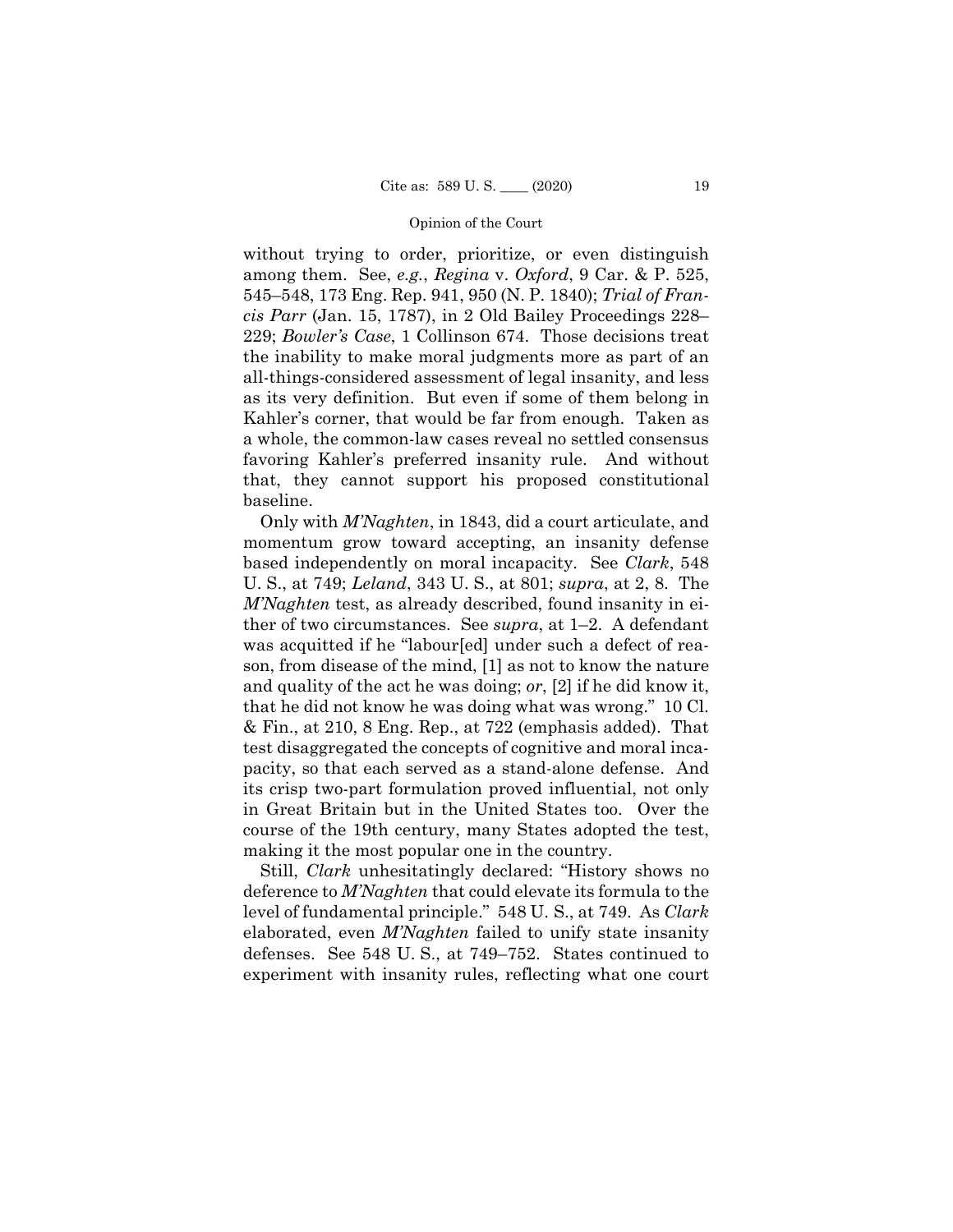without trying to order, prioritize, or even distinguish among them. See, *e.g.*, *Regina* v. *Oxford*, 9 Car. & P. 525, 545–548, 173 Eng. Rep. 941, 950 (N. P. 1840); *Trial of Francis Parr* (Jan. 15, 1787), in 2 Old Bailey Proceedings 228– 229; *Bowler's Case*, 1 Collinson 674. Those decisions treat the inability to make moral judgments more as part of an all-things-considered assessment of legal insanity, and less as its very definition. But even if some of them belong in Kahler's corner, that would be far from enough. Taken as a whole, the common-law cases reveal no settled consensus favoring Kahler's preferred insanity rule. And without that, they cannot support his proposed constitutional baseline.

 Only with *M'Naghten*, in 1843, did a court articulate, and momentum grow toward accepting, an insanity defense based independently on moral incapacity. See *Clark*, 548 U. S., at 749; *Leland*, 343 U. S., at 801; *supra*, at 2, 8. The *M'Naghten* test, as already described, found insanity in either of two circumstances. See *supra*, at 1–2. A defendant was acquitted if he "labour[ed] under such a defect of reason, from disease of the mind, [1] as not to know the nature and quality of the act he was doing; *or*, [2] if he did know it, that he did not know he was doing what was wrong." 10 Cl. & Fin., at 210, 8 Eng. Rep., at 722 (emphasis added). That test disaggregated the concepts of cognitive and moral incapacity, so that each served as a stand-alone defense. And its crisp two-part formulation proved influential, not only in Great Britain but in the United States too. Over the course of the 19th century, many States adopted the test, making it the most popular one in the country.

Still, *Clark* unhesitatingly declared: "History shows no deference to *M'Naghten* that could elevate its formula to the level of fundamental principle." 548 U. S., at 749. As *Clark*  elaborated, even *M'Naghten* failed to unify state insanity defenses. See 548 U. S., at 749–752. States continued to experiment with insanity rules, reflecting what one court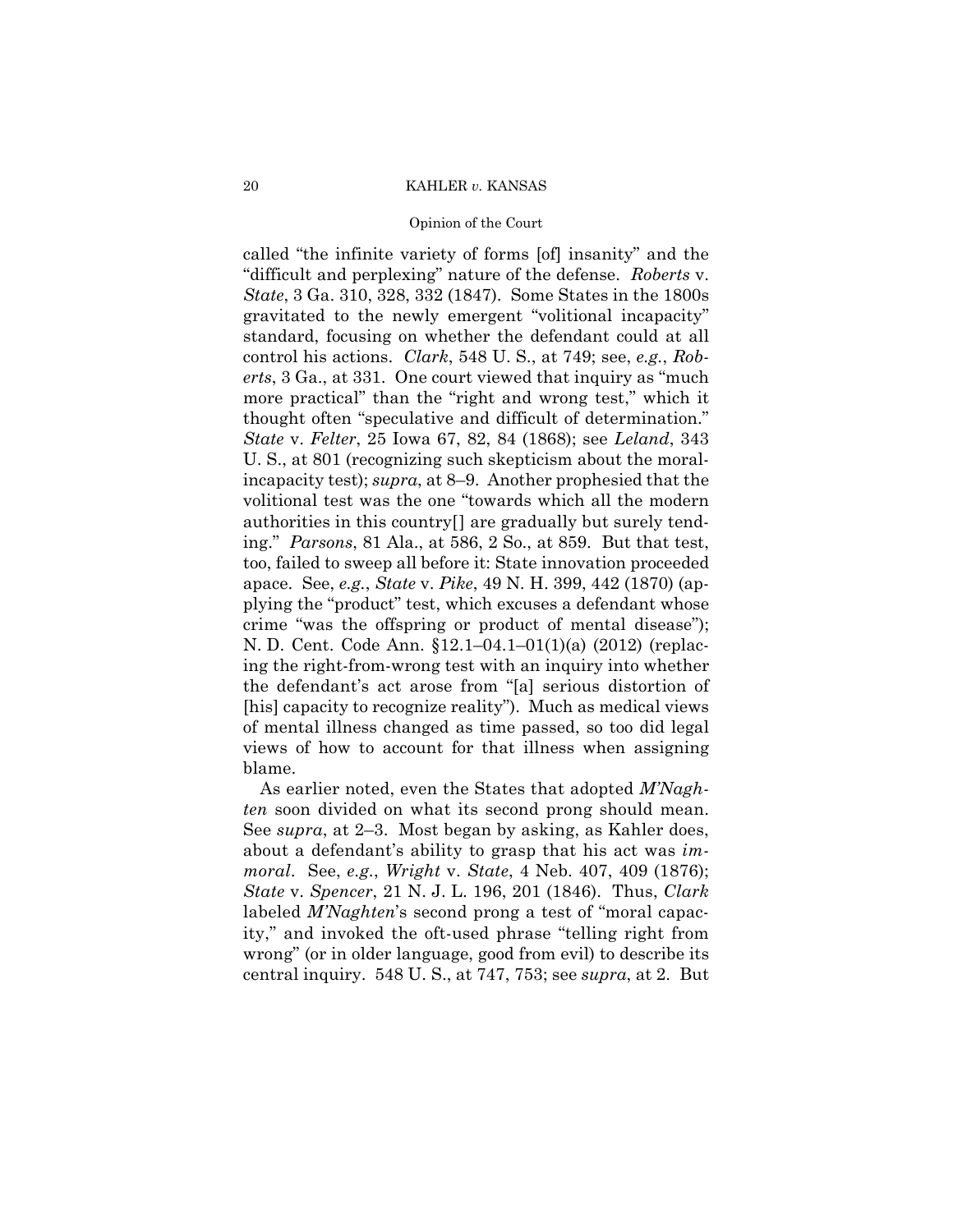# Opinion of the Court

called "the infinite variety of forms [of] insanity" and the "difficult and perplexing" nature of the defense. *Roberts* v. *State*, 3 Ga. 310, 328, 332 (1847). Some States in the 1800s gravitated to the newly emergent "volitional incapacity" standard, focusing on whether the defendant could at all control his actions. *Clark*, 548 U. S., at 749; see, *e.g.*, *Roberts*, 3 Ga., at 331. One court viewed that inquiry as "much more practical" than the "right and wrong test," which it thought often "speculative and difficult of determination." *State* v. *Felter*, 25 Iowa 67, 82, 84 (1868); see *Leland*, 343 U. S., at 801 (recognizing such skepticism about the moralincapacity test); *supra*, at 8–9. Another prophesied that the volitional test was the one "towards which all the modern authorities in this country[] are gradually but surely tending." *Parsons*, 81 Ala., at 586, 2 So., at 859. But that test, too, failed to sweep all before it: State innovation proceeded apace. See, *e.g.*, *State* v. *Pike*, 49 N. H. 399, 442 (1870) (applying the "product" test, which excuses a defendant whose crime "was the offspring or product of mental disease"); N. D. Cent. Code Ann. §12.1–04.1–01(1)(a) (2012) (replacing the right-from-wrong test with an inquiry into whether the defendant's act arose from "[a] serious distortion of [his] capacity to recognize reality"). Much as medical views of mental illness changed as time passed, so too did legal views of how to account for that illness when assigning blame.

See *supra*, at 2–3. Most began by asking, as Kahler does, *moral*. See, *e.g.*, *Wright* v. *State*, 4 Neb. 407, 409 (1876); *State* v. *Spencer*, 21 N. J. L. 196, 201 (1846). Thus, *Clark*  As earlier noted, even the States that adopted *M'Naghten* soon divided on what its second prong should mean. about a defendant's ability to grasp that his act was *im*labeled *M'Naghten*'s second prong a test of "moral capacity," and invoked the oft-used phrase "telling right from wrong" (or in older language, good from evil) to describe its central inquiry. 548 U. S., at 747, 753; see *supra*, at 2. But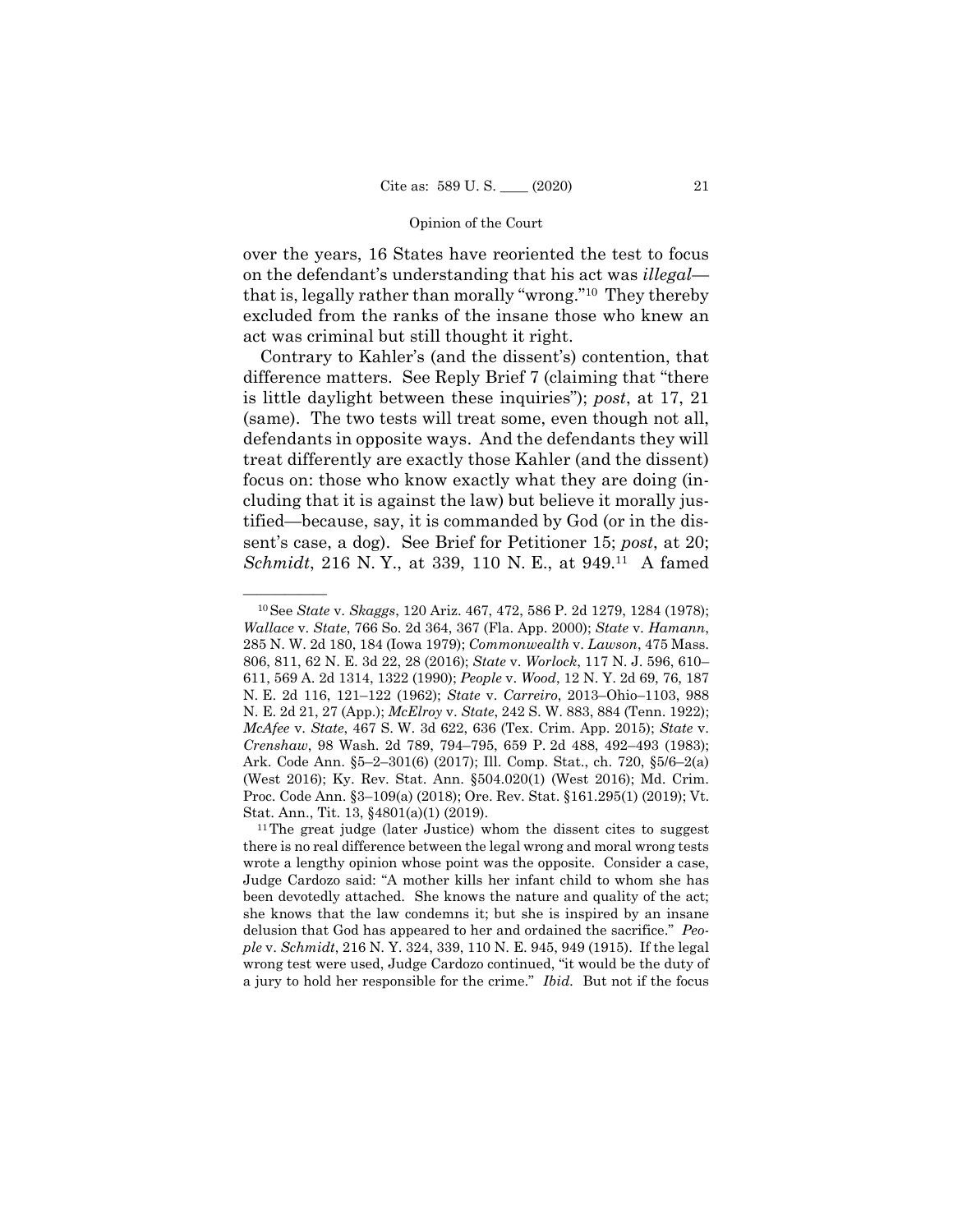over the years, 16 States have reoriented the test to focus on the defendant's understanding that his act was *illegal* that is, legally rather than morally "wrong."10 They thereby excluded from the ranks of the insane those who knew an act was criminal but still thought it right.

 defendants in opposite ways. And the defendants they will Contrary to Kahler's (and the dissent's) contention, that difference matters. See Reply Brief 7 (claiming that "there is little daylight between these inquiries"); *post*, at 17, 21 (same). The two tests will treat some, even though not all, treat differently are exactly those Kahler (and the dissent) focus on: those who know exactly what they are doing (including that it is against the law) but believe it morally justified—because, say, it is commanded by God (or in the dissent's case, a dog). See Brief for Petitioner 15; *post*, at 20; *Schmidt*, 216 N. Y., at 339, 110 N. E., at 949.11 A famed

<sup>—————— 10</sup>See *State* v. *Skaggs*, 120 Ariz. 467, 472, 586 P. 2d 1279, 1284 (1978); *Wallace* v. *State*, 766 So. 2d 364, 367 (Fla. App. 2000); *State* v. *Hamann*, 285 N. W. 2d 180, 184 (Iowa 1979); *Commonwealth* v. *Lawson*, 475 Mass. 806, 811, 62 N. E. 3d 22, 28 (2016); *State* v. *Worlock*, 117 N. J. 596, 610– 611, 569 A. 2d 1314, 1322 (1990); *People* v. *Wood*, 12 N. Y. 2d 69, 76, 187 N. E. 2d 116, 121–122 (1962); *State* v. *Carreiro*, 2013–Ohio–1103, 988 N. E. 2d 21, 27 (App.); *McElroy* v. *State*, 242 S. W. 883, 884 (Tenn. 1922); *McAfee* v. *State*, 467 S. W. 3d 622, 636 (Tex. Crim. App. 2015); *State* v. *Crenshaw*, 98 Wash. 2d 789, 794–795, 659 P. 2d 488, 492–493 (1983); Ark. Code Ann. §5–2–301(6) (2017); Ill. Comp. Stat., ch. 720, §5/6–2(a) (West 2016); Ky. Rev. Stat. Ann. §504.020(1) (West 2016); Md. Crim. Proc. Code Ann. §3–109(a) (2018); Ore. Rev. Stat. §161.295(1) (2019); Vt. Stat. Ann., Tit. 13,  $\S 4801(a)(1)$  (2019).<br><sup>11</sup>The great judge (later Justice) whom the dissent cites to suggest

 wrote a lengthy opinion whose point was the opposite. Consider a case, delusion that God has appeared to her and ordained the sacrifice." *Peo*there is no real difference between the legal wrong and moral wrong tests Judge Cardozo said: "A mother kills her infant child to whom she has been devotedly attached. She knows the nature and quality of the act; she knows that the law condemns it; but she is inspired by an insane *ple* v. *Schmidt*, 216 N. Y. 324, 339, 110 N. E. 945, 949 (1915). If the legal wrong test were used, Judge Cardozo continued, "it would be the duty of a jury to hold her responsible for the crime." *Ibid.* But not if the focus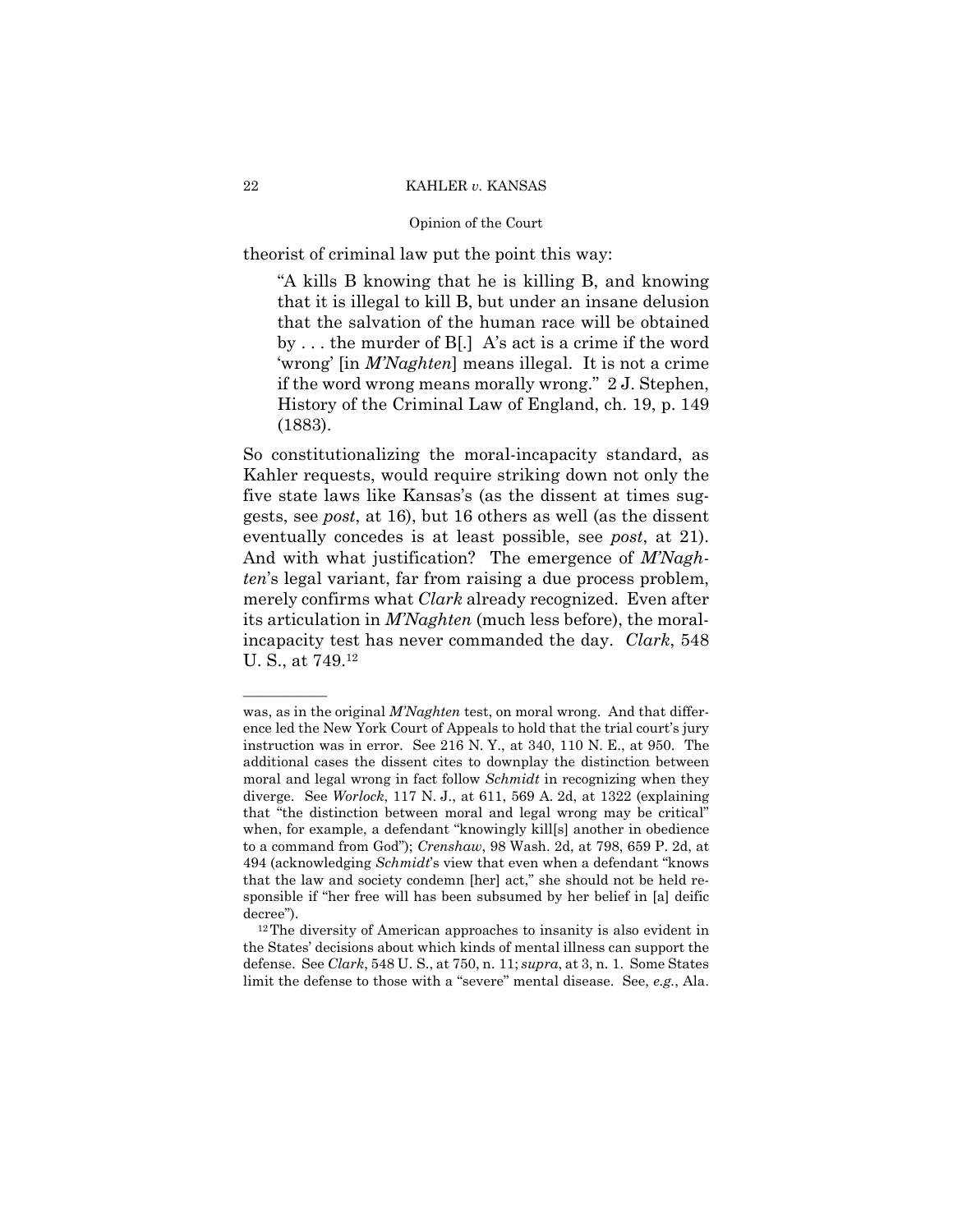theorist of criminal law put the point this way:

"A kills B knowing that he is killing B, and knowing that it is illegal to kill B, but under an insane delusion that the salvation of the human race will be obtained by . . . the murder of B[.] A's act is a crime if the word 'wrong' [in *M'Naghten*] means illegal. It is not a crime if the word wrong means morally wrong." 2 J. Stephen, History of the Criminal Law of England, ch. 19, p. 149 (1883).

 incapacity test has never commanded the day. *Clark*, 548 So constitutionalizing the moral-incapacity standard, as Kahler requests, would require striking down not only the five state laws like Kansas's (as the dissent at times suggests, see *post*, at 16), but 16 others as well (as the dissent eventually concedes is at least possible, see *post*, at 21). And with what justification? The emergence of *M'Naghten*'s legal variant, far from raising a due process problem, merely confirms what *Clark* already recognized. Even after its articulation in *M'Naghten* (much less before), the moral-U. S., at 749.12

——————

 was, as in the original *M'Naghten* test, on moral wrong. And that difference led the New York Court of Appeals to hold that the trial court's jury instruction was in error. See 216 N. Y., at 340, 110 N. E., at 950. The additional cases the dissent cites to downplay the distinction between moral and legal wrong in fact follow *Schmidt* in recognizing when they diverge. See *Worlock*, 117 N. J., at 611, 569 A. 2d, at 1322 (explaining that "the distinction between moral and legal wrong may be critical" when, for example, a defendant "knowingly kill[s] another in obedience to a command from God"); *Crenshaw*, 98 Wash. 2d, at 798, 659 P. 2d, at 494 (acknowledging *Schmidt*'s view that even when a defendant "knows that the law and society condemn [her] act," she should not be held responsible if "her free will has been subsumed by her belief in [a] deific decree").<br><sup>12</sup>The diversity of American approaches to insanity is also evident in

the States' decisions about which kinds of mental illness can support the defense. See *Clark*, 548 U. S., at 750, n. 11; *supra*, at 3, n. 1. Some States limit the defense to those with a "severe" mental disease. See, *e.g.*, Ala.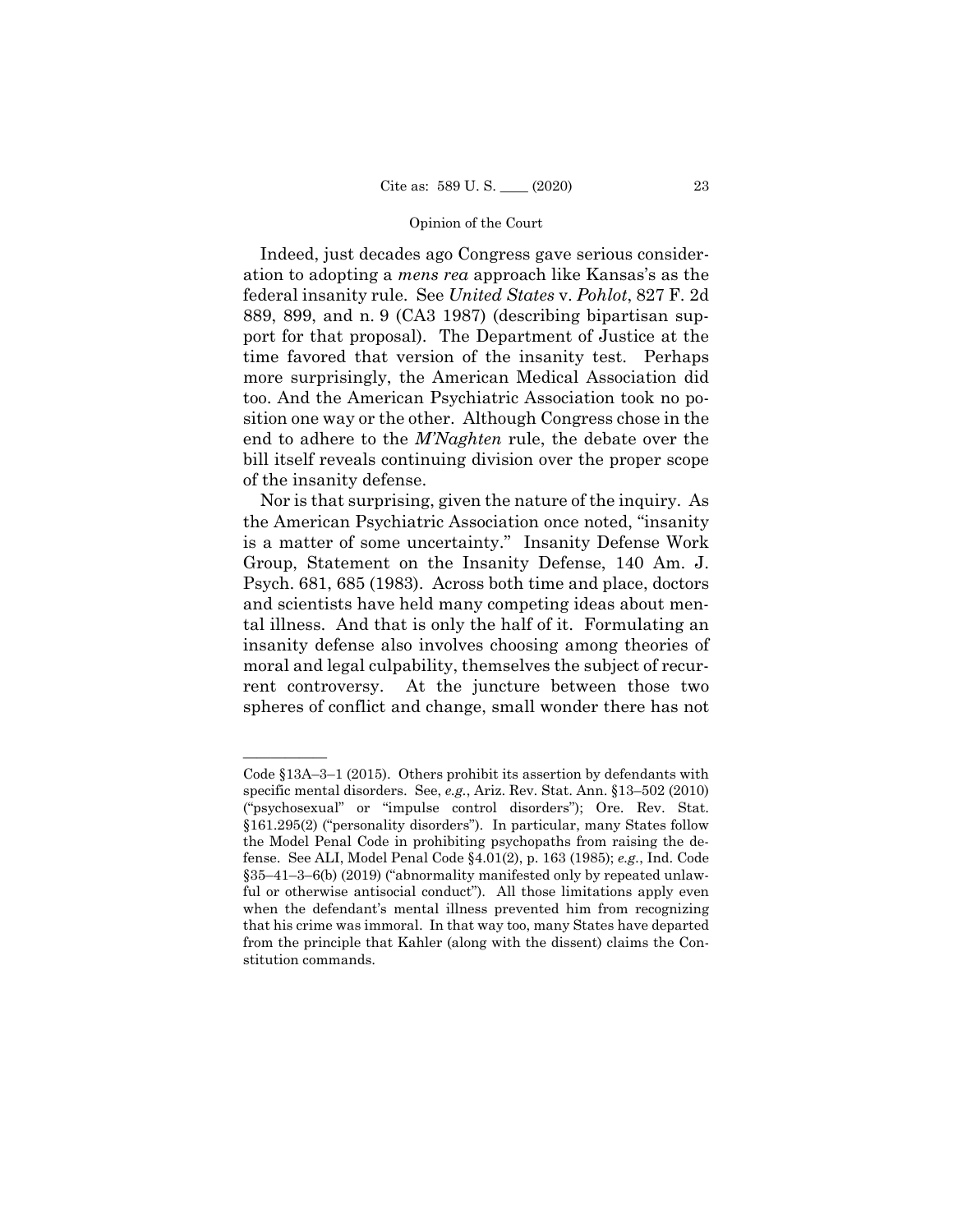Indeed, just decades ago Congress gave serious consideration to adopting a *mens rea* approach like Kansas's as the federal insanity rule. See *United States* v. *Pohlot*, 827 F. 2d 889, 899, and n. 9 (CA3 1987) (describing bipartisan support for that proposal). The Department of Justice at the time favored that version of the insanity test. Perhaps more surprisingly, the American Medical Association did too. And the American Psychiatric Association took no position one way or the other. Although Congress chose in the end to adhere to the *M'Naghten* rule, the debate over the bill itself reveals continuing division over the proper scope of the insanity defense.

Nor is that surprising, given the nature of the inquiry. As the American Psychiatric Association once noted, "insanity is a matter of some uncertainty." Insanity Defense Work Group, Statement on the Insanity Defense, 140 Am. J. Psych. 681, 685 (1983). Across both time and place, doctors and scientists have held many competing ideas about mental illness. And that is only the half of it. Formulating an insanity defense also involves choosing among theories of moral and legal culpability, themselves the subject of recurrent controversy. At the juncture between those two spheres of conflict and change, small wonder there has not

——————

Code §13A–3–1 (2015). Others prohibit its assertion by defendants with specific mental disorders. See, *e.g.*, Ariz. Rev. Stat. Ann. §13–502 (2010) ("psychosexual" or "impulse control disorders"); Ore. Rev. Stat. §161.295(2) ("personality disorders"). In particular, many States follow the Model Penal Code in prohibiting psychopaths from raising the defense. See ALI, Model Penal Code §4.01(2), p. 163 (1985); *e.g.*, Ind. Code §35–41–3–6(b) (2019) ("abnormality manifested only by repeated unlawful or otherwise antisocial conduct"). All those limitations apply even when the defendant's mental illness prevented him from recognizing that his crime was immoral. In that way too, many States have departed from the principle that Kahler (along with the dissent) claims the Constitution commands.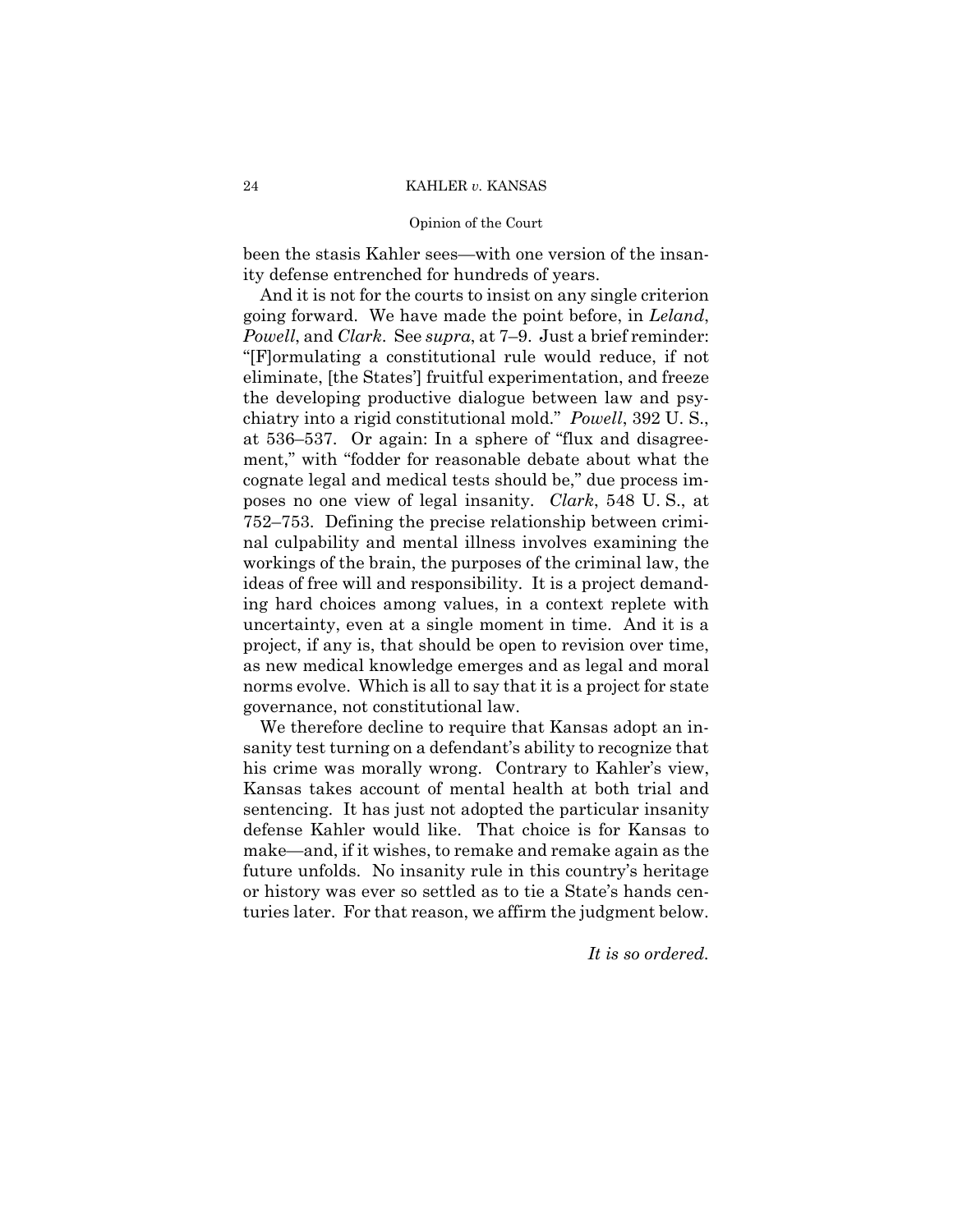# Opinion of the Court

been the stasis Kahler sees—with one version of the insanity defense entrenched for hundreds of years.

And it is not for the courts to insist on any single criterion going forward. We have made the point before, in *Leland*, *Powell*, and *Clark*. See *supra*, at 7–9. Just a brief reminder: "[F]ormulating a constitutional rule would reduce, if not eliminate, [the States'] fruitful experimentation, and freeze the developing productive dialogue between law and psychiatry into a rigid constitutional mold." *Powell*, 392 U. S., at 536–537. Or again: In a sphere of "flux and disagreement," with "fodder for reasonable debate about what the cognate legal and medical tests should be," due process imposes no one view of legal insanity. *Clark*, 548 U. S., at 752–753. Defining the precise relationship between criminal culpability and mental illness involves examining the workings of the brain, the purposes of the criminal law, the ideas of free will and responsibility. It is a project demanding hard choices among values, in a context replete with uncertainty, even at a single moment in time. And it is a project, if any is, that should be open to revision over time, as new medical knowledge emerges and as legal and moral norms evolve. Which is all to say that it is a project for state governance, not constitutional law.

We therefore decline to require that Kansas adopt an insanity test turning on a defendant's ability to recognize that his crime was morally wrong. Contrary to Kahler's view, Kansas takes account of mental health at both trial and sentencing. It has just not adopted the particular insanity defense Kahler would like. That choice is for Kansas to make—and, if it wishes, to remake and remake again as the future unfolds. No insanity rule in this country's heritage or history was ever so settled as to tie a State's hands centuries later. For that reason, we affirm the judgment below.

*It is so ordered.*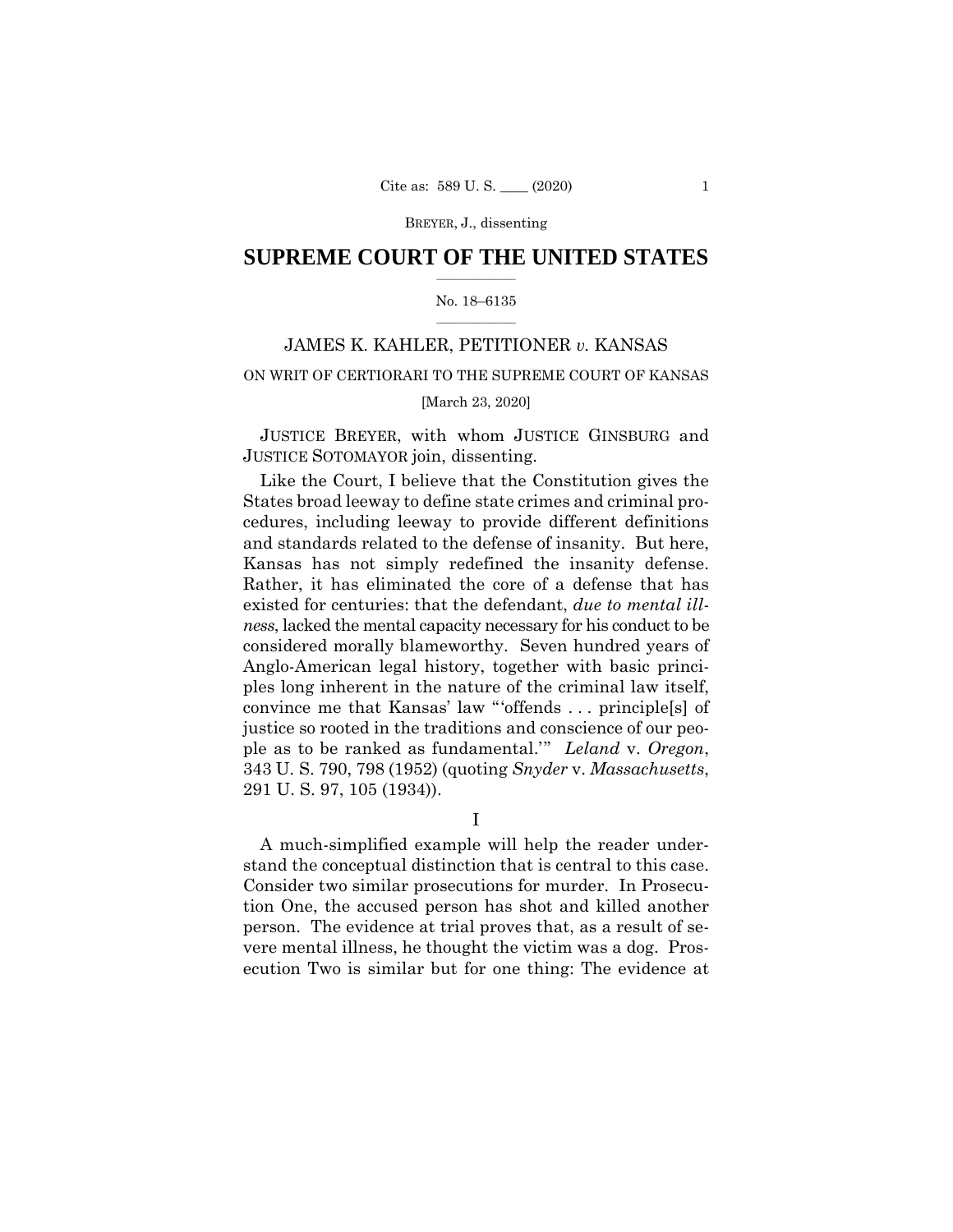# $\frac{1}{2}$  ,  $\frac{1}{2}$  ,  $\frac{1}{2}$  ,  $\frac{1}{2}$  ,  $\frac{1}{2}$  ,  $\frac{1}{2}$  ,  $\frac{1}{2}$ **SUPREME COURT OF THE UNITED STATES**

# $\frac{1}{2}$  ,  $\frac{1}{2}$  ,  $\frac{1}{2}$  ,  $\frac{1}{2}$  ,  $\frac{1}{2}$  ,  $\frac{1}{2}$ No. 18–6135

# JAMES K. KAHLER, PETITIONER *v.* KANSAS

# ON WRIT OF CERTIORARI TO THE SUPREME COURT OF KANSAS

# [March 23, 2020]

 JUSTICE BREYER, with whom JUSTICE GINSBURG and JUSTICE SOTOMAYOR join, dissenting.

 Kansas has not simply redefined the insanity defense. Rather, it has eliminated the core of a defense that has Like the Court, I believe that the Constitution gives the States broad leeway to define state crimes and criminal procedures, including leeway to provide different definitions and standards related to the defense of insanity. But here, existed for centuries: that the defendant, *due to mental illness*, lacked the mental capacity necessary for his conduct to be considered morally blameworthy. Seven hundred years of Anglo-American legal history, together with basic principles long inherent in the nature of the criminal law itself, convince me that Kansas' law "'offends . . . principle[s] of justice so rooted in the traditions and conscience of our people as to be ranked as fundamental.'" *Leland* v. *Oregon*, 343 U. S. 790, 798 (1952) (quoting *Snyder* v. *Massachusetts*, 291 U. S. 97, 105 (1934)).

I

A much-simplified example will help the reader understand the conceptual distinction that is central to this case. Consider two similar prosecutions for murder. In Prosecution One, the accused person has shot and killed another person. The evidence at trial proves that, as a result of severe mental illness, he thought the victim was a dog. Prosecution Two is similar but for one thing: The evidence at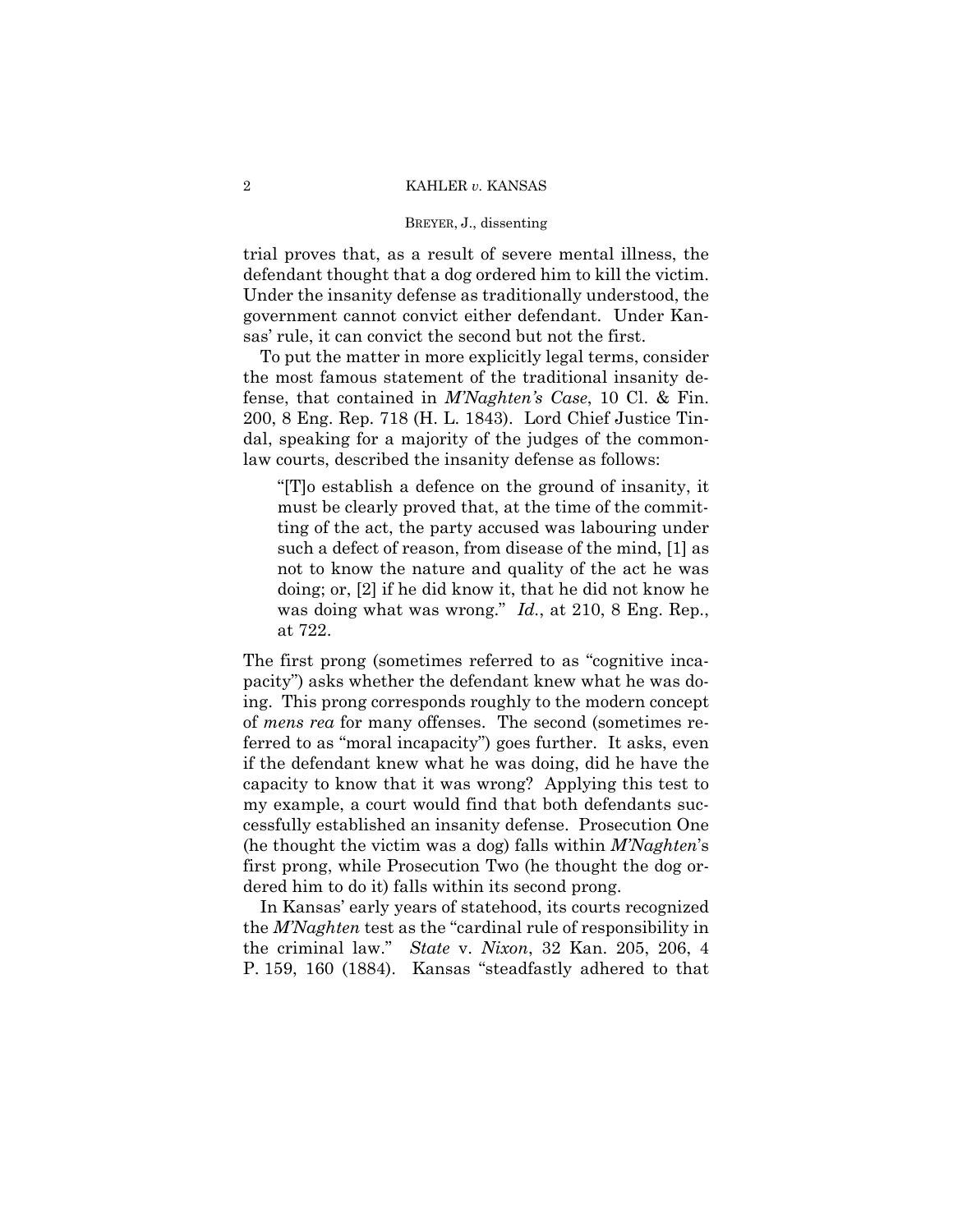trial proves that, as a result of severe mental illness, the defendant thought that a dog ordered him to kill the victim. Under the insanity defense as traditionally understood, the government cannot convict either defendant. Under Kansas' rule, it can convict the second but not the first.

To put the matter in more explicitly legal terms, consider the most famous statement of the traditional insanity defense, that contained in *M'Naghten's Case*, 10 Cl. & Fin. 200, 8 Eng. Rep. 718 (H. L. 1843). Lord Chief Justice Tindal, speaking for a majority of the judges of the commonlaw courts, described the insanity defense as follows:

"[T]o establish a defence on the ground of insanity, it must be clearly proved that, at the time of the committing of the act, the party accused was labouring under such a defect of reason, from disease of the mind, [1] as not to know the nature and quality of the act he was doing; or, [2] if he did know it, that he did not know he was doing what was wrong." *Id.*, at 210, 8 Eng. Rep., at 722.

The first prong (sometimes referred to as "cognitive incapacity") asks whether the defendant knew what he was doing. This prong corresponds roughly to the modern concept of *mens rea* for many offenses. The second (sometimes referred to as "moral incapacity") goes further. It asks, even if the defendant knew what he was doing, did he have the capacity to know that it was wrong? Applying this test to my example, a court would find that both defendants successfully established an insanity defense. Prosecution One (he thought the victim was a dog) falls within *M'Naghten*'s first prong, while Prosecution Two (he thought the dog ordered him to do it) falls within its second prong.

In Kansas' early years of statehood, its courts recognized the *M'Naghten* test as the "cardinal rule of responsibility in the criminal law." *State* v. *Nixon*, 32 Kan. 205, 206, 4 P. 159, 160 (1884). Kansas "steadfastly adhered to that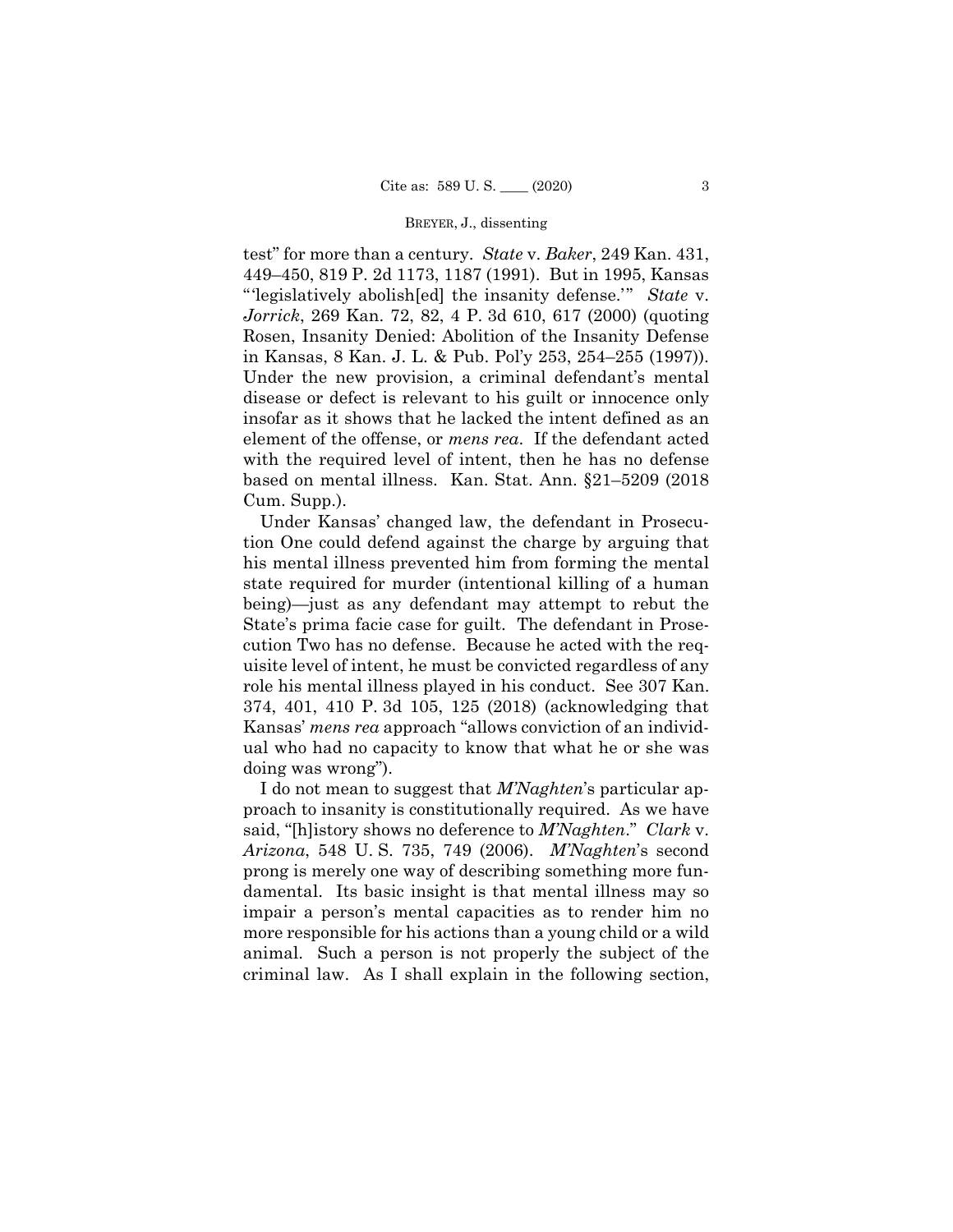test" for more than a century. *State* v. *Baker*, 249 Kan. 431, 449–450, 819 P. 2d 1173, 1187 (1991). But in 1995, Kansas "'legislatively abolish[ed] the insanity defense.'" *State* v. *Jorrick*, 269 Kan. 72, 82, 4 P. 3d 610, 617 (2000) (quoting Rosen, Insanity Denied: Abolition of the Insanity Defense in Kansas, 8 Kan. J. L. & Pub. Pol'y 253, 254–255 (1997)). Under the new provision, a criminal defendant's mental disease or defect is relevant to his guilt or innocence only insofar as it shows that he lacked the intent defined as an element of the offense, or *mens rea*. If the defendant acted with the required level of intent, then he has no defense based on mental illness. Kan. Stat. Ann. §21–5209 (2018 Cum. Supp.).

Under Kansas' changed law, the defendant in Prosecution One could defend against the charge by arguing that his mental illness prevented him from forming the mental state required for murder (intentional killing of a human being)—just as any defendant may attempt to rebut the State's prima facie case for guilt. The defendant in Prosecution Two has no defense. Because he acted with the requisite level of intent, he must be convicted regardless of any role his mental illness played in his conduct. See 307 Kan. 374, 401, 410 P. 3d 105, 125 (2018) (acknowledging that Kansas' *mens rea* approach "allows conviction of an individual who had no capacity to know that what he or she was doing was wrong").

I do not mean to suggest that *M'Naghten*'s particular approach to insanity is constitutionally required. As we have said, "[h]istory shows no deference to *M'Naghten*." *Clark* v. *Arizona*, 548 U. S. 735, 749 (2006). *M'Naghten*'s second prong is merely one way of describing something more fundamental. Its basic insight is that mental illness may so impair a person's mental capacities as to render him no more responsible for his actions than a young child or a wild animal. Such a person is not properly the subject of the criminal law. As I shall explain in the following section,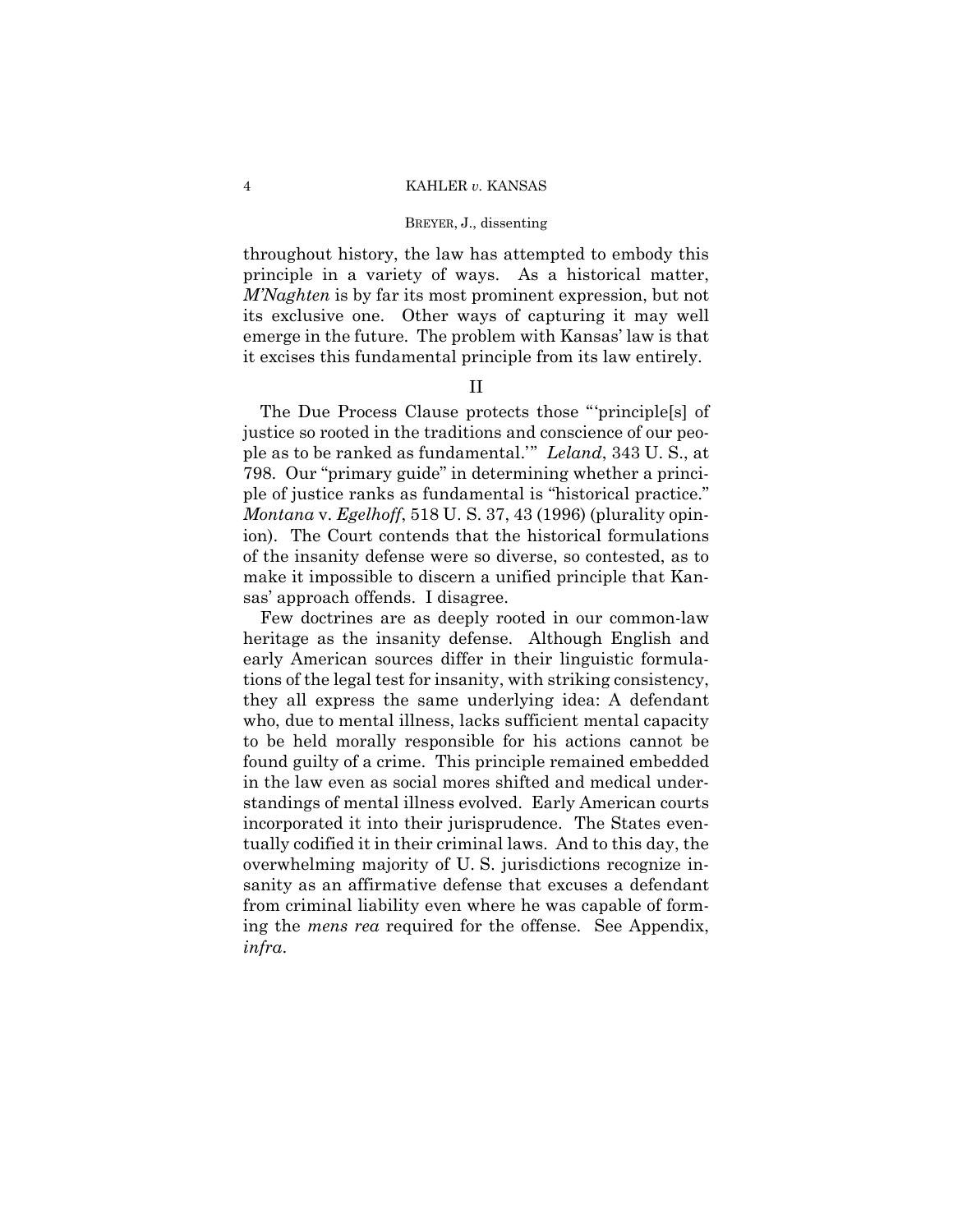throughout history, the law has attempted to embody this principle in a variety of ways. As a historical matter, *M'Naghten* is by far its most prominent expression, but not its exclusive one. Other ways of capturing it may well emerge in the future. The problem with Kansas' law is that it excises this fundamental principle from its law entirely.

# II

The Due Process Clause protects those "'principle[s] of justice so rooted in the traditions and conscience of our people as to be ranked as fundamental.'" *Leland*, 343 U. S., at 798. Our "primary guide" in determining whether a principle of justice ranks as fundamental is "historical practice." *Montana* v. *Egelhoff*, 518 U. S. 37, 43 (1996) (plurality opinion). The Court contends that the historical formulations of the insanity defense were so diverse, so contested, as to make it impossible to discern a unified principle that Kansas' approach offends. I disagree.

Few doctrines are as deeply rooted in our common-law heritage as the insanity defense. Although English and early American sources differ in their linguistic formulations of the legal test for insanity, with striking consistency, they all express the same underlying idea: A defendant who, due to mental illness, lacks sufficient mental capacity to be held morally responsible for his actions cannot be found guilty of a crime. This principle remained embedded in the law even as social mores shifted and medical understandings of mental illness evolved. Early American courts incorporated it into their jurisprudence. The States eventually codified it in their criminal laws. And to this day, the overwhelming majority of U. S. jurisdictions recognize insanity as an affirmative defense that excuses a defendant from criminal liability even where he was capable of forming the *mens rea* required for the offense. See Appendix, *infra*.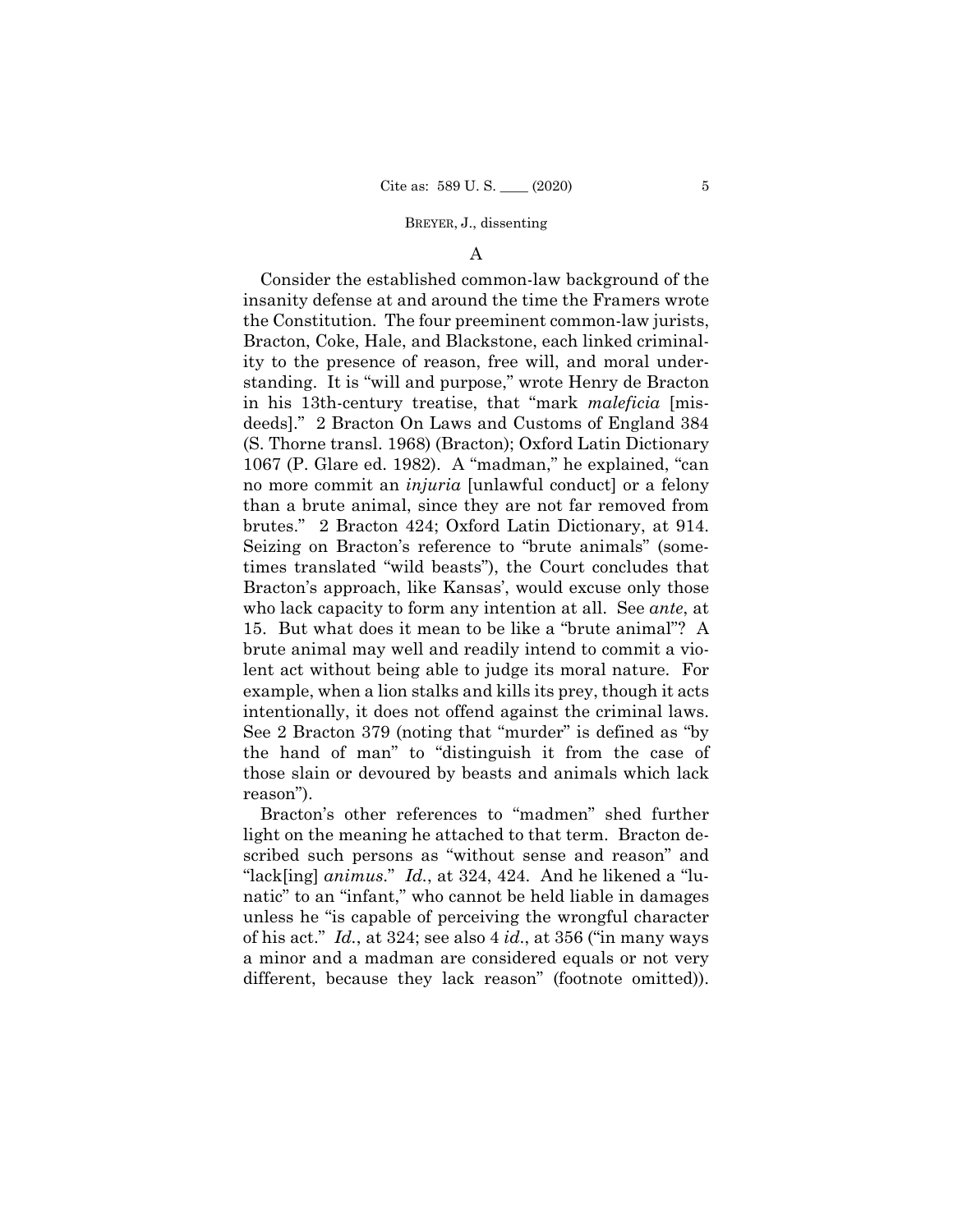# A

Consider the established common-law background of the insanity defense at and around the time the Framers wrote the Constitution. The four preeminent common-law jurists, Bracton, Coke, Hale, and Blackstone, each linked criminality to the presence of reason, free will, and moral understanding. It is "will and purpose," wrote Henry de Bracton in his 13th-century treatise, that "mark *maleficia* [misdeeds]." 2 Bracton On Laws and Customs of England 384 (S. Thorne transl. 1968) (Bracton); Oxford Latin Dictionary 1067 (P. Glare ed. 1982). A "madman," he explained, "can no more commit an *injuria* [unlawful conduct] or a felony than a brute animal, since they are not far removed from brutes." 2 Bracton 424; Oxford Latin Dictionary, at 914. Seizing on Bracton's reference to "brute animals" (sometimes translated "wild beasts"), the Court concludes that Bracton's approach, like Kansas', would excuse only those who lack capacity to form any intention at all. See *ante*, at 15. But what does it mean to be like a "brute animal"? A brute animal may well and readily intend to commit a violent act without being able to judge its moral nature. For example, when a lion stalks and kills its prey, though it acts intentionally, it does not offend against the criminal laws. See 2 Bracton 379 (noting that "murder" is defined as "by the hand of man" to "distinguish it from the case of those slain or devoured by beasts and animals which lack reason").

 light on the meaning he attached to that term. Bracton de-Bracton's other references to "madmen" shed further scribed such persons as "without sense and reason" and "lack[ing] *animus*." *Id.*, at 324, 424. And he likened a "lunatic" to an "infant," who cannot be held liable in damages unless he "is capable of perceiving the wrongful character of his act." *Id.*, at 324; see also 4 *id*., at 356 ("in many ways a minor and a madman are considered equals or not very different, because they lack reason" (footnote omitted)).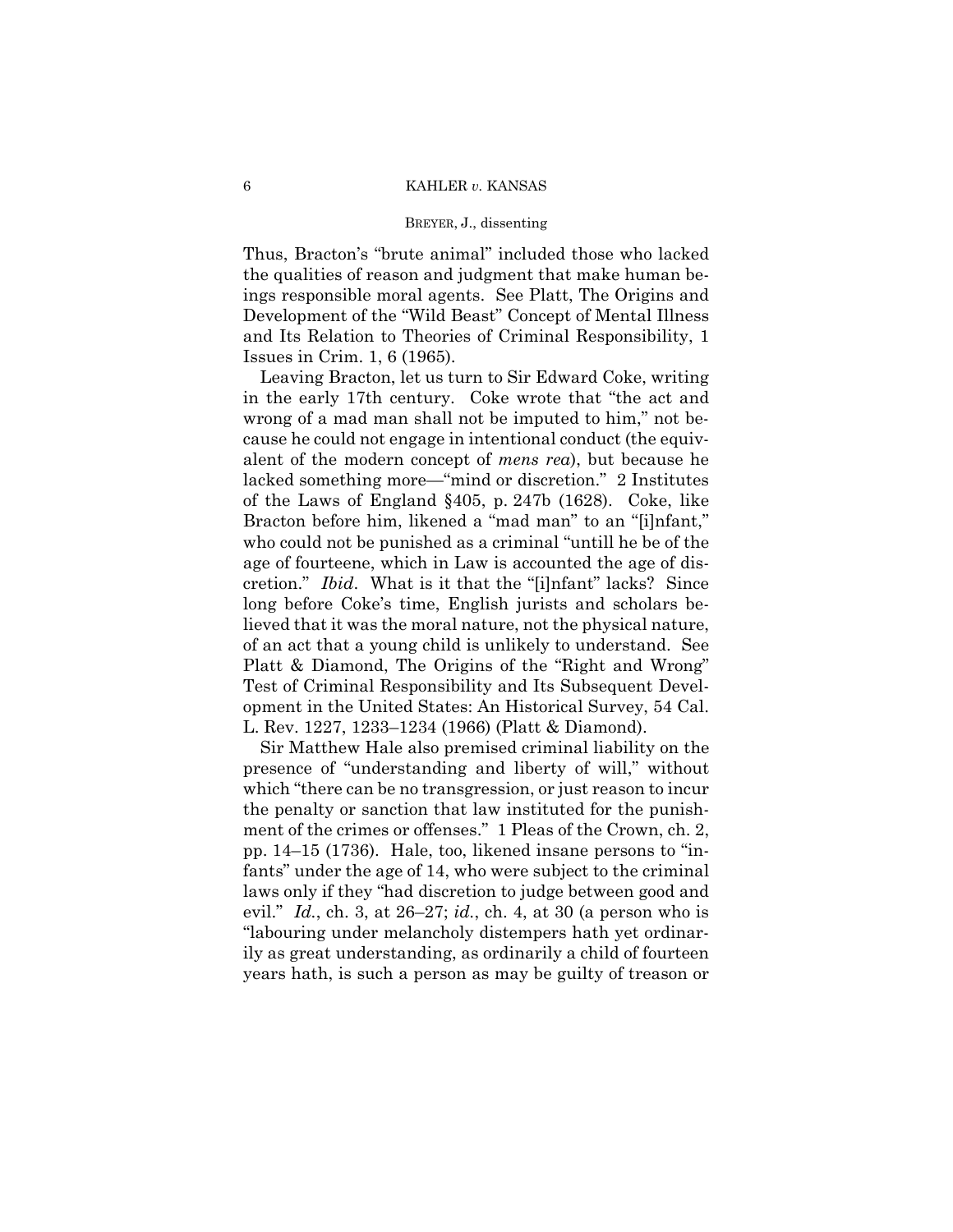Thus, Bracton's "brute animal" included those who lacked the qualities of reason and judgment that make human beings responsible moral agents. See Platt, The Origins and Development of the "Wild Beast" Concept of Mental Illness and Its Relation to Theories of Criminal Responsibility, 1 Issues in Crim. 1, 6 (1965).

Leaving Bracton, let us turn to Sir Edward Coke, writing in the early 17th century. Coke wrote that "the act and wrong of a mad man shall not be imputed to him," not because he could not engage in intentional conduct (the equivalent of the modern concept of *mens rea*), but because he lacked something more—"mind or discretion." 2 Institutes of the Laws of England §405, p. 247b (1628). Coke, like Bracton before him, likened a "mad man" to an "[i]nfant," who could not be punished as a criminal "untill he be of the age of fourteene, which in Law is accounted the age of discretion." *Ibid*. What is it that the "[i]nfant" lacks? Since long before Coke's time, English jurists and scholars believed that it was the moral nature, not the physical nature, of an act that a young child is unlikely to understand. See Platt & Diamond, The Origins of the "Right and Wrong" Test of Criminal Responsibility and Its Subsequent Development in the United States: An Historical Survey, 54 Cal. L. Rev. 1227, 1233–1234 (1966) (Platt & Diamond).

Sir Matthew Hale also premised criminal liability on the presence of "understanding and liberty of will," without which "there can be no transgression, or just reason to incur the penalty or sanction that law instituted for the punishment of the crimes or offenses." 1 Pleas of the Crown, ch. 2, pp. 14–15 (1736). Hale, too, likened insane persons to "infants" under the age of 14, who were subject to the criminal laws only if they "had discretion to judge between good and evil." *Id.*, ch. 3, at 26–27; *id.*, ch. 4, at 30 (a person who is "labouring under melancholy distempers hath yet ordinarily as great understanding, as ordinarily a child of fourteen years hath, is such a person as may be guilty of treason or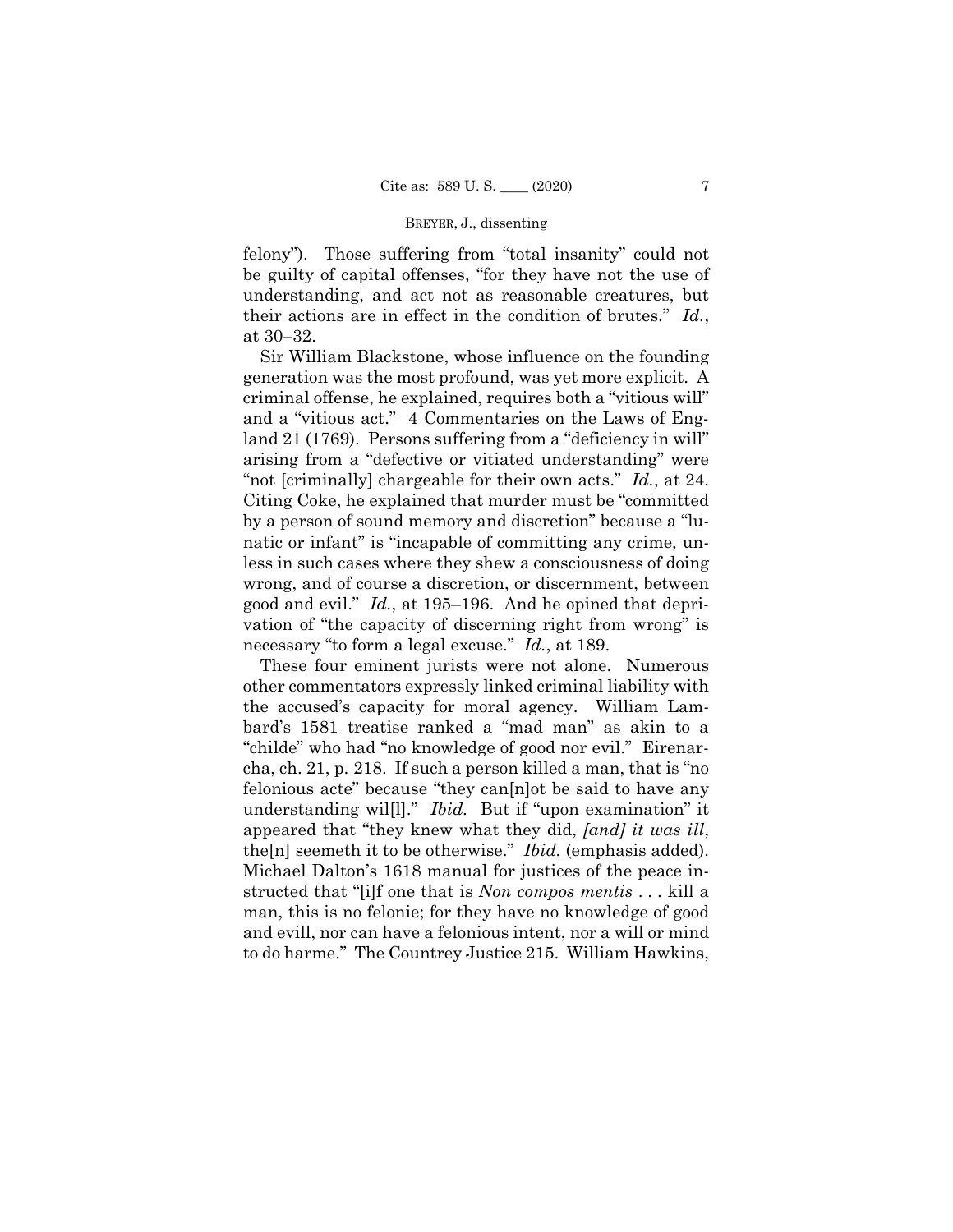felony"). Those suffering from "total insanity" could not be guilty of capital offenses, "for they have not the use of understanding, and act not as reasonable creatures, but their actions are in effect in the condition of brutes." *Id.*, at 30–32.

 "not [criminally] chargeable for their own acts." *Id.*, at 24. Sir William Blackstone, whose influence on the founding generation was the most profound, was yet more explicit. A criminal offense, he explained, requires both a "vitious will" and a "vitious act." 4 Commentaries on the Laws of England 21 (1769). Persons suffering from a "deficiency in will" arising from a "defective or vitiated understanding" were Citing Coke, he explained that murder must be "committed by a person of sound memory and discretion" because a "lunatic or infant" is "incapable of committing any crime, unless in such cases where they shew a consciousness of doing wrong, and of course a discretion, or discernment, between good and evil." *Id.*, at 195–196. And he opined that deprivation of "the capacity of discerning right from wrong" is necessary "to form a legal excuse." *Id.*, at 189.

These four eminent jurists were not alone. Numerous other commentators expressly linked criminal liability with the accused's capacity for moral agency. William Lambard's 1581 treatise ranked a "mad man" as akin to a "childe" who had "no knowledge of good nor evil." Eirenarcha, ch. 21, p. 218. If such a person killed a man, that is "no felonious acte" because "they can[n]ot be said to have any understanding wil[l]." *Ibid.* But if "upon examination" it appeared that "they knew what they did, *[and] it was ill*, the[n] seemeth it to be otherwise." *Ibid.* (emphasis added). Michael Dalton's 1618 manual for justices of the peace instructed that "[i]f one that is *Non compos mentis* . . . kill a man, this is no felonie; for they have no knowledge of good and evill, nor can have a felonious intent, nor a will or mind to do harme." The Countrey Justice 215. William Hawkins,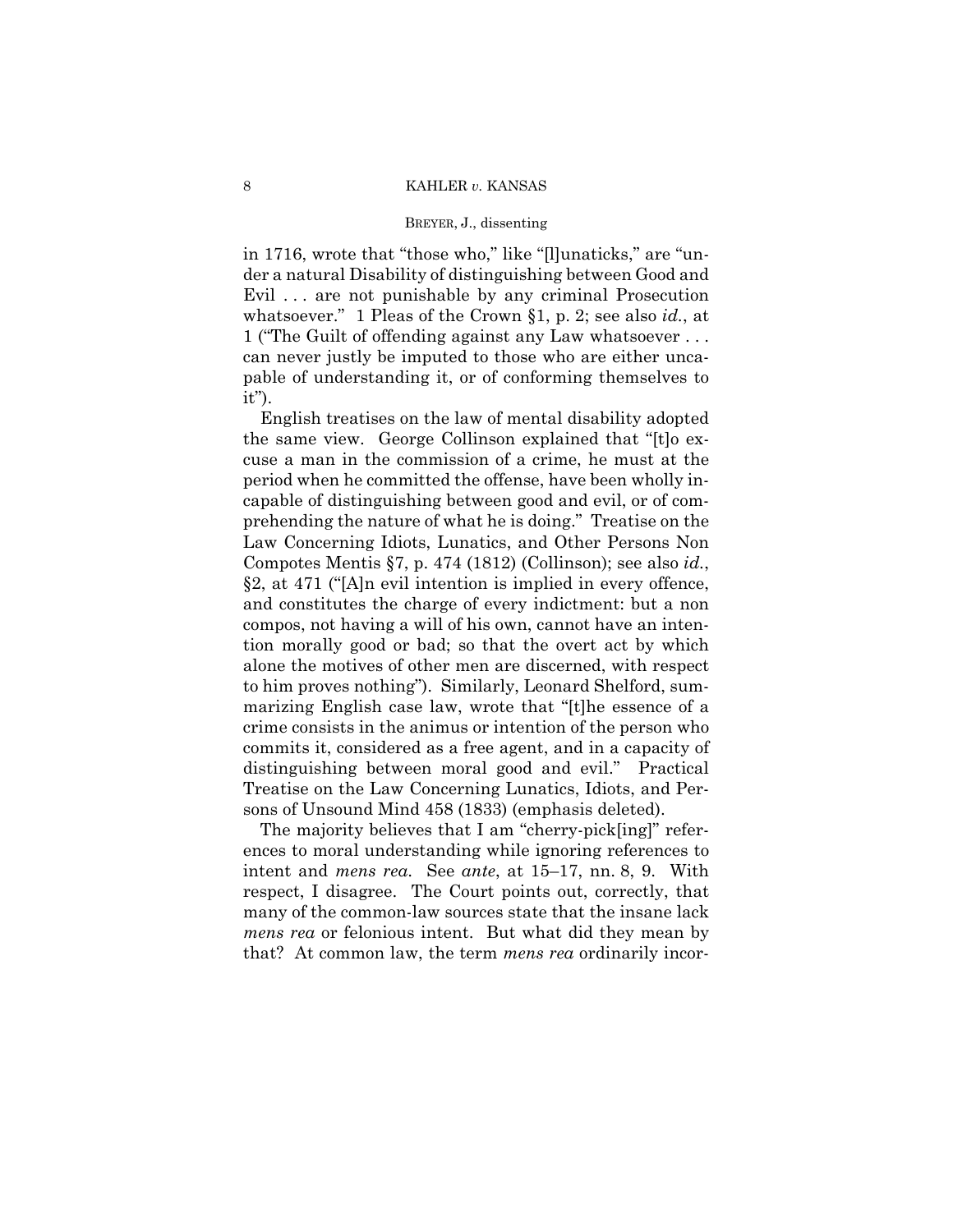# BREYER, J., dissenting

in 1716, wrote that "those who," like "[l]unaticks," are "under a natural Disability of distinguishing between Good and Evil . . . are not punishable by any criminal Prosecution whatsoever." 1 Pleas of the Crown §1, p. 2; see also *id.*, at 1 ("The Guilt of offending against any Law whatsoever . . . can never justly be imputed to those who are either uncapable of understanding it, or of conforming themselves to it").

English treatises on the law of mental disability adopted the same view. George Collinson explained that "[t]o excuse a man in the commission of a crime, he must at the period when he committed the offense, have been wholly incapable of distinguishing between good and evil, or of comprehending the nature of what he is doing." Treatise on the Law Concerning Idiots, Lunatics, and Other Persons Non Compotes Mentis §7, p. 474 (1812) (Collinson); see also *id.*, §2, at 471 ("[A]n evil intention is implied in every offence, and constitutes the charge of every indictment: but a non compos, not having a will of his own, cannot have an intention morally good or bad; so that the overt act by which alone the motives of other men are discerned, with respect to him proves nothing"). Similarly, Leonard Shelford, summarizing English case law, wrote that "[t]he essence of a crime consists in the animus or intention of the person who commits it, considered as a free agent, and in a capacity of distinguishing between moral good and evil." Practical Treatise on the Law Concerning Lunatics, Idiots, and Persons of Unsound Mind 458 (1833) (emphasis deleted).

The majority believes that I am "cherry-pick[ing]" references to moral understanding while ignoring references to intent and *mens rea*. See *ante*, at 15–17, nn. 8, 9. With respect, I disagree. The Court points out, correctly, that many of the common-law sources state that the insane lack *mens rea* or felonious intent. But what did they mean by that? At common law, the term *mens rea* ordinarily incor-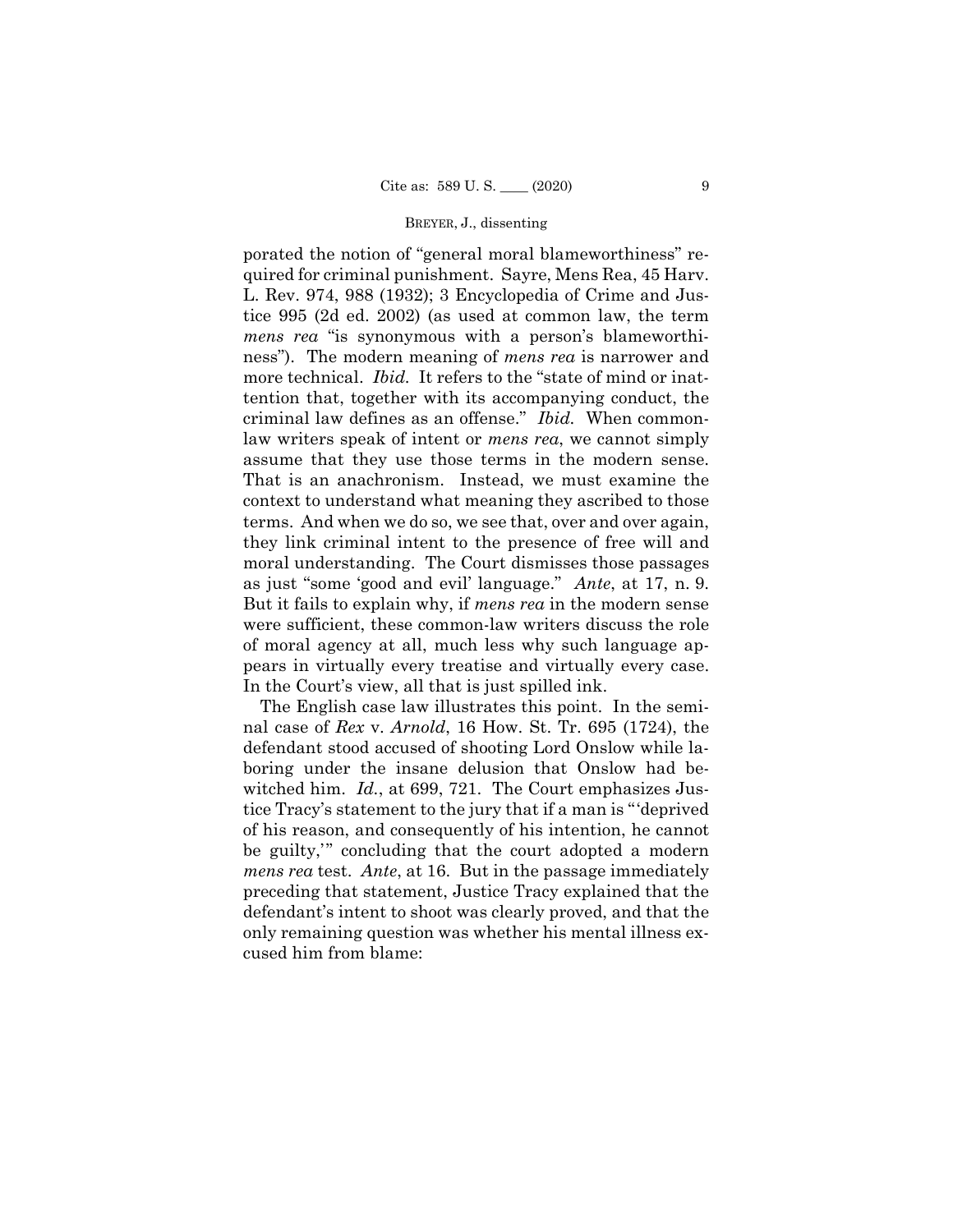as just "some 'good and evil' language." *Ante*, at 17, n. 9. porated the notion of "general moral blameworthiness" required for criminal punishment. Sayre, Mens Rea, 45 Harv. L. Rev. 974, 988 (1932); 3 Encyclopedia of Crime and Justice 995 (2d ed. 2002) (as used at common law, the term *mens rea* "is synonymous with a person's blameworthiness"). The modern meaning of *mens rea* is narrower and more technical. *Ibid.* It refers to the "state of mind or inattention that, together with its accompanying conduct, the criminal law defines as an offense." *Ibid.* When commonlaw writers speak of intent or *mens rea*, we cannot simply assume that they use those terms in the modern sense. That is an anachronism. Instead, we must examine the context to understand what meaning they ascribed to those terms. And when we do so, we see that, over and over again, they link criminal intent to the presence of free will and moral understanding. The Court dismisses those passages But it fails to explain why, if *mens rea* in the modern sense were sufficient, these common-law writers discuss the role of moral agency at all, much less why such language appears in virtually every treatise and virtually every case. In the Court's view, all that is just spilled ink.

The English case law illustrates this point. In the seminal case of *Rex* v. *Arnold*, 16 How. St. Tr. 695 (1724), the defendant stood accused of shooting Lord Onslow while laboring under the insane delusion that Onslow had bewitched him. *Id.*, at 699, 721. The Court emphasizes Justice Tracy's statement to the jury that if a man is "'deprived of his reason, and consequently of his intention, he cannot be guilty,'" concluding that the court adopted a modern *mens rea* test. *Ante*, at 16. But in the passage immediately preceding that statement, Justice Tracy explained that the defendant's intent to shoot was clearly proved, and that the only remaining question was whether his mental illness excused him from blame: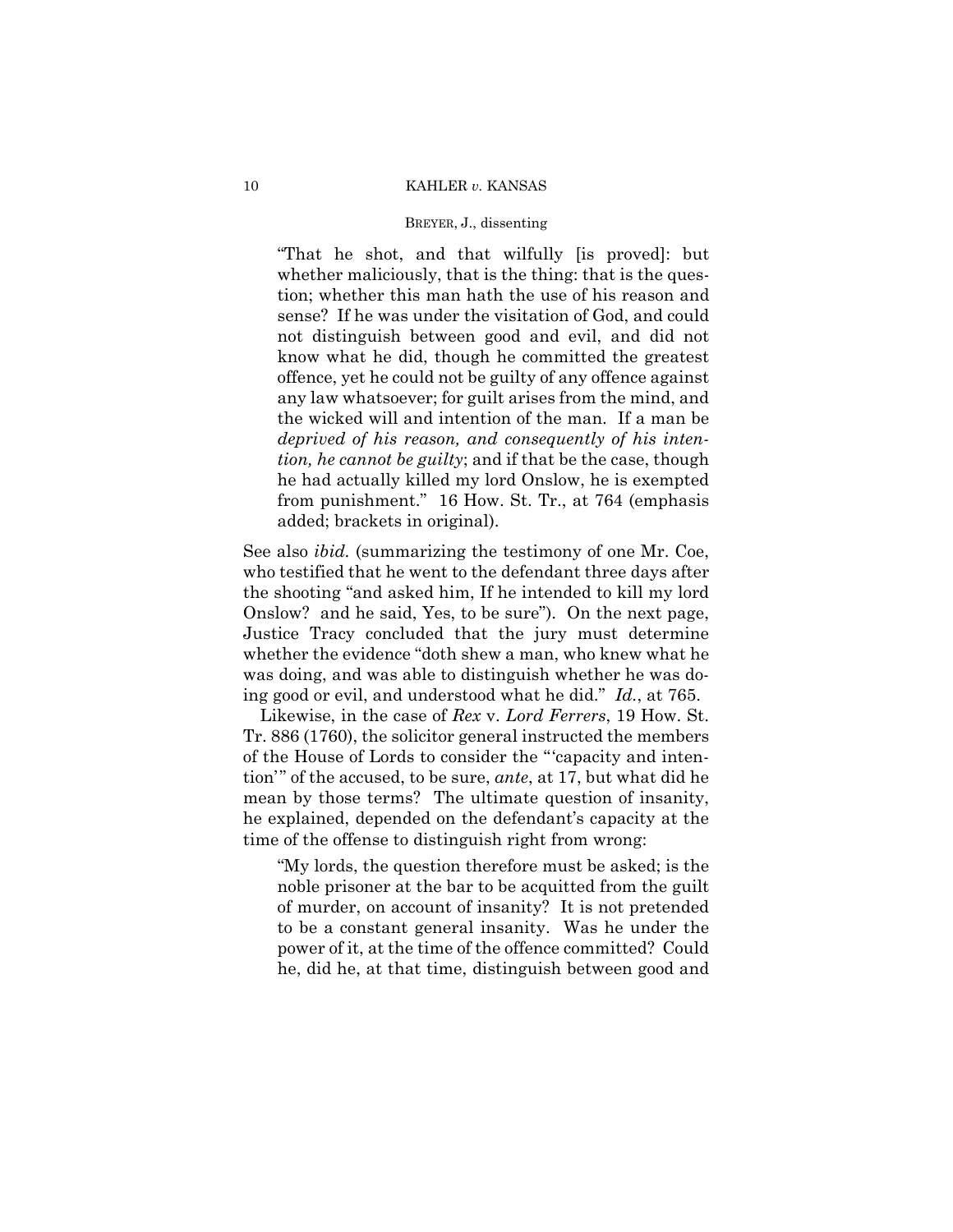# BREYER, J., dissenting

"That he shot, and that wilfully [is proved]: but whether maliciously, that is the thing: that is the question; whether this man hath the use of his reason and sense? If he was under the visitation of God, and could not distinguish between good and evil, and did not know what he did, though he committed the greatest offence, yet he could not be guilty of any offence against any law whatsoever; for guilt arises from the mind, and the wicked will and intention of the man. If a man be *deprived of his reason, and consequently of his intention, he cannot be guilty*; and if that be the case, though he had actually killed my lord Onslow, he is exempted from punishment." 16 How. St. Tr., at 764 (emphasis added; brackets in original).

See also *ibid.* (summarizing the testimony of one Mr. Coe, who testified that he went to the defendant three days after the shooting "and asked him, If he intended to kill my lord Onslow? and he said, Yes, to be sure"). On the next page, Justice Tracy concluded that the jury must determine whether the evidence "doth shew a man, who knew what he was doing, and was able to distinguish whether he was doing good or evil, and understood what he did." *Id.*, at 765. Likewise, in the case of *Rex* v. *Lord Ferrers*, 19 How. St.

Tr. 886 (1760), the solicitor general instructed the members of the House of Lords to consider the "'capacity and intention'" of the accused, to be sure, *ante*, at 17, but what did he mean by those terms? The ultimate question of insanity, he explained, depended on the defendant's capacity at the time of the offense to distinguish right from wrong:

"My lords, the question therefore must be asked; is the noble prisoner at the bar to be acquitted from the guilt of murder, on account of insanity? It is not pretended to be a constant general insanity. Was he under the power of it, at the time of the offence committed? Could he, did he, at that time, distinguish between good and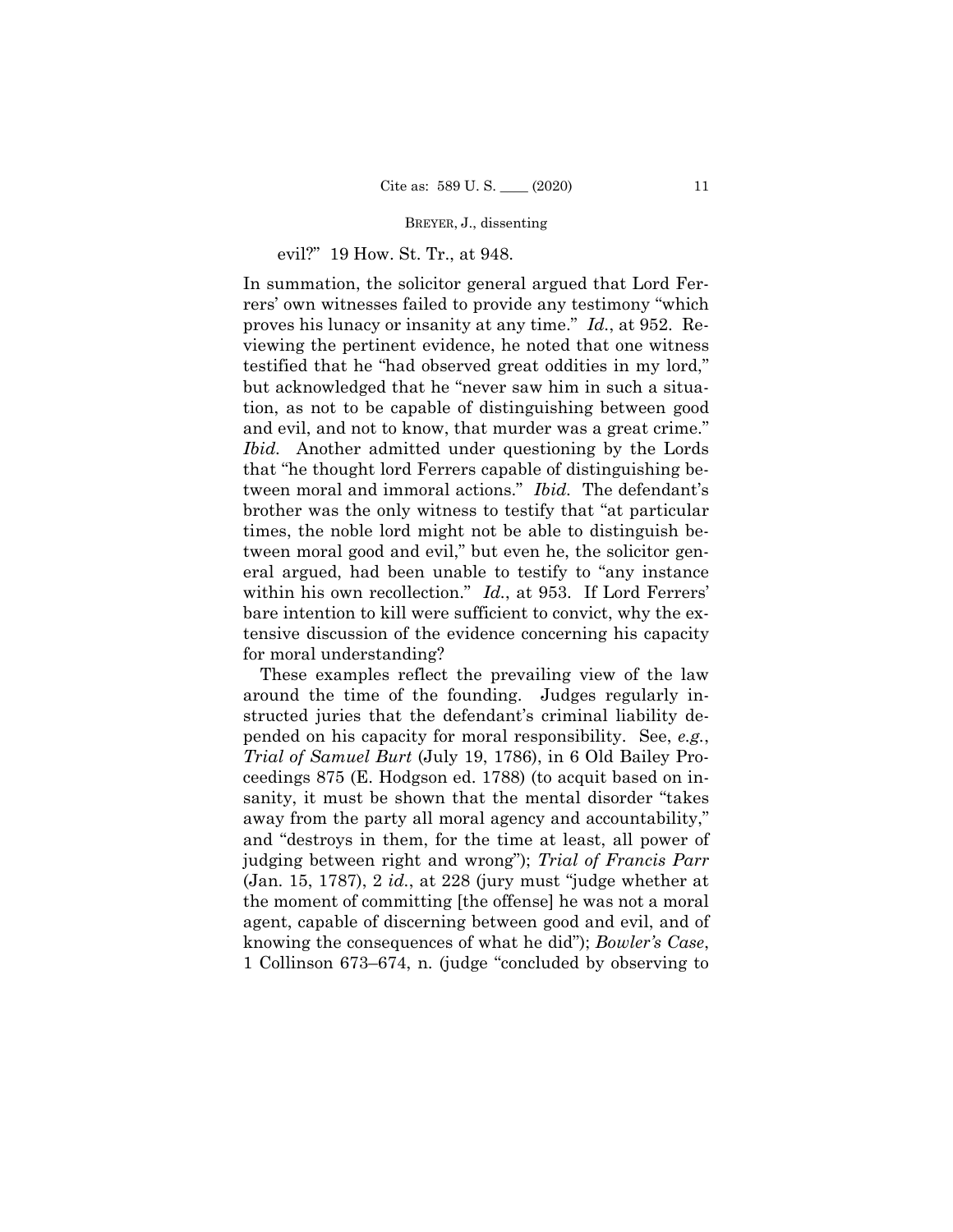# evil?" 19 How. St. Tr., at 948.

In summation, the solicitor general argued that Lord Ferrers' own witnesses failed to provide any testimony "which proves his lunacy or insanity at any time." *Id.*, at 952. Reviewing the pertinent evidence, he noted that one witness testified that he "had observed great oddities in my lord," but acknowledged that he "never saw him in such a situation, as not to be capable of distinguishing between good and evil, and not to know, that murder was a great crime." *Ibid.* Another admitted under questioning by the Lords that "he thought lord Ferrers capable of distinguishing between moral and immoral actions." *Ibid.* The defendant's brother was the only witness to testify that "at particular times, the noble lord might not be able to distinguish between moral good and evil," but even he, the solicitor general argued, had been unable to testify to "any instance within his own recollection." *Id.*, at 953. If Lord Ferrers' bare intention to kill were sufficient to convict, why the extensive discussion of the evidence concerning his capacity for moral understanding?

These examples reflect the prevailing view of the law around the time of the founding. Judges regularly instructed juries that the defendant's criminal liability depended on his capacity for moral responsibility. See, *e.g.*, *Trial of Samuel Burt* (July 19, 1786), in 6 Old Bailey Proceedings 875 (E. Hodgson ed. 1788) (to acquit based on insanity, it must be shown that the mental disorder "takes away from the party all moral agency and accountability," and "destroys in them, for the time at least, all power of judging between right and wrong"); *Trial of Francis Parr*  (Jan. 15, 1787), 2 *id.*, at 228 (jury must "judge whether at the moment of committing [the offense] he was not a moral agent, capable of discerning between good and evil, and of knowing the consequences of what he did"); *Bowler's Case*, 1 Collinson 673–674, n. (judge "concluded by observing to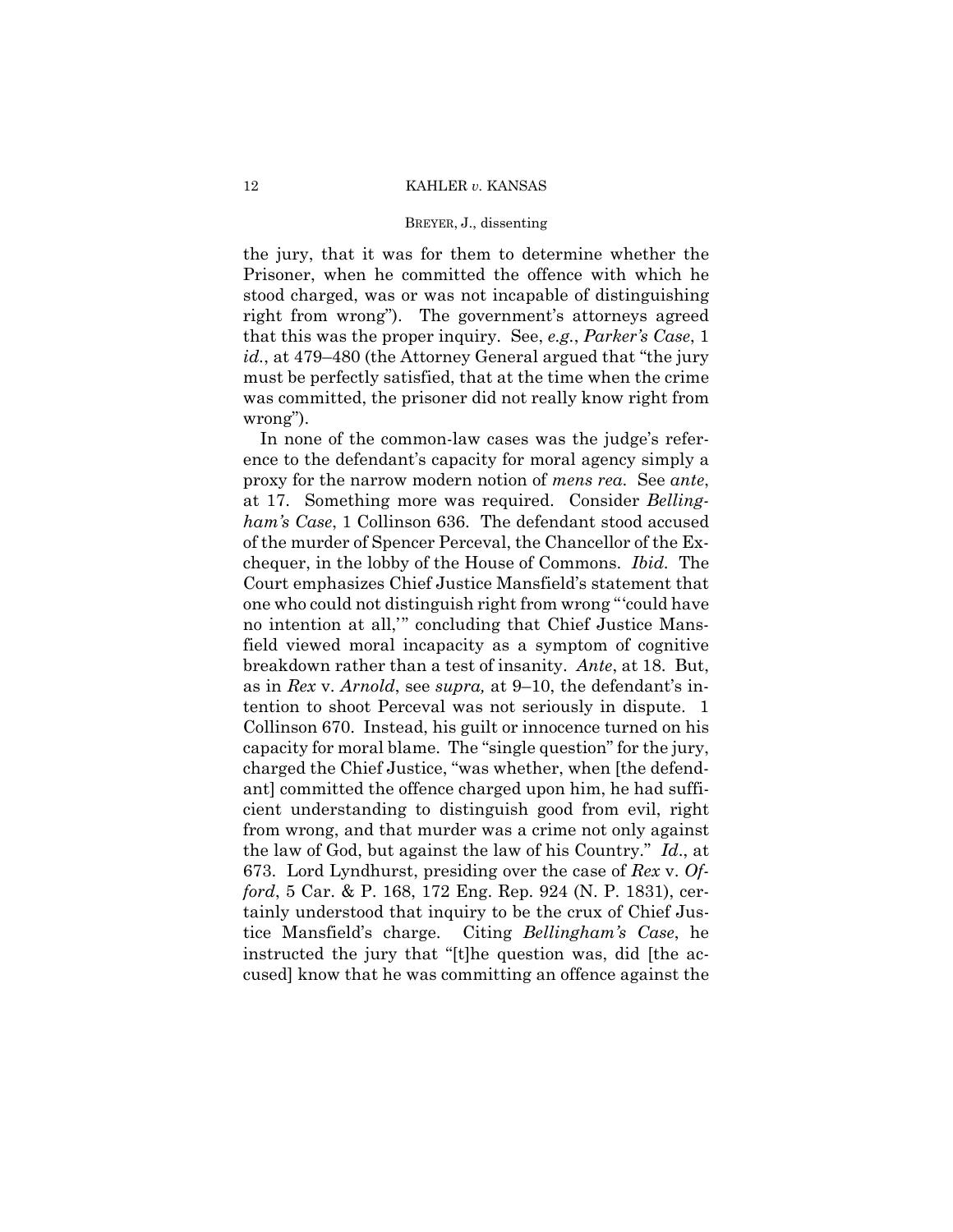the jury, that it was for them to determine whether the Prisoner, when he committed the offence with which he stood charged, was or was not incapable of distinguishing right from wrong"). The government's attorneys agreed that this was the proper inquiry. See, *e.g.*, *Parker's Case*, 1 *id.*, at 479–480 (the Attorney General argued that "the jury must be perfectly satisfied, that at the time when the crime was committed, the prisoner did not really know right from wrong").

In none of the common-law cases was the judge's reference to the defendant's capacity for moral agency simply a proxy for the narrow modern notion of *mens rea*. See *ante*, at 17. Something more was required. Consider *Bellingham's Case*, 1 Collinson 636. The defendant stood accused of the murder of Spencer Perceval, the Chancellor of the Exchequer, in the lobby of the House of Commons. *Ibid.* The Court emphasizes Chief Justice Mansfield's statement that one who could not distinguish right from wrong "'could have no intention at all,'" concluding that Chief Justice Mansfield viewed moral incapacity as a symptom of cognitive breakdown rather than a test of insanity. *Ante*, at 18. But, as in *Rex* v. *Arnold*, see *supra,* at 9–10, the defendant's intention to shoot Perceval was not seriously in dispute. 1 Collinson 670. Instead, his guilt or innocence turned on his capacity for moral blame. The "single question" for the jury, charged the Chief Justice, "was whether, when [the defendant] committed the offence charged upon him, he had sufficient understanding to distinguish good from evil, right from wrong, and that murder was a crime not only against the law of God, but against the law of his Country." *Id*., at 673. Lord Lyndhurst, presiding over the case of *Rex* v. *Offord*, 5 Car. & P. 168, 172 Eng. Rep. 924 (N. P. 1831), certainly understood that inquiry to be the crux of Chief Justice Mansfield's charge. Citing *Bellingham's Case*, he instructed the jury that "[t]he question was, did [the accused] know that he was committing an offence against the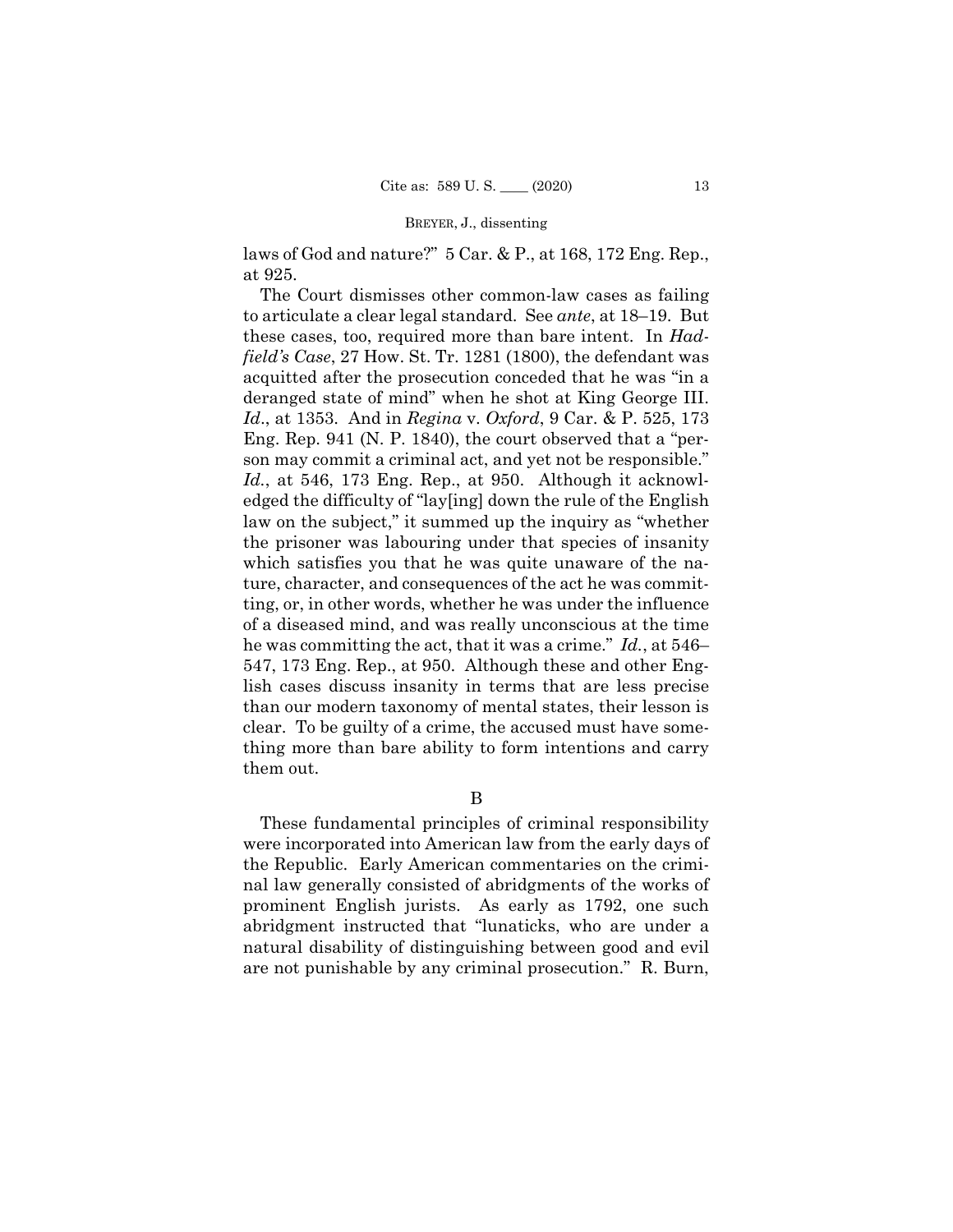laws of God and nature?" 5 Car. & P., at 168, 172 Eng. Rep., at 925.

The Court dismisses other common-law cases as failing to articulate a clear legal standard. See *ante*, at 18–19. But these cases, too, required more than bare intent. In *Hadfield's Case*, 27 How. St. Tr. 1281 (1800), the defendant was acquitted after the prosecution conceded that he was "in a deranged state of mind" when he shot at King George III. *Id*., at 1353. And in *Regina* v. *Oxford*, 9 Car. & P. 525, 173 Eng. Rep. 941 (N. P. 1840), the court observed that a "person may commit a criminal act, and yet not be responsible." *Id.*, at 546, 173 Eng. Rep., at 950. Although it acknowledged the difficulty of "lay[ing] down the rule of the English law on the subject," it summed up the inquiry as "whether the prisoner was labouring under that species of insanity which satisfies you that he was quite unaware of the nature, character, and consequences of the act he was committing, or, in other words, whether he was under the influence of a diseased mind, and was really unconscious at the time he was committing the act, that it was a crime." *Id.*, at 546– 547, 173 Eng. Rep., at 950. Although these and other English cases discuss insanity in terms that are less precise than our modern taxonomy of mental states, their lesson is clear. To be guilty of a crime, the accused must have something more than bare ability to form intentions and carry them out.

B

These fundamental principles of criminal responsibility were incorporated into American law from the early days of the Republic. Early American commentaries on the criminal law generally consisted of abridgments of the works of prominent English jurists. As early as 1792, one such abridgment instructed that "lunaticks, who are under a natural disability of distinguishing between good and evil are not punishable by any criminal prosecution." R. Burn,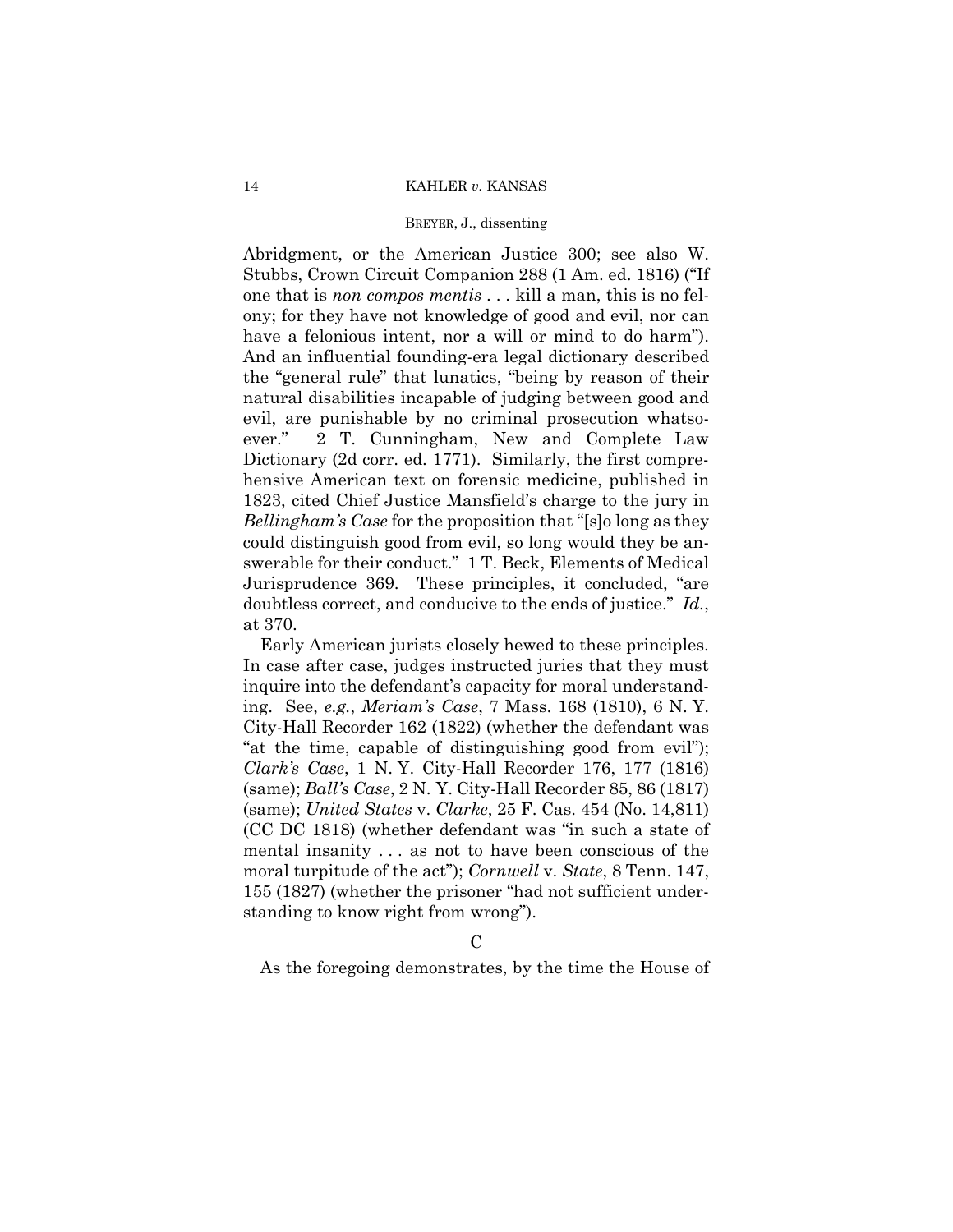# BREYER, J., dissenting

 have a felonious intent, nor a will or mind to do harm"). Abridgment, or the American Justice 300; see also W. Stubbs, Crown Circuit Companion 288 (1 Am. ed. 1816) ("If one that is *non compos mentis* . . . kill a man, this is no felony; for they have not knowledge of good and evil, nor can And an influential founding-era legal dictionary described the "general rule" that lunatics, "being by reason of their natural disabilities incapable of judging between good and evil, are punishable by no criminal prosecution whatsoever." 2 T. Cunningham, New and Complete Law Dictionary (2d corr. ed. 1771). Similarly, the first comprehensive American text on forensic medicine, published in 1823, cited Chief Justice Mansfield's charge to the jury in *Bellingham's Case* for the proposition that "[s]o long as they could distinguish good from evil, so long would they be answerable for their conduct." 1 T. Beck, Elements of Medical Jurisprudence 369. These principles, it concluded, "are doubtless correct, and conducive to the ends of justice." *Id.*, at 370.

Early American jurists closely hewed to these principles. In case after case, judges instructed juries that they must inquire into the defendant's capacity for moral understanding. See, *e.g.*, *Meriam's Case*, 7 Mass. 168 (1810), 6 N. Y. City-Hall Recorder 162 (1822) (whether the defendant was "at the time, capable of distinguishing good from evil"); *Clark's Case*, 1 N. Y. City-Hall Recorder 176, 177 (1816) (same); *Ball's Case*, 2 N. Y. City-Hall Recorder 85, 86 (1817) (same); *United States* v. *Clarke*, 25 F. Cas. 454 (No. 14,811) (CC DC 1818) (whether defendant was "in such a state of mental insanity . . . as not to have been conscious of the moral turpitude of the act"); *Cornwell* v. *State*, 8 Tenn. 147, 155 (1827) (whether the prisoner "had not sufficient understanding to know right from wrong").

 $\Gamma$ 

As the foregoing demonstrates, by the time the House of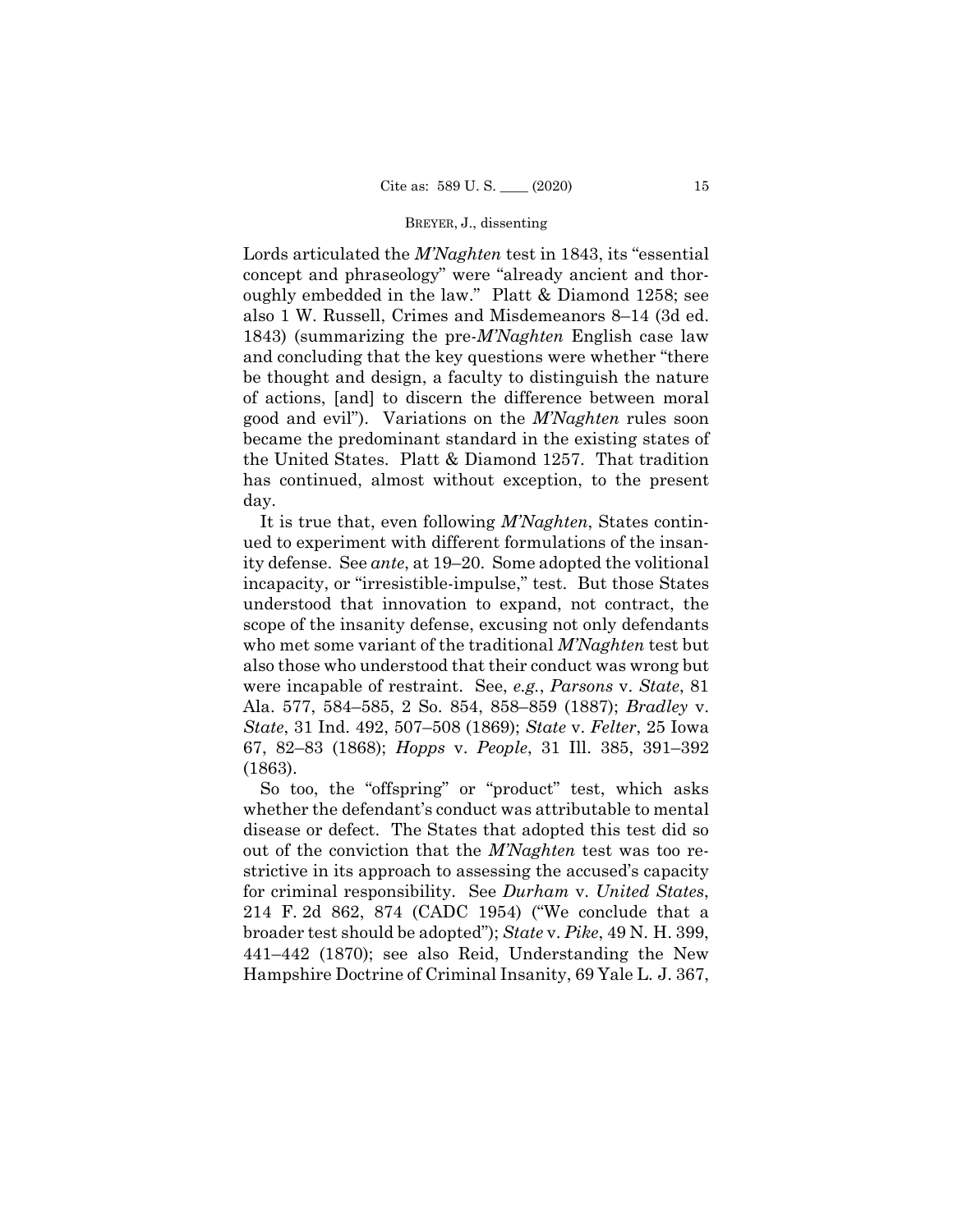Lords articulated the *M'Naghten* test in 1843, its "essential concept and phraseology" were "already ancient and thoroughly embedded in the law." Platt & Diamond 1258; see also 1 W. Russell, Crimes and Misdemeanors 8–14 (3d ed. 1843) (summarizing the pre-*M'Naghten* English case law and concluding that the key questions were whether "there be thought and design, a faculty to distinguish the nature of actions, [and] to discern the difference between moral good and evil"). Variations on the *M'Naghten* rules soon became the predominant standard in the existing states of the United States. Platt & Diamond 1257. That tradition has continued, almost without exception, to the present day.

It is true that, even following *M'Naghten*, States continued to experiment with different formulations of the insanity defense. See *ante*, at 19–20. Some adopted the volitional incapacity, or "irresistible-impulse," test. But those States understood that innovation to expand, not contract, the scope of the insanity defense, excusing not only defendants who met some variant of the traditional *M'Naghten* test but also those who understood that their conduct was wrong but were incapable of restraint. See, *e.g.*, *Parsons* v. *State*, 81 Ala. 577, 584–585, 2 So. 854, 858–859 (1887); *Bradley* v. *State*, 31 Ind. 492, 507–508 (1869); *State* v. *Felter*, 25 Iowa 67, 82–83 (1868); *Hopps* v. *People*, 31 Ill. 385, 391–392 (1863).

So too, the "offspring" or "product" test, which asks whether the defendant's conduct was attributable to mental disease or defect. The States that adopted this test did so out of the conviction that the *M'Naghten* test was too restrictive in its approach to assessing the accused's capacity for criminal responsibility. See *Durham* v. *United States*, 214 F. 2d 862, 874 (CADC 1954) ("We conclude that a broader test should be adopted"); *State* v. *Pike*, 49 N. H. 399, 441–442 (1870); see also Reid, Understanding the New Hampshire Doctrine of Criminal Insanity, 69 Yale L. J. 367,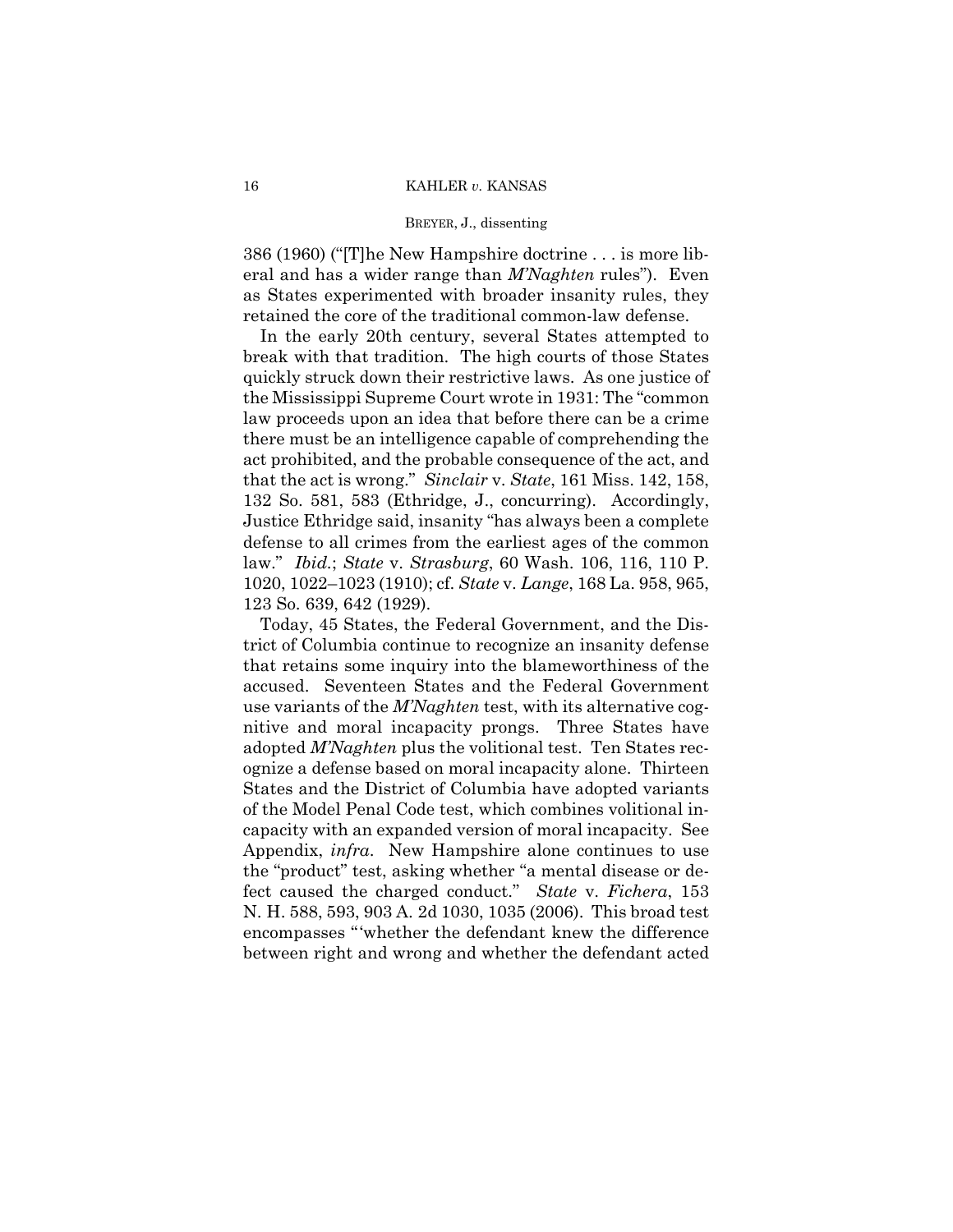386 (1960) ("[T]he New Hampshire doctrine . . . is more liberal and has a wider range than *M'Naghten* rules"). Even as States experimented with broader insanity rules, they retained the core of the traditional common-law defense.

 that the act is wrong." *Sinclair* v. *State*, 161 Miss. 142, 158, In the early 20th century, several States attempted to break with that tradition. The high courts of those States quickly struck down their restrictive laws. As one justice of the Mississippi Supreme Court wrote in 1931: The "common law proceeds upon an idea that before there can be a crime there must be an intelligence capable of comprehending the act prohibited, and the probable consequence of the act, and 132 So. 581, 583 (Ethridge, J., concurring). Accordingly, Justice Ethridge said, insanity "has always been a complete defense to all crimes from the earliest ages of the common law." *Ibid.*; *State* v. *Strasburg*, 60 Wash. 106, 116, 110 P. 1020, 1022–1023 (1910); cf. *State* v. *Lange*, 168 La. 958, 965, 123 So. 639, 642 (1929).

 fect caused the charged conduct." *State* v. *Fichera*, 153 Today, 45 States, the Federal Government, and the District of Columbia continue to recognize an insanity defense that retains some inquiry into the blameworthiness of the accused. Seventeen States and the Federal Government use variants of the *M'Naghten* test, with its alternative cognitive and moral incapacity prongs. Three States have adopted *M'Naghten* plus the volitional test. Ten States recognize a defense based on moral incapacity alone. Thirteen States and the District of Columbia have adopted variants of the Model Penal Code test, which combines volitional incapacity with an expanded version of moral incapacity. See Appendix, *infra*. New Hampshire alone continues to use the "product" test, asking whether "a mental disease or de-N. H. 588, 593, 903 A. 2d 1030, 1035 (2006). This broad test encompasses "'whether the defendant knew the difference between right and wrong and whether the defendant acted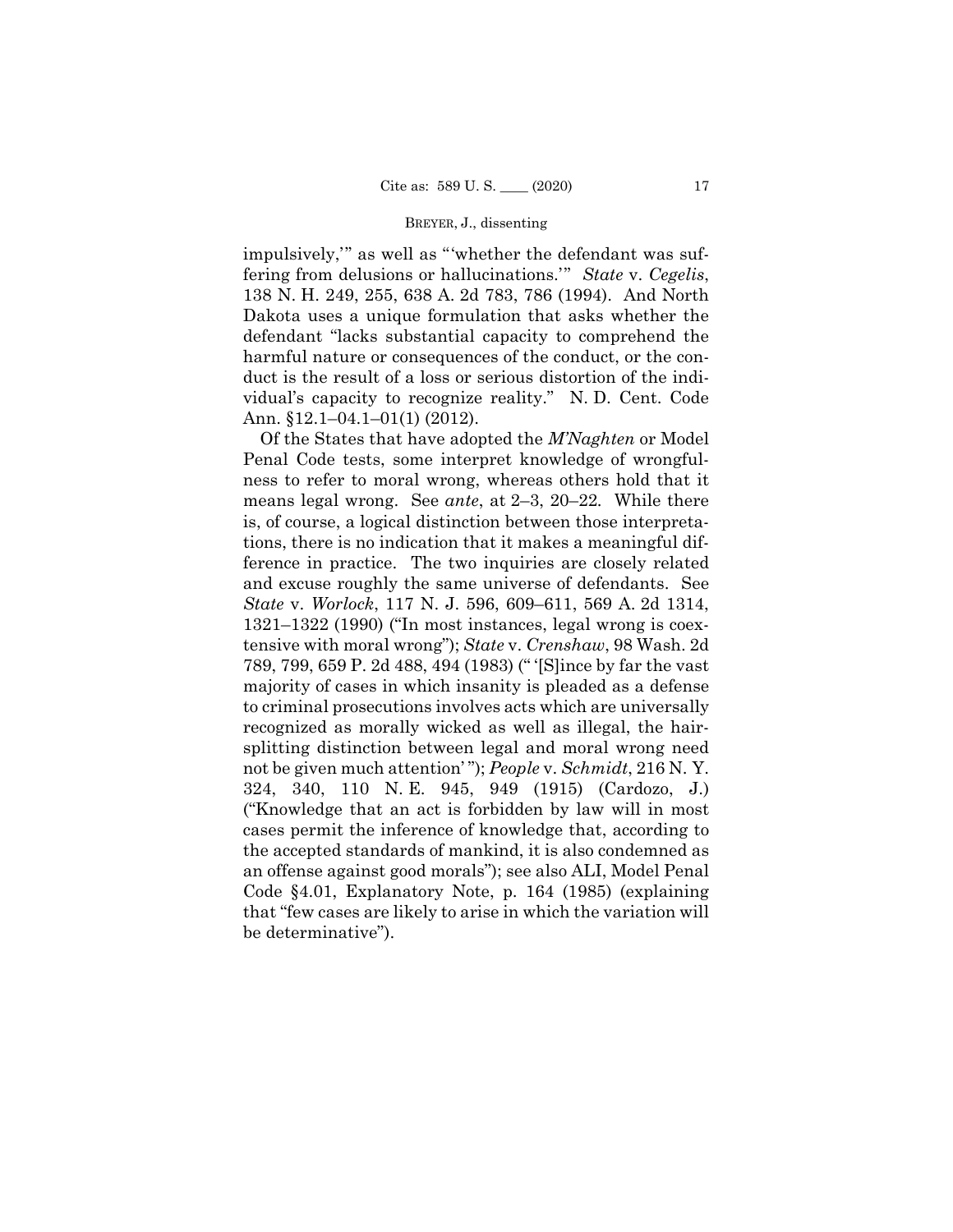impulsively,'" as well as "'whether the defendant was suffering from delusions or hallucinations.'" *State* v. *Cegelis*, 138 N. H. 249, 255, 638 A. 2d 783, 786 (1994). And North Dakota uses a unique formulation that asks whether the defendant "lacks substantial capacity to comprehend the harmful nature or consequences of the conduct, or the conduct is the result of a loss or serious distortion of the individual's capacity to recognize reality." N. D. Cent. Code Ann. §12.1–04.1–01(1) (2012).

Of the States that have adopted the *M'Naghten* or Model Penal Code tests, some interpret knowledge of wrongfulness to refer to moral wrong, whereas others hold that it means legal wrong. See *ante*, at 2–3, 20–22*.* While there is, of course, a logical distinction between those interpretations, there is no indication that it makes a meaningful difference in practice. The two inquiries are closely related and excuse roughly the same universe of defendants. See *State* v. *Worlock*, 117 N. J. 596, 609–611, 569 A. 2d 1314, 1321–1322 (1990) ("In most instances, legal wrong is coextensive with moral wrong"); *State* v. *Crenshaw*, 98 Wash. 2d 789, 799, 659 P. 2d 488, 494 (1983) (" '[S]ince by far the vast majority of cases in which insanity is pleaded as a defense to criminal prosecutions involves acts which are universally recognized as morally wicked as well as illegal, the hairsplitting distinction between legal and moral wrong need not be given much attention' "); *People* v. *Schmidt*, 216 N. Y. 324, 340, 110 N. E. 945, 949 (1915) (Cardozo, J.) ("Knowledge that an act is forbidden by law will in most cases permit the inference of knowledge that, according to the accepted standards of mankind, it is also condemned as an offense against good morals"); see also ALI, Model Penal Code §4.01, Explanatory Note, p. 164 (1985) (explaining that "few cases are likely to arise in which the variation will be determinative").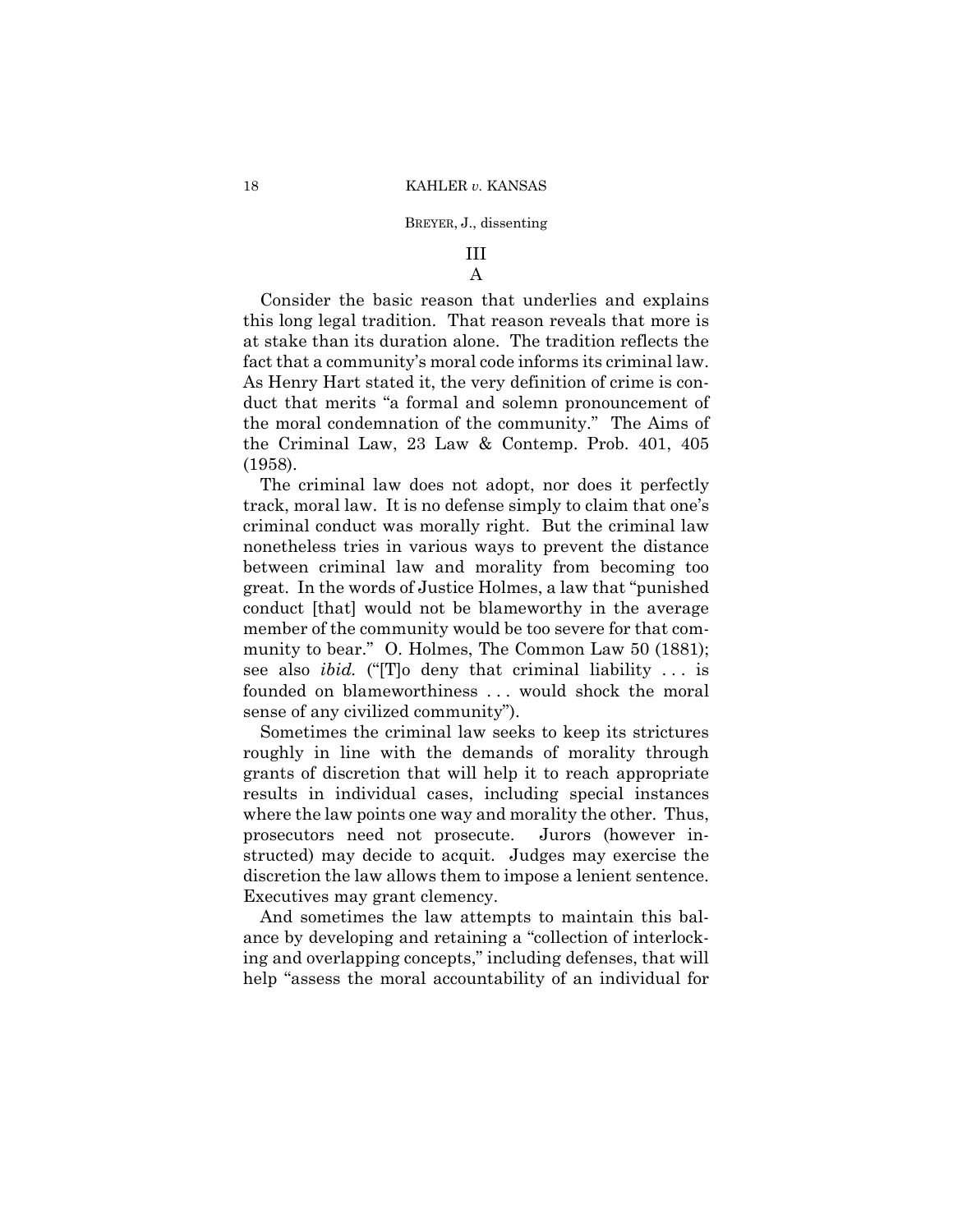# III A

# Consider the basic reason that underlies and explains this long legal tradition. That reason reveals that more is at stake than its duration alone. The tradition reflects the fact that a community's moral code informs its criminal law. As Henry Hart stated it, the very definition of crime is conduct that merits "a formal and solemn pronouncement of the moral condemnation of the community." The Aims of the Criminal Law, 23 Law & Contemp. Prob. 401, 405 (1958).

The criminal law does not adopt, nor does it perfectly track, moral law. It is no defense simply to claim that one's criminal conduct was morally right. But the criminal law nonetheless tries in various ways to prevent the distance between criminal law and morality from becoming too great. In the words of Justice Holmes, a law that "punished conduct [that] would not be blameworthy in the average member of the community would be too severe for that community to bear." O. Holmes, The Common Law 50 (1881); see also *ibid.* ("[T]o deny that criminal liability ... is founded on blameworthiness ... would shock the moral sense of any civilized community").

Sometimes the criminal law seeks to keep its strictures roughly in line with the demands of morality through grants of discretion that will help it to reach appropriate results in individual cases, including special instances where the law points one way and morality the other. Thus, prosecutors need not prosecute. Jurors (however instructed) may decide to acquit. Judges may exercise the discretion the law allows them to impose a lenient sentence. Executives may grant clemency.

And sometimes the law attempts to maintain this balance by developing and retaining a "collection of interlocking and overlapping concepts," including defenses, that will help "assess the moral accountability of an individual for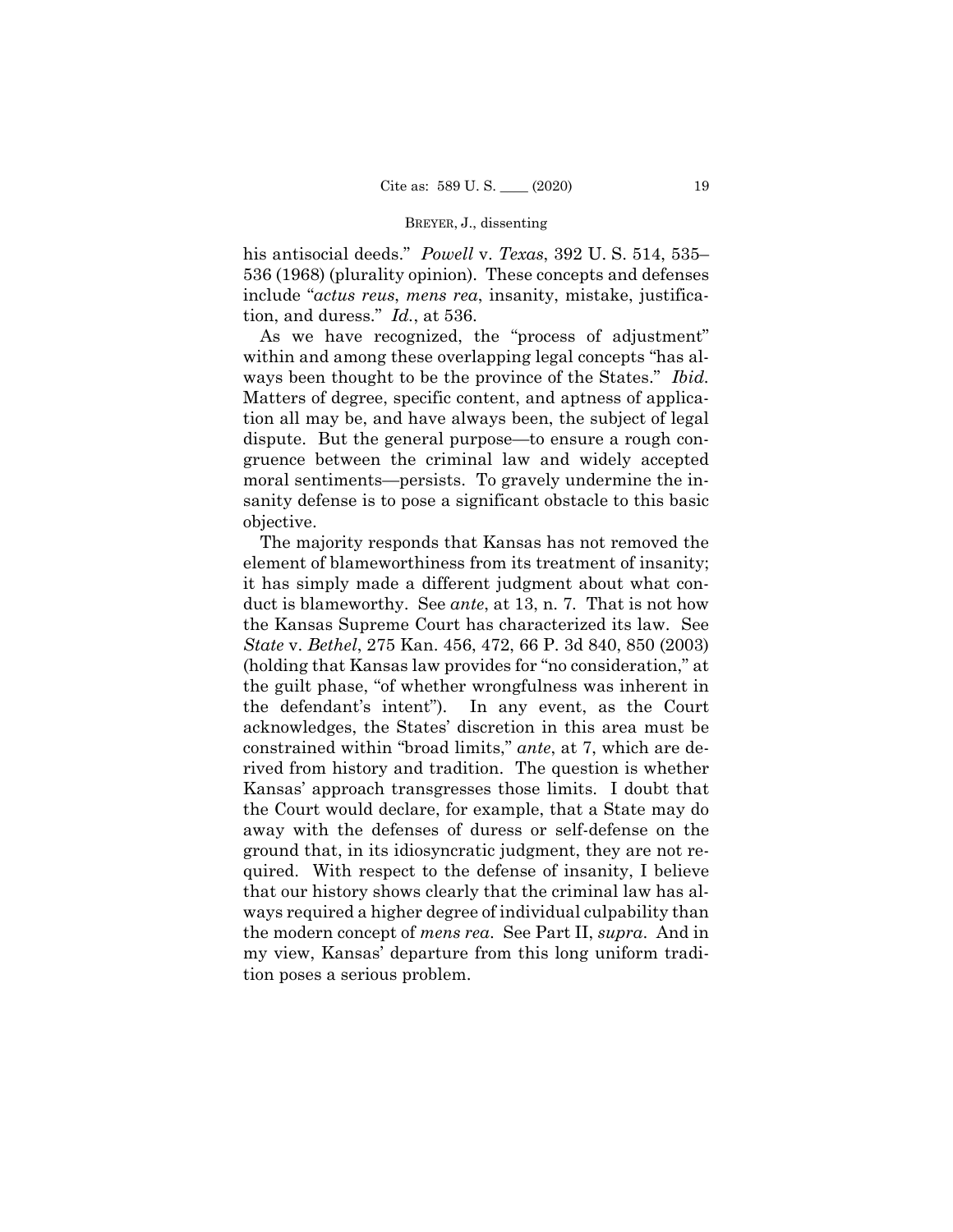his antisocial deeds." *Powell* v. *Texas*, 392 U. S. 514, 535– 536 (1968) (plurality opinion). These concepts and defenses include "*actus reus*, *mens rea*, insanity, mistake, justification, and duress." *Id.*, at 536.

As we have recognized, the "process of adjustment" within and among these overlapping legal concepts "has always been thought to be the province of the States." *Ibid.* Matters of degree, specific content, and aptness of application all may be, and have always been, the subject of legal dispute. But the general purpose—to ensure a rough congruence between the criminal law and widely accepted moral sentiments—persists. To gravely undermine the insanity defense is to pose a significant obstacle to this basic objective.

The majority responds that Kansas has not removed the element of blameworthiness from its treatment of insanity; it has simply made a different judgment about what conduct is blameworthy. See *ante*, at 13, n. 7*.* That is not how the Kansas Supreme Court has characterized its law. See *State* v. *Bethel*, 275 Kan. 456, 472, 66 P. 3d 840, 850 (2003) (holding that Kansas law provides for "no consideration," at the guilt phase, "of whether wrongfulness was inherent in the defendant's intent"). In any event, as the Court acknowledges, the States' discretion in this area must be constrained within "broad limits," *ante*, at 7, which are derived from history and tradition. The question is whether Kansas' approach transgresses those limits. I doubt that the Court would declare, for example, that a State may do away with the defenses of duress or self-defense on the ground that, in its idiosyncratic judgment, they are not required. With respect to the defense of insanity, I believe that our history shows clearly that the criminal law has always required a higher degree of individual culpability than the modern concept of *mens rea*. See Part II, *supra*. And in my view, Kansas' departure from this long uniform tradition poses a serious problem.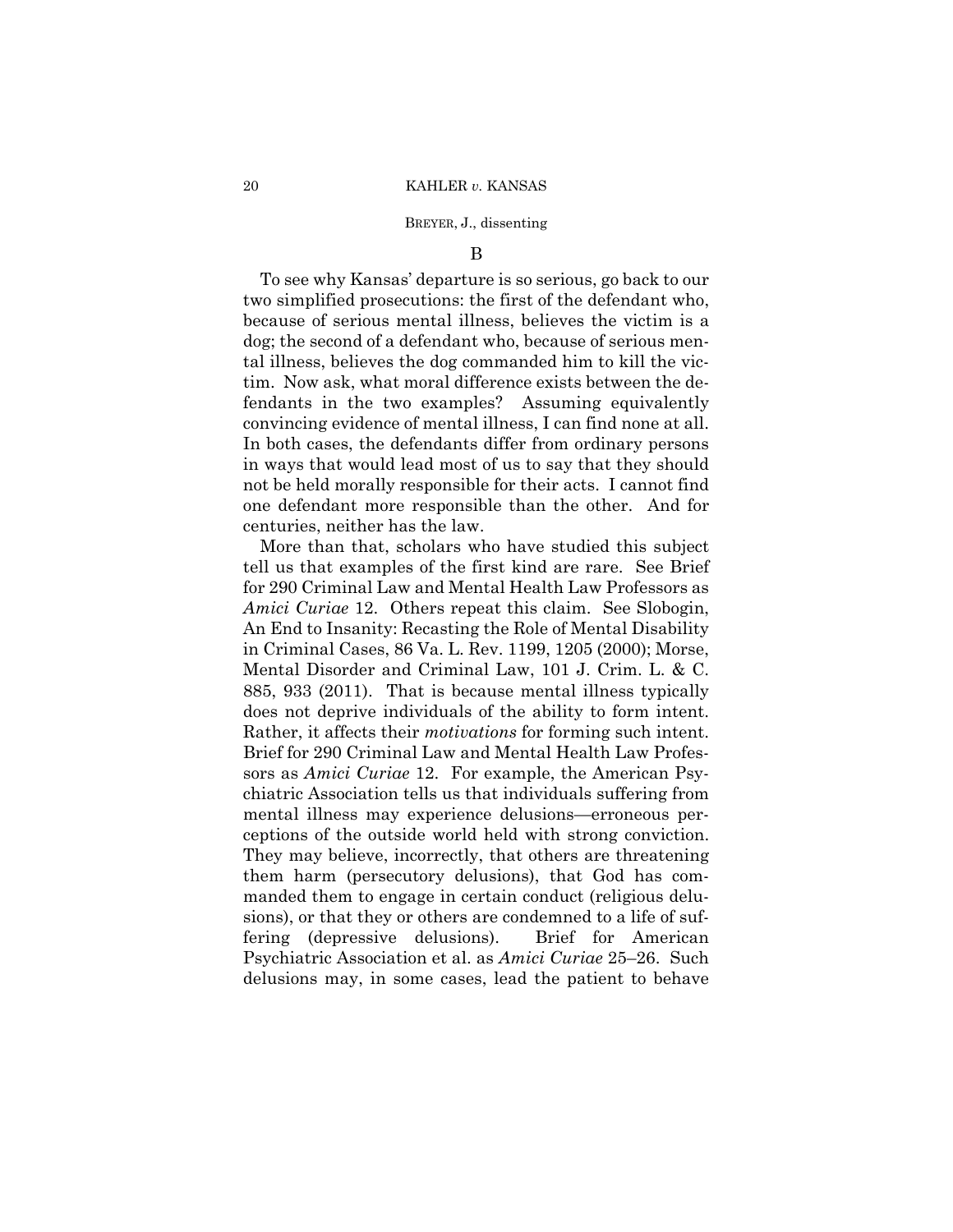# B

To see why Kansas' departure is so serious, go back to our two simplified prosecutions: the first of the defendant who, because of serious mental illness, believes the victim is a dog; the second of a defendant who, because of serious mental illness, believes the dog commanded him to kill the victim. Now ask, what moral difference exists between the defendants in the two examples? Assuming equivalently convincing evidence of mental illness, I can find none at all. In both cases, the defendants differ from ordinary persons in ways that would lead most of us to say that they should not be held morally responsible for their acts. I cannot find one defendant more responsible than the other. And for centuries, neither has the law.

 *Amici Curiae* 12. Others repeat this claim. See Slobogin, More than that, scholars who have studied this subject tell us that examples of the first kind are rare. See Brief for 290 Criminal Law and Mental Health Law Professors as An End to Insanity: Recasting the Role of Mental Disability in Criminal Cases, 86 Va. L. Rev. 1199, 1205 (2000); Morse, Mental Disorder and Criminal Law, 101 J. Crim. L. & C. 885, 933 (2011). That is because mental illness typically does not deprive individuals of the ability to form intent. Rather, it affects their *motivations* for forming such intent. Brief for 290 Criminal Law and Mental Health Law Professors as *Amici Curiae* 12. For example, the American Psychiatric Association tells us that individuals suffering from mental illness may experience delusions—erroneous perceptions of the outside world held with strong conviction. They may believe, incorrectly, that others are threatening them harm (persecutory delusions), that God has commanded them to engage in certain conduct (religious delusions), or that they or others are condemned to a life of suffering (depressive delusions). Brief for American Psychiatric Association et al. as *Amici Curiae* 25–26. Such delusions may, in some cases, lead the patient to behave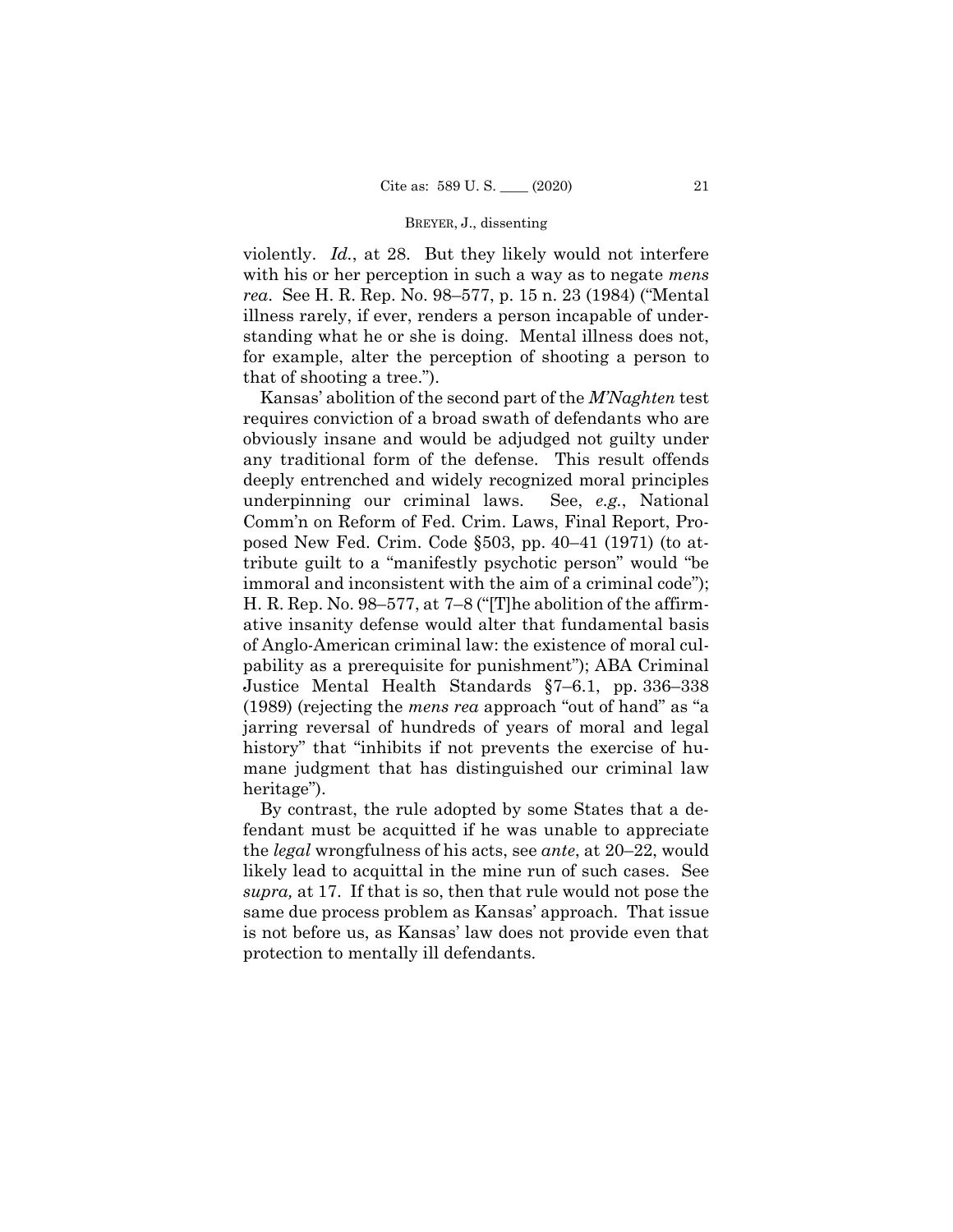violently. *Id.*, at 28. But they likely would not interfere with his or her perception in such a way as to negate *mens rea*. See H. R. Rep. No. 98–577, p. 15 n. 23 (1984) ("Mental illness rarely, if ever, renders a person incapable of understanding what he or she is doing. Mental illness does not, for example, alter the perception of shooting a person to that of shooting a tree.").

 jarring reversal of hundreds of years of moral and legal Kansas' abolition of the second part of the *M'Naghten* test requires conviction of a broad swath of defendants who are obviously insane and would be adjudged not guilty under any traditional form of the defense. This result offends deeply entrenched and widely recognized moral principles underpinning our criminal laws. See, *e.g.*, National Comm'n on Reform of Fed. Crim. Laws, Final Report, Proposed New Fed. Crim. Code §503, pp. 40–41 (1971) (to attribute guilt to a "manifestly psychotic person" would "be immoral and inconsistent with the aim of a criminal code"); H. R. Rep. No. 98–577, at 7–8 ("[T]he abolition of the affirmative insanity defense would alter that fundamental basis of Anglo-American criminal law: the existence of moral culpability as a prerequisite for punishment"); ABA Criminal Justice Mental Health Standards §7–6.1, pp. 336–338 (1989) (rejecting the *mens rea* approach "out of hand" as "a history" that "inhibits if not prevents the exercise of humane judgment that has distinguished our criminal law heritage").

By contrast, the rule adopted by some States that a defendant must be acquitted if he was unable to appreciate the *legal* wrongfulness of his acts, see *ante*, at 20–22, would likely lead to acquittal in the mine run of such cases. See *supra,* at 17. If that is so, then that rule would not pose the same due process problem as Kansas' approach. That issue is not before us, as Kansas' law does not provide even that protection to mentally ill defendants.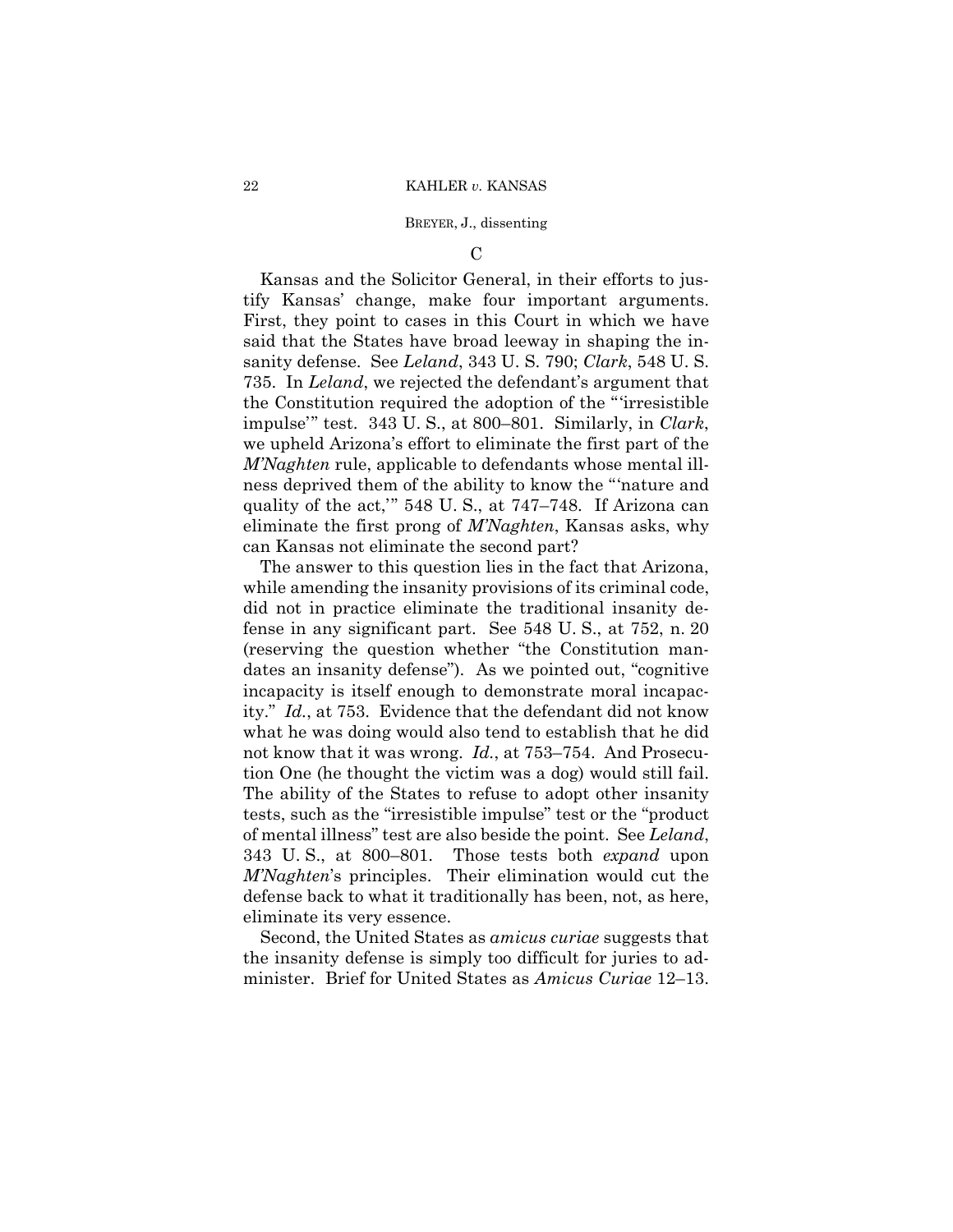# $\mathcal{C}$

Kansas and the Solicitor General, in their efforts to justify Kansas' change, make four important arguments. First, they point to cases in this Court in which we have said that the States have broad leeway in shaping the insanity defense. See *Leland*, 343 U. S. 790; *Clark*, 548 U. S. 735. In *Leland*, we rejected the defendant's argument that the Constitution required the adoption of the "'irresistible impulse'" test. 343 U. S., at 800–801. Similarly, in *Clark*, we upheld Arizona's effort to eliminate the first part of the *M'Naghten* rule, applicable to defendants whose mental illness deprived them of the ability to know the "'nature and quality of the act,'" 548 U. S., at 747–748. If Arizona can eliminate the first prong of *M'Naghten*, Kansas asks, why can Kansas not eliminate the second part?

The answer to this question lies in the fact that Arizona, while amending the insanity provisions of its criminal code, did not in practice eliminate the traditional insanity defense in any significant part. See 548 U. S., at 752, n. 20 (reserving the question whether "the Constitution mandates an insanity defense"). As we pointed out, "cognitive incapacity is itself enough to demonstrate moral incapacity." *Id.*, at 753. Evidence that the defendant did not know what he was doing would also tend to establish that he did not know that it was wrong. *Id.*, at 753–754. And Prosecution One (he thought the victim was a dog) would still fail. The ability of the States to refuse to adopt other insanity tests, such as the "irresistible impulse" test or the "product of mental illness" test are also beside the point. See *Leland*, 343 U. S., at 800–801. Those tests both *expand* upon *M'Naghten*'s principles. Their elimination would cut the defense back to what it traditionally has been, not, as here, eliminate its very essence.

Second, the United States as *amicus curiae* suggests that the insanity defense is simply too difficult for juries to administer. Brief for United States as *Amicus Curiae* 12–13.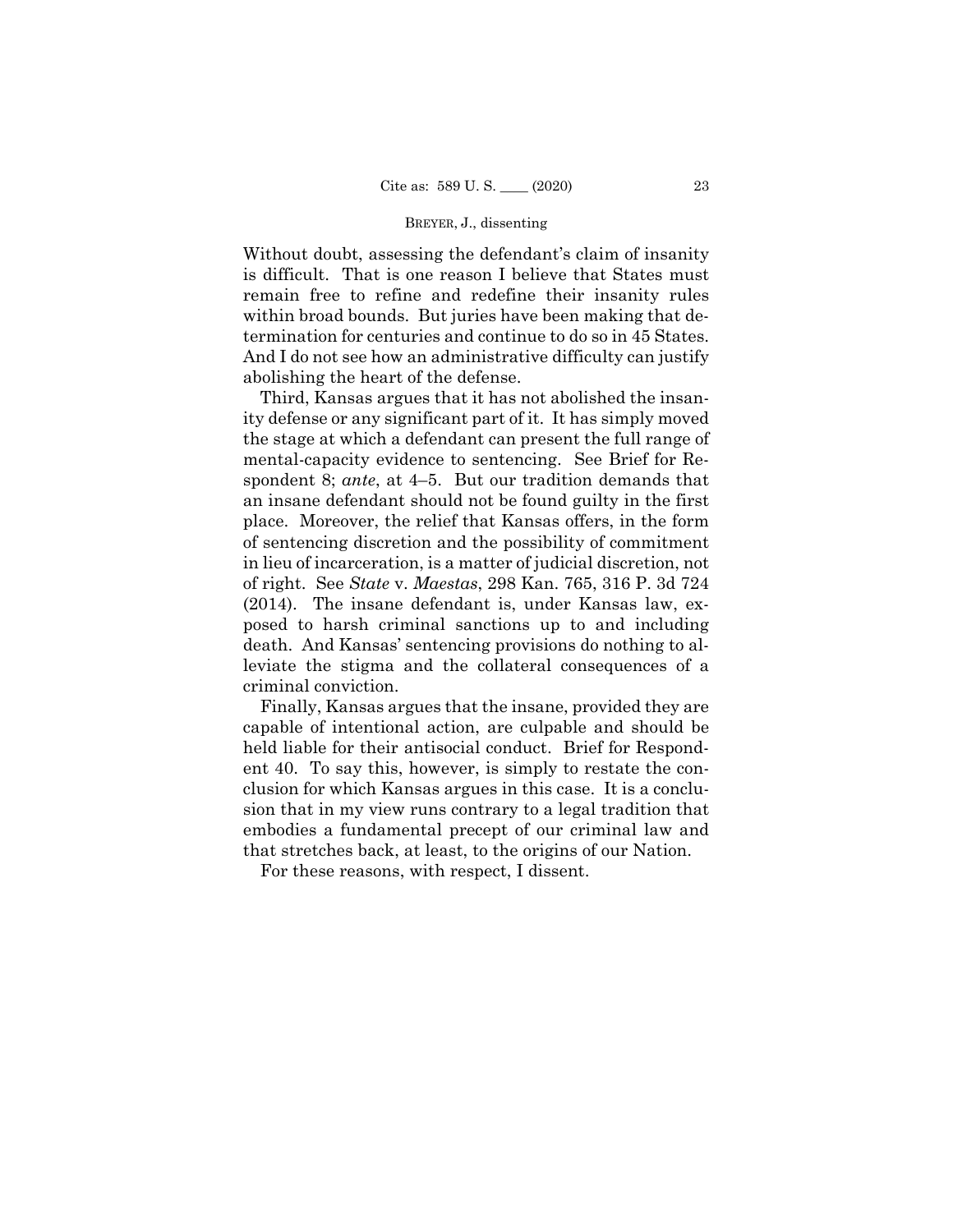Without doubt, assessing the defendant's claim of insanity is difficult. That is one reason I believe that States must remain free to refine and redefine their insanity rules within broad bounds. But juries have been making that determination for centuries and continue to do so in 45 States. And I do not see how an administrative difficulty can justify abolishing the heart of the defense.

Third, Kansas argues that it has not abolished the insanity defense or any significant part of it. It has simply moved the stage at which a defendant can present the full range of mental-capacity evidence to sentencing. See Brief for Respondent 8; *ante*, at 4–5. But our tradition demands that an insane defendant should not be found guilty in the first place. Moreover, the relief that Kansas offers, in the form of sentencing discretion and the possibility of commitment in lieu of incarceration, is a matter of judicial discretion, not of right. See *State* v. *Maestas*, 298 Kan. 765, 316 P. 3d 724 (2014). The insane defendant is, under Kansas law, exposed to harsh criminal sanctions up to and including death. And Kansas' sentencing provisions do nothing to alleviate the stigma and the collateral consequences of a criminal conviction.

Finally, Kansas argues that the insane, provided they are capable of intentional action, are culpable and should be held liable for their antisocial conduct. Brief for Respondent 40. To say this, however, is simply to restate the conclusion for which Kansas argues in this case. It is a conclusion that in my view runs contrary to a legal tradition that embodies a fundamental precept of our criminal law and that stretches back, at least, to the origins of our Nation.

For these reasons, with respect, I dissent.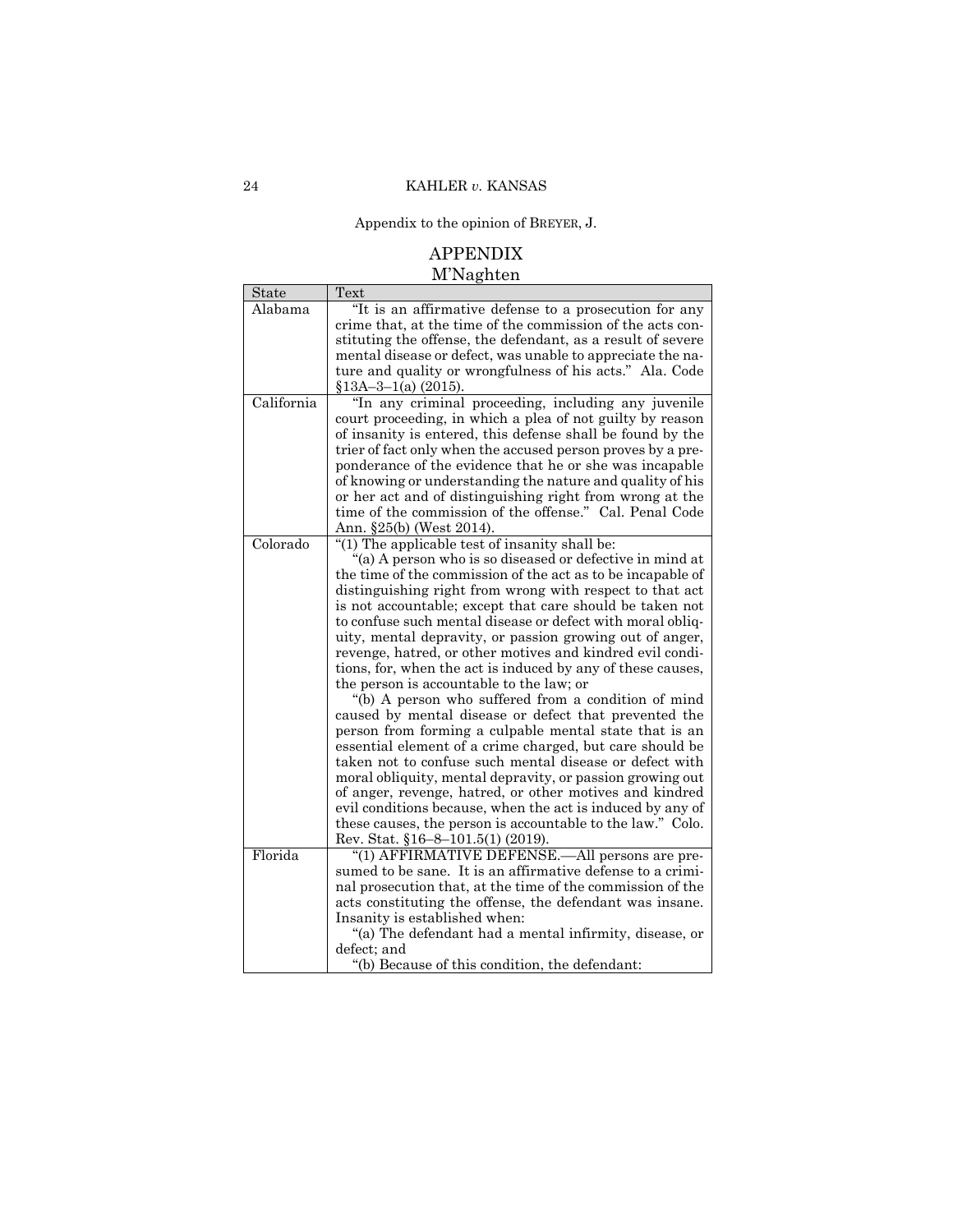Appendix to the opinion of BREYER, J.

# APPENDIX M'Naghten

| State      | Text                                                        |
|------------|-------------------------------------------------------------|
| Alabama    | "It is an affirmative defense to a prosecution for any      |
|            | crime that, at the time of the commission of the acts con-  |
|            | stituting the offense, the defendant, as a result of severe |
|            | mental disease or defect, was unable to appreciate the na-  |
|            | ture and quality or wrongfulness of his acts." Ala. Code    |
|            | $$13A-3-1(a)$ (2015).                                       |
| California | "In any criminal proceeding, including any juvenile         |
|            | court proceeding, in which a plea of not guilty by reason   |
|            | of insanity is entered, this defense shall be found by the  |
|            | trier of fact only when the accused person proves by a pre- |
|            | ponderance of the evidence that he or she was incapable     |
|            | of knowing or understanding the nature and quality of his   |
|            | or her act and of distinguishing right from wrong at the    |
|            | time of the commission of the offense." Cal. Penal Code     |
|            | Ann. §25(b) (West 2014).                                    |
| Colorado   | "(1) The applicable test of insanity shall be:              |
|            | "(a) A person who is so diseased or defective in mind at    |
|            | the time of the commission of the act as to be incapable of |
|            | distinguishing right from wrong with respect to that act    |
|            | is not accountable; except that care should be taken not    |
|            | to confuse such mental disease or defect with moral obliq-  |
|            | uity, mental depravity, or passion growing out of anger,    |
|            | revenge, hatred, or other motives and kindred evil condi-   |
|            | tions, for, when the act is induced by any of these causes, |
|            | the person is accountable to the law; or                    |
|            | "(b) A person who suffered from a condition of mind         |
|            | caused by mental disease or defect that prevented the       |
|            | person from forming a culpable mental state that is an      |
|            | essential element of a crime charged, but care should be    |
|            | taken not to confuse such mental disease or defect with     |
|            | moral obliquity, mental depravity, or passion growing out   |
|            | of anger, revenge, hatred, or other motives and kindred     |
|            | evil conditions because, when the act is induced by any of  |
|            | these causes, the person is accountable to the law." Colo.  |
|            | Rev. Stat. §16-8-101.5(1) (2019).                           |
| Florida    | "(1) AFFIRMATIVE DEFENSE.—All persons are pre-              |
|            | sumed to be sane. It is an affirmative defense to a crimi-  |
|            | nal prosecution that, at the time of the commission of the  |
|            | acts constituting the offense, the defendant was insane.    |
|            | Insanity is established when:                               |
|            | "(a) The defendant had a mental infirmity, disease, or      |
|            | defect; and                                                 |
|            | "(b) Because of this condition, the defendant:              |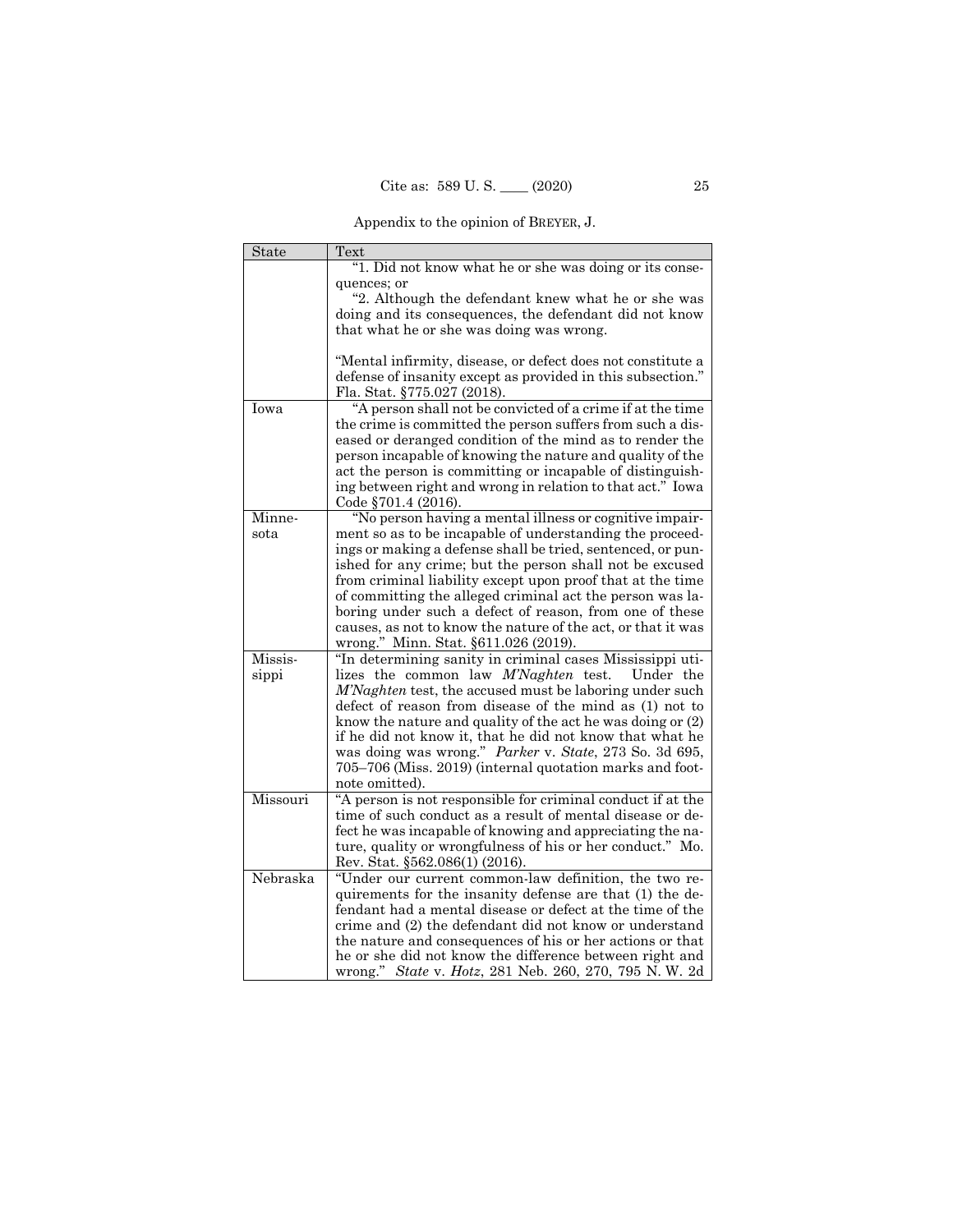Appendix to the opinion of BREYER, J.

| State    | Text                                                                                                                    |
|----------|-------------------------------------------------------------------------------------------------------------------------|
|          | "1. Did not know what he or she was doing or its conse-                                                                 |
|          | quences; or                                                                                                             |
|          | "2. Although the defendant knew what he or she was                                                                      |
|          | doing and its consequences, the defendant did not know                                                                  |
|          | that what he or she was doing was wrong.                                                                                |
|          | "Mental infirmity, disease, or defect does not constitute a                                                             |
|          | defense of insanity except as provided in this subsection."                                                             |
|          | Fla. Stat. §775.027 (2018).                                                                                             |
| Iowa     | "A person shall not be convicted of a crime if at the time                                                              |
|          | the crime is committed the person suffers from such a dis-                                                              |
|          | eased or deranged condition of the mind as to render the                                                                |
|          | person incapable of knowing the nature and quality of the                                                               |
|          | act the person is committing or incapable of distinguish-                                                               |
|          | ing between right and wrong in relation to that act." Iowa                                                              |
|          | Code $§701.4(2016).$                                                                                                    |
| Minne-   | "No person having a mental illness or cognitive impair-                                                                 |
| sota     | ment so as to be incapable of understanding the proceed-                                                                |
|          | ings or making a defense shall be tried, sentenced, or pun-                                                             |
|          | ished for any crime; but the person shall not be excused                                                                |
|          | from criminal liability except upon proof that at the time<br>of committing the alleged criminal act the person was la- |
|          | boring under such a defect of reason, from one of these                                                                 |
|          | causes, as not to know the nature of the act, or that it was                                                            |
|          | wrong." Minn. Stat. §611.026 (2019).                                                                                    |
| Missis-  | "In determining sanity in criminal cases Mississippi uti-                                                               |
| sippi    | lizes the common law <i>M'Naghten</i> test.<br>Under the                                                                |
|          | M'Naghten test, the accused must be laboring under such                                                                 |
|          | defect of reason from disease of the mind as (1) not to                                                                 |
|          | know the nature and quality of the act he was doing or (2)                                                              |
|          | if he did not know it, that he did not know that what he                                                                |
|          | was doing was wrong." Parker v. State, 273 So. 3d 695,                                                                  |
|          | 705-706 (Miss. 2019) (internal quotation marks and foot-                                                                |
|          | note omitted).                                                                                                          |
| Missouri | "A person is not responsible for criminal conduct if at the                                                             |
|          | time of such conduct as a result of mental disease or de-                                                               |
|          | fect he was incapable of knowing and appreciating the na-<br>ture, quality or wrongfulness of his or her conduct." Mo.  |
|          | Rev. Stat. §562.086(1) (2016).                                                                                          |
| Nebraska | "Under our current common-law definition, the two re-                                                                   |
|          | quirements for the insanity defense are that (1) the de-                                                                |
|          | fendant had a mental disease or defect at the time of the                                                               |
|          | crime and (2) the defendant did not know or understand                                                                  |
|          | the nature and consequences of his or her actions or that                                                               |
|          | he or she did not know the difference between right and                                                                 |
|          | wrong." State v. Hotz, 281 Neb. 260, 270, 795 N.W. 2d                                                                   |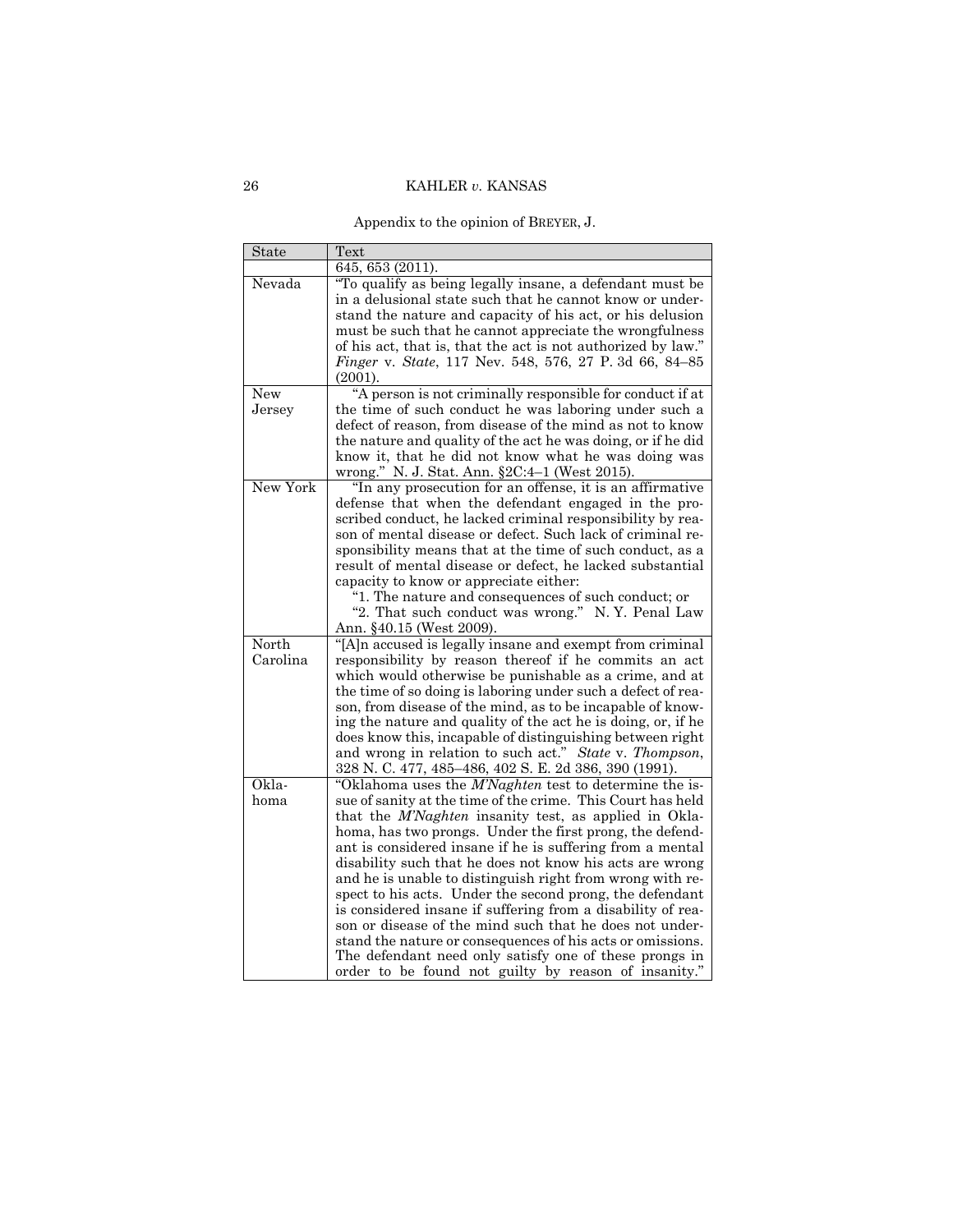Appendix to the opinion of BREYER, J.

| State      | Text                                                                                                                       |
|------------|----------------------------------------------------------------------------------------------------------------------------|
|            | 645, 653 (2011).                                                                                                           |
| Nevada     | "To qualify as being legally insane, a defendant must be<br>in a delusional state such that he cannot know or under-       |
|            | stand the nature and capacity of his act, or his delusion                                                                  |
|            | must be such that he cannot appreciate the wrongfulness                                                                    |
|            | of his act, that is, that the act is not authorized by law."                                                               |
|            | Finger v. State, 117 Nev. 548, 576, 27 P. 3d 66, 84-85                                                                     |
|            | (2001).                                                                                                                    |
| <b>New</b> | "A person is not criminally responsible for conduct if at<br>the time of such conduct he was laboring under such a         |
| Jersey     | defect of reason, from disease of the mind as not to know                                                                  |
|            | the nature and quality of the act he was doing, or if he did                                                               |
|            | know it, that he did not know what he was doing was                                                                        |
|            | wrong." N. J. Stat. Ann. §2C:4-1 (West 2015).                                                                              |
| New York   | "In any prosecution for an offense, it is an affirmative                                                                   |
|            | defense that when the defendant engaged in the pro-                                                                        |
|            | scribed conduct, he lacked criminal responsibility by rea-                                                                 |
|            | son of mental disease or defect. Such lack of criminal re-                                                                 |
|            | sponsibility means that at the time of such conduct, as a                                                                  |
|            | result of mental disease or defect, he lacked substantial<br>capacity to know or appreciate either:                        |
|            | "1. The nature and consequences of such conduct; or                                                                        |
|            | "2. That such conduct was wrong." N.Y. Penal Law                                                                           |
|            | Ann. §40.15 (West 2009).                                                                                                   |
| North      | "[A]n accused is legally insane and exempt from criminal                                                                   |
| Carolina   | responsibility by reason thereof if he commits an act                                                                      |
|            | which would otherwise be punishable as a crime, and at                                                                     |
|            | the time of so doing is laboring under such a defect of rea-                                                               |
|            | son, from disease of the mind, as to be incapable of know-<br>ing the nature and quality of the act he is doing, or, if he |
|            | does know this, incapable of distinguishing between right                                                                  |
|            | and wrong in relation to such act." State v. Thompson,                                                                     |
|            | 328 N. C. 477, 485-486, 402 S. E. 2d 386, 390 (1991).                                                                      |
| Okla-      | "Oklahoma uses the M'Naghten test to determine the is-                                                                     |
| homa       | sue of sanity at the time of the crime. This Court has held                                                                |
|            | that the M'Naghten insanity test, as applied in Okla-                                                                      |
|            | homa, has two prongs. Under the first prong, the defend-                                                                   |
|            | ant is considered insane if he is suffering from a mental                                                                  |
|            | disability such that he does not know his acts are wrong                                                                   |
|            | and he is unable to distinguish right from wrong with re-<br>spect to his acts. Under the second prong, the defendant      |
|            | is considered insane if suffering from a disability of rea-                                                                |
|            | son or disease of the mind such that he does not under-                                                                    |
|            | stand the nature or consequences of his acts or omissions.                                                                 |
|            | The defendant need only satisfy one of these prongs in                                                                     |
|            | order to be found not guilty by reason of insanity."                                                                       |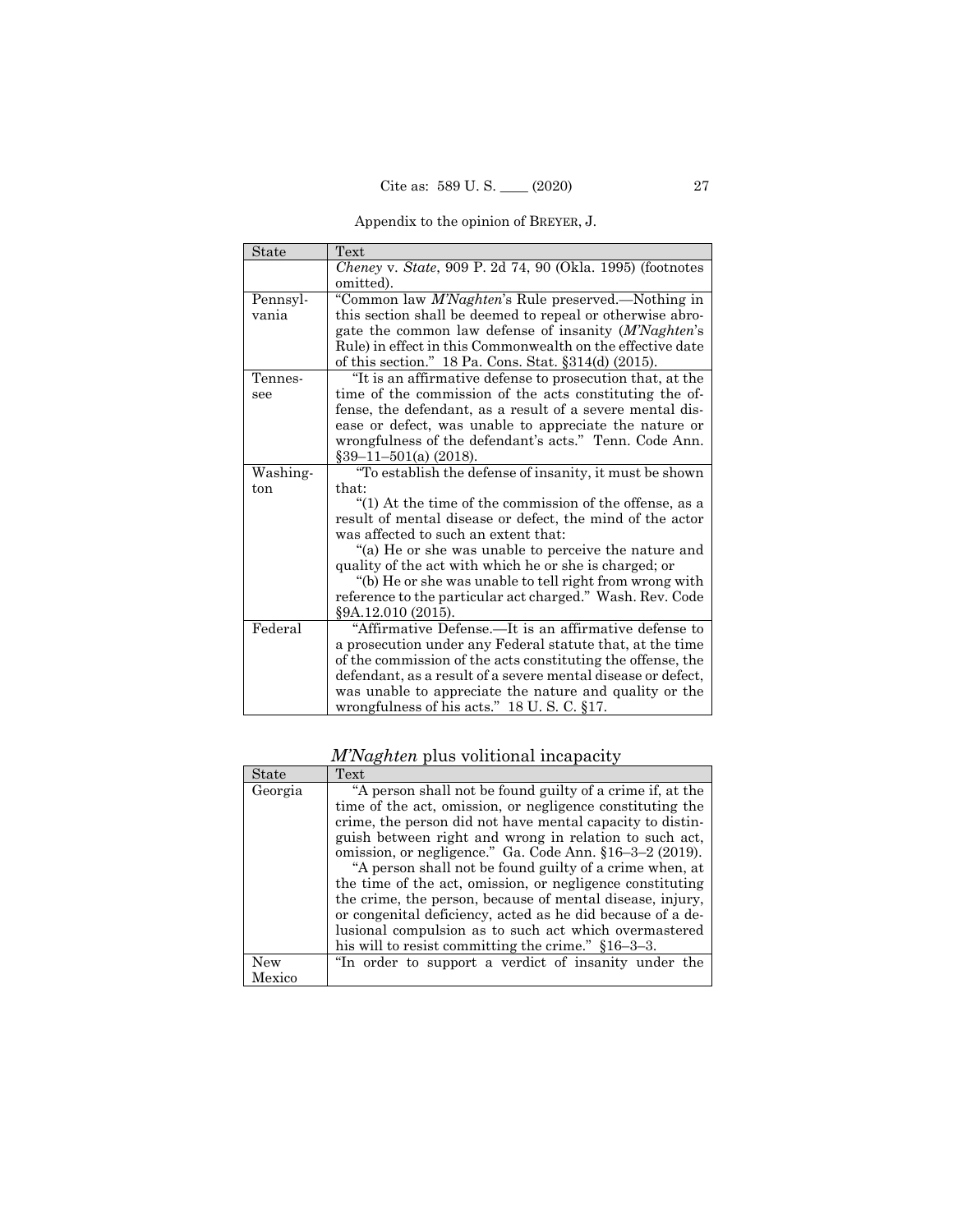Appendix to the opinion of BREYER, J.

| State    | <b>Text</b>                                                                                                    |
|----------|----------------------------------------------------------------------------------------------------------------|
|          | Cheney v. State, 909 P. 2d 74, 90 (Okla. 1995) (footnotes                                                      |
|          | omitted).                                                                                                      |
| Pennsyl- | "Common law M'Naghten's Rule preserved.-Nothing in                                                             |
| vania    | this section shall be deemed to repeal or otherwise abro-                                                      |
|          | gate the common law defense of insanity (M'Naghten's                                                           |
|          | Rule) in effect in this Commonwealth on the effective date                                                     |
|          | of this section." 18 Pa. Cons. Stat. §314(d) (2015).                                                           |
| Tennes-  | "It is an affirmative defense to prosecution that, at the                                                      |
| see      | time of the commission of the acts constituting the of-                                                        |
|          | fense, the defendant, as a result of a severe mental dis-                                                      |
|          | ease or defect, was unable to appreciate the nature or                                                         |
|          | wrongfulness of the defendant's acts." Tenn. Code Ann.                                                         |
|          | $\S 39 - 11 - 501$ (a) (2018).                                                                                 |
| Washing- | "To establish the defense of insanity, it must be shown                                                        |
| ton      | that:                                                                                                          |
|          | "(1) At the time of the commission of the offense, as a                                                        |
|          | result of mental disease or defect, the mind of the actor                                                      |
|          | was affected to such an extent that:                                                                           |
|          | "(a) He or she was unable to perceive the nature and<br>quality of the act with which he or she is charged; or |
|          | "(b) He or she was unable to tell right from wrong with                                                        |
|          | reference to the particular act charged." Wash. Rev. Code                                                      |
|          | §9A.12.010 (2015).                                                                                             |
| Federal  | "Affirmative Defense.—It is an affirmative defense to                                                          |
|          | a prosecution under any Federal statute that, at the time                                                      |
|          | of the commission of the acts constituting the offense, the                                                    |
|          | defendant, as a result of a severe mental disease or defect,                                                   |
|          | was unable to appreciate the nature and quality or the                                                         |
|          | wrong fulness of his acts." $18$ U.S.C. $\S17$ .                                                               |

*M'Naghten* plus volitional incapacity

| State   | Text                                                       |
|---------|------------------------------------------------------------|
| Georgia | "A person shall not be found guilty of a crime if, at the  |
|         | time of the act, omission, or negligence constituting the  |
|         | crime, the person did not have mental capacity to distin-  |
|         | guish between right and wrong in relation to such act,     |
|         | omission, or negligence." Ga. Code Ann. §16-3-2 (2019).    |
|         | "A person shall not be found guilty of a crime when, at    |
|         | the time of the act, omission, or negligence constituting  |
|         | the crime, the person, because of mental disease, injury,  |
|         | or congenital deficiency, acted as he did because of a de- |
|         | lusional compulsion as to such act which overmastered      |
|         | his will to resist committing the crime." $$16-3-3$ .      |
| New     | "In order to support a verdict of insanity under the       |
| Mexico  |                                                            |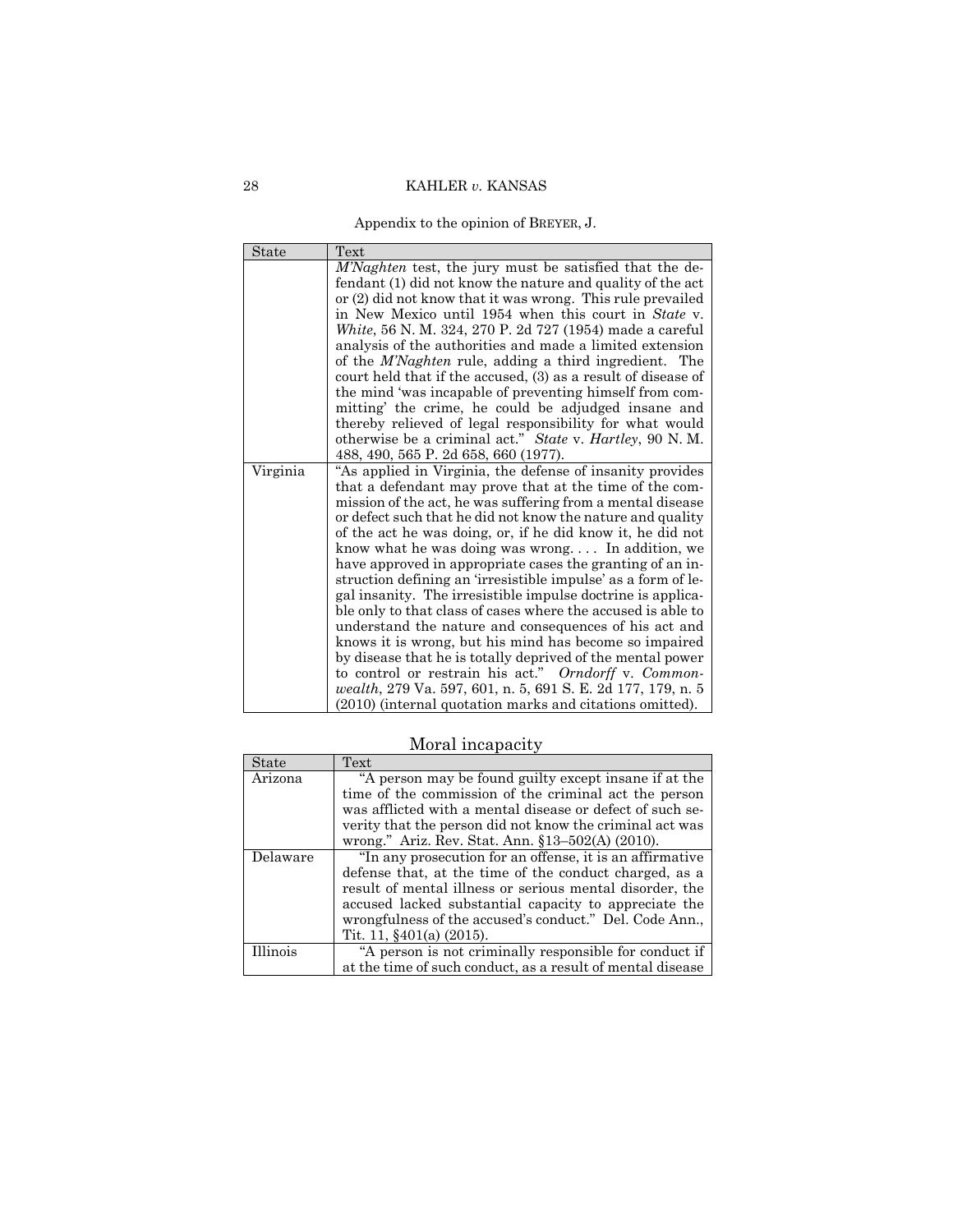Appendix to the opinion of BREYER, J.

| State    | Text                                                                                                                       |
|----------|----------------------------------------------------------------------------------------------------------------------------|
|          | M'Naghten test, the jury must be satisfied that the de-                                                                    |
|          | fendant (1) did not know the nature and quality of the act                                                                 |
|          | or (2) did not know that it was wrong. This rule prevailed                                                                 |
|          | in New Mexico until 1954 when this court in State v.                                                                       |
|          | White, 56 N. M. 324, 270 P. 2d 727 (1954) made a careful                                                                   |
|          | analysis of the authorities and made a limited extension                                                                   |
|          | of the <i>M'Naghten</i> rule, adding a third ingredient. The                                                               |
|          | court held that if the accused, (3) as a result of disease of                                                              |
|          | the mind 'was incapable of preventing himself from com-                                                                    |
|          | mitting' the crime, he could be adjudged insane and                                                                        |
|          | thereby relieved of legal responsibility for what would                                                                    |
|          | otherwise be a criminal act." State v. Hartley, 90 N.M.                                                                    |
|          | 488, 490, 565 P. 2d 658, 660 (1977).                                                                                       |
| Virginia | "As applied in Virginia, the defense of insanity provides                                                                  |
|          | that a defendant may prove that at the time of the com-                                                                    |
|          | mission of the act, he was suffering from a mental disease                                                                 |
|          | or defect such that he did not know the nature and quality                                                                 |
|          | of the act he was doing, or, if he did know it, he did not                                                                 |
|          | know what he was doing was wrong In addition, we                                                                           |
|          | have approved in appropriate cases the granting of an in-<br>struction defining an 'irresistible impulse' as a form of le- |
|          | gal insanity. The irresistible impulse doctrine is applica-                                                                |
|          | ble only to that class of cases where the accused is able to                                                               |
|          | understand the nature and consequences of his act and                                                                      |
|          | knows it is wrong, but his mind has become so impaired                                                                     |
|          | by disease that he is totally deprived of the mental power                                                                 |
|          | to control or restrain his act." Orndorff v. Common-                                                                       |
|          | wealth, 279 Va. 597, 601, n. 5, 691 S. E. 2d 177, 179, n. 5                                                                |
|          | (2010) (internal quotation marks and citations omitted).                                                                   |

# Moral incapacity

| State    | Text                                                       |
|----------|------------------------------------------------------------|
| Arizona  | "A person may be found guilty except insane if at the      |
|          | time of the commission of the criminal act the person      |
|          | was afflicted with a mental disease or defect of such se-  |
|          | verity that the person did not know the criminal act was   |
|          | wrong." Ariz. Rev. Stat. Ann. §13–502(A) (2010).           |
| Delaware | "In any prosecution for an offense, it is an affirmative   |
|          | defense that, at the time of the conduct charged, as a     |
|          | result of mental illness or serious mental disorder, the   |
|          | accused lacked substantial capacity to appreciate the      |
|          | wrongfulness of the accused's conduct." Del. Code Ann.,    |
|          | Tit. 11, $§401(a)$ (2015).                                 |
| Illinois | "A person is not criminally responsible for conduct if     |
|          | at the time of such conduct, as a result of mental disease |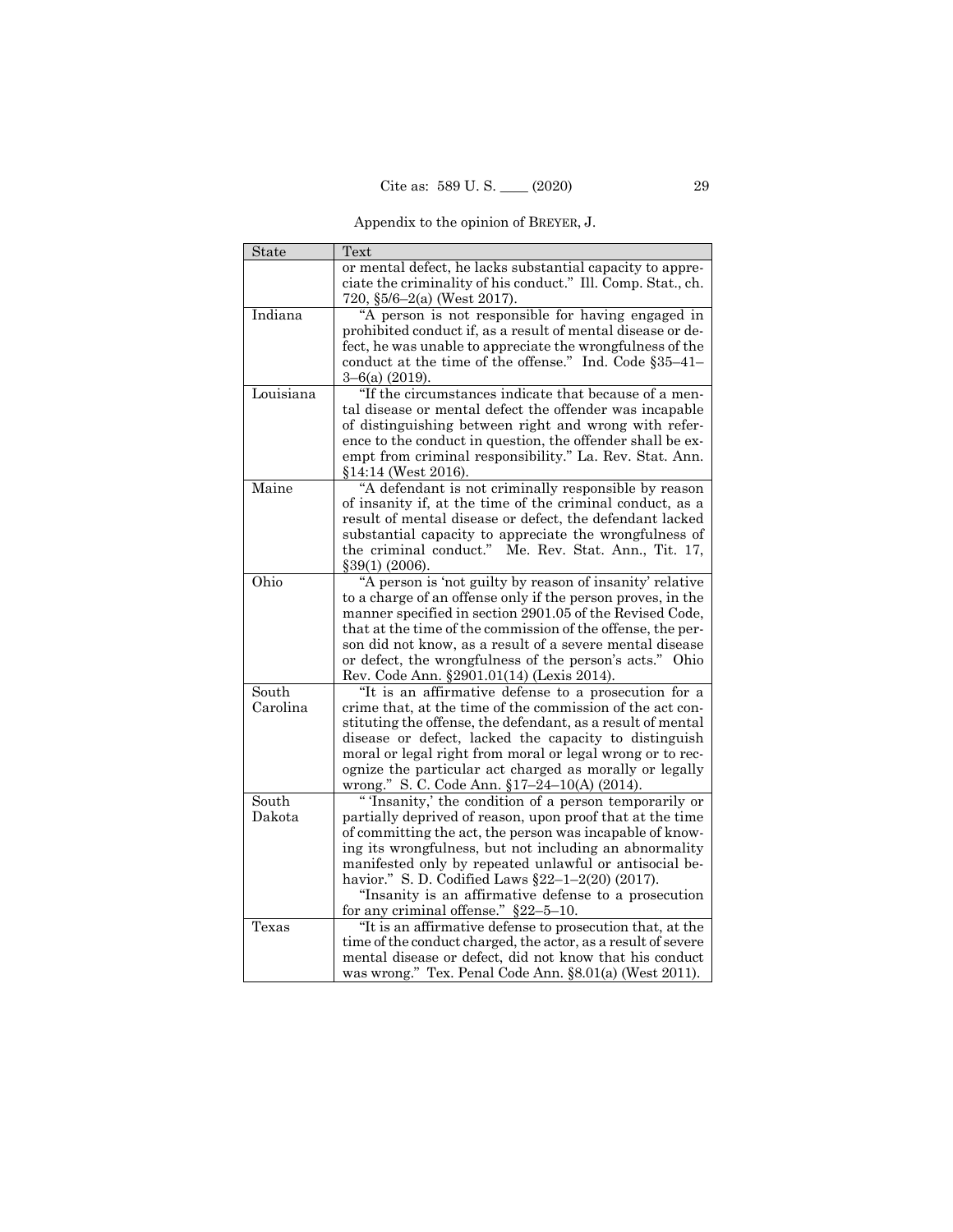Appendix to the opinion of BREYER, J.

| State     | Text                                                                                                               |
|-----------|--------------------------------------------------------------------------------------------------------------------|
|           | or mental defect, he lacks substantial capacity to appre-                                                          |
|           | ciate the criminality of his conduct." Ill. Comp. Stat., ch.                                                       |
|           | 720, §5/6-2(a) (West 2017).                                                                                        |
| Indiana   | "A person is not responsible for having engaged in                                                                 |
|           | prohibited conduct if, as a result of mental disease or de-                                                        |
|           | fect, he was unable to appreciate the wrongfulness of the                                                          |
|           | conduct at the time of the offense." Ind. Code §35-41-                                                             |
|           | $3-6(a)$ (2019).                                                                                                   |
| Louisiana | "If the circumstances indicate that because of a men-                                                              |
|           | tal disease or mental defect the offender was incapable                                                            |
|           | of distinguishing between right and wrong with refer-                                                              |
|           | ence to the conduct in question, the offender shall be ex-                                                         |
|           | empt from criminal responsibility." La. Rev. Stat. Ann.                                                            |
|           | $§14:14$ (West 2016).                                                                                              |
| Maine     | "A defendant is not criminally responsible by reason                                                               |
|           | of insanity if, at the time of the criminal conduct, as a                                                          |
|           | result of mental disease or defect, the defendant lacked                                                           |
|           | substantial capacity to appreciate the wrongfulness of                                                             |
|           | the criminal conduct." Me. Rev. Stat. Ann., Tit. 17,                                                               |
|           | \$39(1) (2006).                                                                                                    |
| Ohio      | "A person is 'not guilty by reason of insanity' relative                                                           |
|           | to a charge of an offense only if the person proves, in the                                                        |
|           | manner specified in section 2901.05 of the Revised Code,                                                           |
|           | that at the time of the commission of the offense, the per-                                                        |
|           | son did not know, as a result of a severe mental disease                                                           |
|           | or defect, the wrongfulness of the person's acts." Ohio                                                            |
|           | Rev. Code Ann. §2901.01(14) (Lexis 2014).                                                                          |
| South     | "It is an affirmative defense to a prosecution for a                                                               |
|           | crime that, at the time of the commission of the act con-                                                          |
| Carolina  | stituting the offense, the defendant, as a result of mental                                                        |
|           | disease or defect, lacked the capacity to distinguish<br>moral or legal right from moral or legal wrong or to rec- |
|           | ognize the particular act charged as morally or legally                                                            |
|           | wrong." S. C. Code Ann. §17-24-10(A) (2014).                                                                       |
| South     | "The condition of a person temporarily or                                                                          |
| Dakota    | partially deprived of reason, upon proof that at the time                                                          |
|           | of committing the act, the person was incapable of know-                                                           |
|           | ing its wrongfulness, but not including an abnormality                                                             |
|           | manifested only by repeated unlawful or antisocial be-                                                             |
|           | havior." S. D. Codified Laws §22-1-2(20) (2017).                                                                   |
|           | "Insanity is an affirmative defense to a prosecution                                                               |
|           | for any criminal offense." $§22-5-10$ .                                                                            |
| Texas     | "It is an affirmative defense to prosecution that, at the                                                          |
|           | time of the conduct charged, the actor, as a result of severe                                                      |
|           | mental disease or defect, did not know that his conduct                                                            |
|           | was wrong." Tex. Penal Code Ann. §8.01(a) (West 2011).                                                             |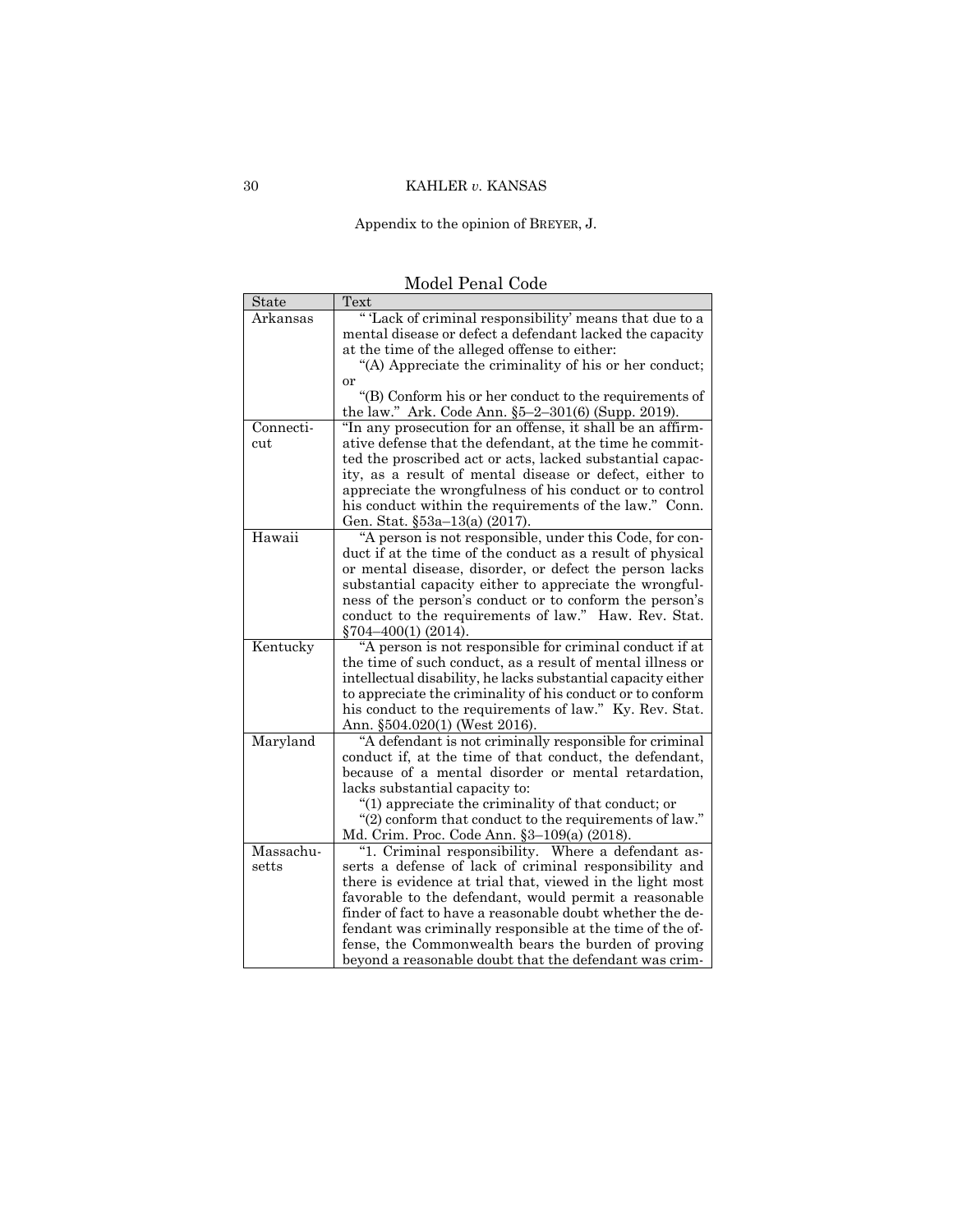Appendix to the opinion of BREYER, J.

| Text<br><b>State</b>                                                                                                         |  |
|------------------------------------------------------------------------------------------------------------------------------|--|
| "Tack of criminal responsibility' means that due to a<br>Arkansas                                                            |  |
| mental disease or defect a defendant lacked the capacity                                                                     |  |
| at the time of the alleged offense to either:                                                                                |  |
| "(A) Appreciate the criminality of his or her conduct;                                                                       |  |
| or                                                                                                                           |  |
| "(B) Conform his or her conduct to the requirements of                                                                       |  |
| the law." Ark. Code Ann. §5-2-301(6) (Supp. 2019).                                                                           |  |
| "In any prosecution for an offense, it shall be an affirm-<br>Connecti-                                                      |  |
| ative defense that the defendant, at the time he commit-<br>cut<br>ted the proscribed act or acts, lacked substantial capac- |  |
| ity, as a result of mental disease or defect, either to                                                                      |  |
| appreciate the wrongfulness of his conduct or to control                                                                     |  |
| his conduct within the requirements of the law." Conn.                                                                       |  |
| Gen. Stat. §53a-13(a) (2017).                                                                                                |  |
| Hawaii<br>"A person is not responsible, under this Code, for con-                                                            |  |
| duct if at the time of the conduct as a result of physical                                                                   |  |
| or mental disease, disorder, or defect the person lacks                                                                      |  |
| substantial capacity either to appreciate the wrongful-                                                                      |  |
| ness of the person's conduct or to conform the person's                                                                      |  |
| conduct to the requirements of law." Haw. Rev. Stat.                                                                         |  |
| $\S704 - 400(1)$ (2014).                                                                                                     |  |
| Kentucky<br>"A person is not responsible for criminal conduct if at                                                          |  |
| the time of such conduct, as a result of mental illness or                                                                   |  |
| intellectual disability, he lacks substantial capacity either                                                                |  |
| to appreciate the criminality of his conduct or to conform                                                                   |  |
| his conduct to the requirements of law." Ky. Rev. Stat.                                                                      |  |
| Ann. §504.020(1) (West 2016).                                                                                                |  |
| Maryland<br>"A defendant is not criminally responsible for criminal                                                          |  |
| conduct if, at the time of that conduct, the defendant,                                                                      |  |
| because of a mental disorder or mental retardation,                                                                          |  |
| lacks substantial capacity to:                                                                                               |  |
| "(1) appreciate the criminality of that conduct; or                                                                          |  |
| "(2) conform that conduct to the requirements of law."                                                                       |  |
| Md. Crim. Proc. Code Ann. §3-109(a) (2018).<br>Massachu-<br>"1. Criminal responsibility. Where a defendant as-               |  |
| serts a defense of lack of criminal responsibility and<br>setts                                                              |  |
| there is evidence at trial that, viewed in the light most                                                                    |  |
| favorable to the defendant, would permit a reasonable                                                                        |  |
| finder of fact to have a reasonable doubt whether the de-                                                                    |  |
| fendant was criminally responsible at the time of the of-                                                                    |  |
|                                                                                                                              |  |
| fense, the Commonwealth bears the burden of proving                                                                          |  |

Model Penal Code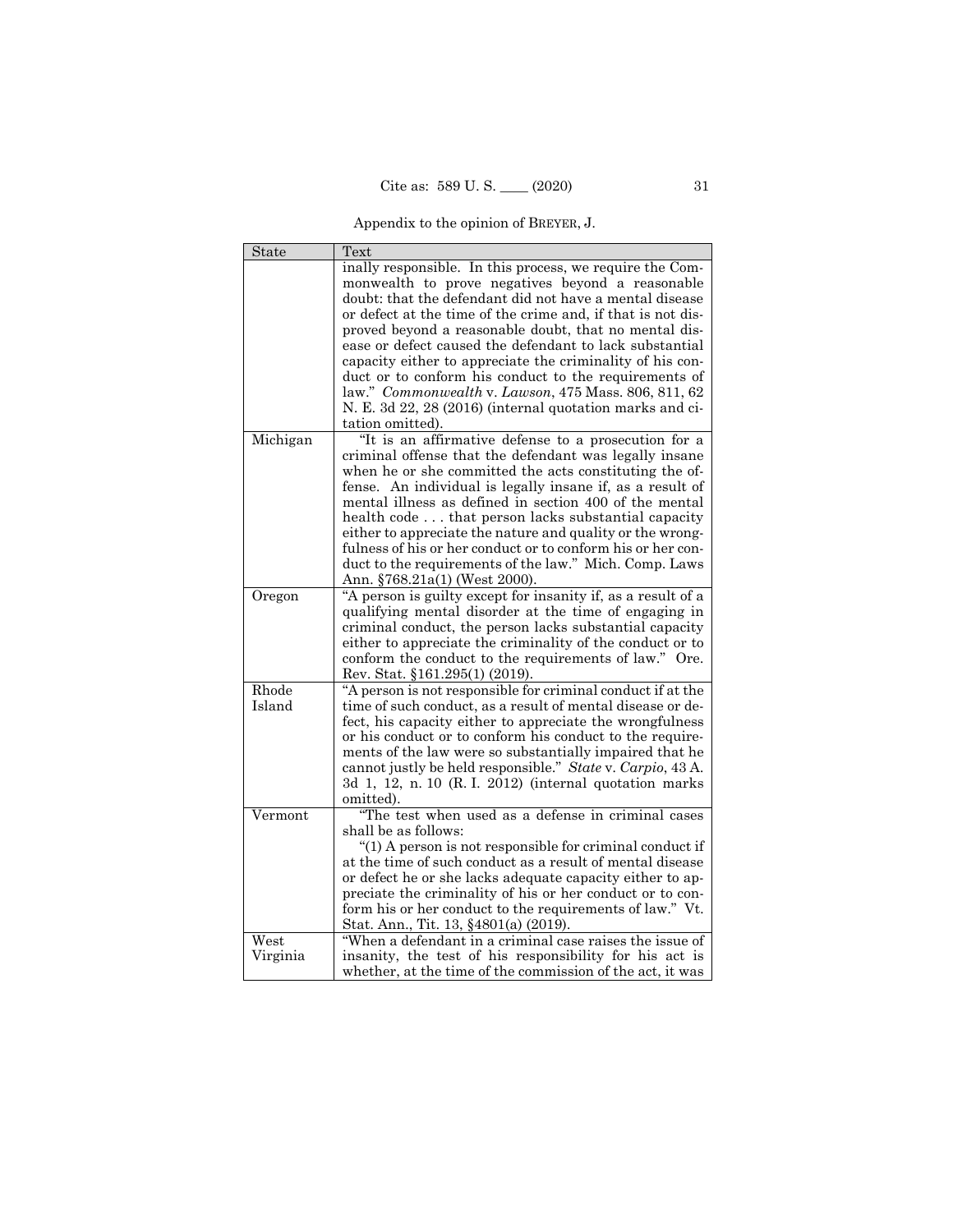Appendix to the opinion of BREYER, J.

| State    | Text                                                         |
|----------|--------------------------------------------------------------|
|          | inally responsible. In this process, we require the Com-     |
|          | monwealth to prove negatives beyond a reasonable             |
|          | doubt: that the defendant did not have a mental disease      |
|          | or defect at the time of the crime and, if that is not dis-  |
|          | proved beyond a reasonable doubt, that no mental dis-        |
|          | ease or defect caused the defendant to lack substantial      |
|          | capacity either to appreciate the criminality of his con-    |
|          | duct or to conform his conduct to the requirements of        |
|          | law." Commonwealth v. Lawson, 475 Mass. 806, 811, 62         |
|          | N. E. 3d 22, 28 (2016) (internal quotation marks and ci-     |
|          |                                                              |
|          | tation omitted).                                             |
| Michigan | "It is an affirmative defense to a prosecution for a         |
|          | criminal offense that the defendant was legally insane       |
|          | when he or she committed the acts constituting the of-       |
|          | fense. An individual is legally insane if, as a result of    |
|          | mental illness as defined in section 400 of the mental       |
|          | health code that person lacks substantial capacity           |
|          | either to appreciate the nature and quality or the wrong-    |
|          | fulness of his or her conduct or to conform his or her con-  |
|          | duct to the requirements of the law." Mich. Comp. Laws       |
|          | Ann. §768.21a(1) (West 2000).                                |
| Oregon   | "A person is guilty except for insanity if, as a result of a |
|          | qualifying mental disorder at the time of engaging in        |
|          | criminal conduct, the person lacks substantial capacity      |
|          | either to appreciate the criminality of the conduct or to    |
|          | conform the conduct to the requirements of law." Ore.        |
|          | Rev. Stat. §161.295(1) (2019).                               |
| Rhode    | "A person is not responsible for criminal conduct if at the  |
| Island   |                                                              |
|          | time of such conduct, as a result of mental disease or de-   |
|          | fect, his capacity either to appreciate the wrongfulness     |
|          | or his conduct or to conform his conduct to the require-     |
|          | ments of the law were so substantially impaired that he      |
|          | cannot justly be held responsible." State v. Carpio, 43 A.   |
|          | 3d 1, 12, n. 10 (R. I. 2012) (internal quotation marks       |
|          | omitted).                                                    |
| Vermont  | "The test when used as a defense in criminal cases           |
|          | shall be as follows:                                         |
|          | "(1) A person is not responsible for criminal conduct if     |
|          | at the time of such conduct as a result of mental disease    |
|          | or defect he or she lacks adequate capacity either to ap-    |
|          | preciate the criminality of his or her conduct or to con-    |
|          | form his or her conduct to the requirements of law." Vt.     |
|          | Stat. Ann., Tit. 13, §4801(a) (2019).                        |
| West     | "When a defendant in a criminal case raises the issue of     |
| Virginia | insanity, the test of his responsibility for his act is      |
|          | whether, at the time of the commission of the act, it was    |
|          |                                                              |